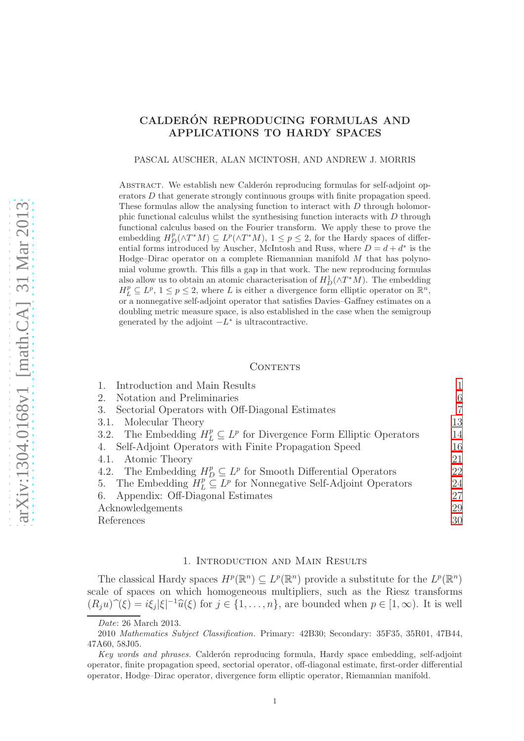# CALDERÓN REPRODUCING FORMULAS AND APPLICATIONS TO HARDY SPACES

PASCAL AUSCHER, ALAN MCINTOSH, AND ANDREW J. MORRIS

ABSTRACT. We establish new Calderón reproducing formulas for self-adjoint operators D that generate strongly continuous groups with finite propagation speed. These formulas allow the analysing function to interact with  $D$  through holomorphic functional calculus whilst the synthesising function interacts with D through functional calculus based on the Fourier transform. We apply these to prove the embedding  $H_D^p(\wedge T^*M) \subseteq L^p(\wedge T^*M)$ ,  $1 \leq p \leq 2$ , for the Hardy spaces of differential forms introduced by Auscher, McIntosh and Russ, where  $D = d + d^*$  is the Hodge–Dirac operator on a complete Riemannian manifold M that has polynomial volume growth. This fills a gap in that work. The new reproducing formulas also allow us to obtain an atomic characterisation of  $H_D^1(\wedge T^*M)$ . The embedding  $H_L^p \subseteq L^p$ ,  $1 \leq p \leq 2$ , where L is either a divergence form elliptic operator on  $\mathbb{R}^n$ , or a nonnegative self-adjoint operator that satisfies Davies–Gaffney estimates on a doubling metric measure space, is also established in the case when the semigroup generated by the adjoint  $-L^*$  is ultracontractive.

#### CONTENTS

| Introduction and Main Results                                                   |    |
|---------------------------------------------------------------------------------|----|
| Notation and Preliminaries<br>2.                                                | 6  |
| Sectorial Operators with Off-Diagonal Estimates<br>3.                           | 7  |
| 3.1. Molecular Theory                                                           | 13 |
| 3.2. The Embedding $H_L^p \subseteq L^p$ for Divergence Form Elliptic Operators | 14 |
| 4. Self-Adjoint Operators with Finite Propagation Speed                         | 16 |
| 4.1. Atomic Theory                                                              | 21 |
| 4.2. The Embedding $H_D^p \subseteq L^p$ for Smooth Differential Operators      | 22 |
| 5. The Embedding $H_L^p \subseteq L^p$ for Nonnegative Self-Adjoint Operators   | 24 |
| 6. Appendix: Off-Diagonal Estimates                                             | 27 |
| Acknowledgements                                                                | 29 |
| References                                                                      | 30 |

#### 1. Introduction and Main Results

<span id="page-0-0"></span>The classical Hardy spaces  $H^p(\mathbb{R}^n) \subseteq L^p(\mathbb{R}^n)$  provide a substitute for the  $L^p(\mathbb{R}^n)$ scale of spaces on which homogeneous multipliers, such as the Riesz transforms  $(R_j u)^\gamma(\xi) = i\xi_j |\xi|^{-1} \widehat{u}(\xi)$  for  $j \in \{1, \ldots, n\}$ , are bounded when  $p \in [1, \infty)$ . It is well

Date: 26 March 2013.

<sup>2010</sup> Mathematics Subject Classification. Primary: 42B30; Secondary: 35F35, 35R01, 47B44, 47A60, 58J05.

Key words and phrases. Calderón reproducing formula, Hardy space embedding, self-adjoint operator, finite propagation speed, sectorial operator, off-diagonal estimate, first-order differential operator, Hodge–Dirac operator, divergence form elliptic operator, Riemannian manifold.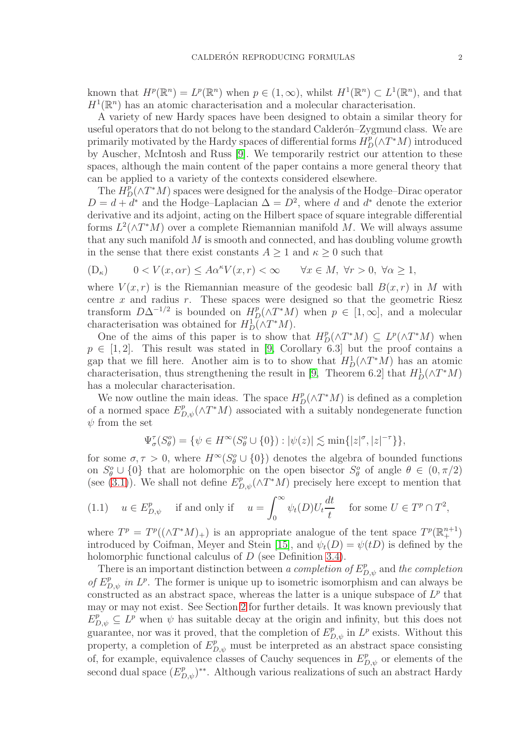known that  $H^p(\mathbb{R}^n) = L^p(\mathbb{R}^n)$  when  $p \in (1, \infty)$ , whilst  $H^1(\mathbb{R}^n) \subset L^1(\mathbb{R}^n)$ , and that  $H^1(\mathbb{R}^n)$  has an atomic characterisation and a molecular characterisation.

A variety of new Hardy spaces have been designed to obtain a similar theory for useful operators that do not belong to the standard Calderón–Zygmund class. We are primarily motivated by the Hardy spaces of differential forms  $H_D^p(\wedge T^*M)$  introduced by Auscher, McIntosh and Russ [\[9\]](#page-29-1). We temporarily restrict our attention to these spaces, although the main content of the paper contains a more general theory that can be applied to a variety of the contexts considered elsewhere.

The  $H_D^p(\wedge T^*M)$  spaces were designed for the analysis of the Hodge–Dirac operator  $D = d + d^*$  and the Hodge–Laplacian  $\Delta = D^2$ , where d and  $d^*$  denote the exterior derivative and its adjoint, acting on the Hilbert space of square integrable differential forms  $L^2(\wedge T^*M)$  over a complete Riemannian manifold M. We will always assume that any such manifold M is smooth and connected, and has doubling volume growth in the sense that there exist constants  $A\geq 1$  and  $\kappa\geq 0$  such that

$$
(\mathcal{D}_{\kappa}) \qquad 0 < V(x, \alpha r) \le A\alpha^{\kappa} V(x, r) < \infty \qquad \forall x \in M, \ \forall r > 0, \ \forall \alpha \ge 1,
$$

where  $V(x, r)$  is the Riemannian measure of the geodesic ball  $B(x, r)$  in M with centre  $x$  and radius  $r$ . These spaces were designed so that the geometric Riesz transform  $D\Delta^{-1/2}$  is bounded on  $H^p(\Delta T^*M)$  when  $p \in [1,\infty]$ , and a molecular characterisation was obtained for  $H_D^1(\wedge T^*M)$ .

One of the aims of this paper is to show that  $H_D^p(\wedge T^*M) \subseteq L^p(\wedge T^*M)$  when  $p \in [1,2]$ . This result was stated in [\[9,](#page-29-1) Corollary 6.3] but the proof contains a gap that we fill here. Another aim is to to show that  $H_D^1(\wedge T^*M)$  has an atomic characterisation, thus strengthening the result in [\[9,](#page-29-1) Theorem 6.2] that  $H_D^1(\wedge T^*M)$ has a molecular characterisation.

We now outline the main ideas. The space  $H_D^p(\wedge T^*M)$  is defined as a completion of a normed space  $E_{D,\psi}^p(\wedge T^*M)$  associated with a suitably nondegenerate function  $\psi$  from the set

$$
\Psi_{\sigma}^{\tau}(S_{\theta}^o) = \{ \psi \in H^{\infty}(S_{\theta}^o \cup \{0\}) : |\psi(z)| \lesssim \min\{|z|^{\sigma}, |z|^{-\tau}\} \},\
$$

for some  $\sigma, \tau > 0$ , where  $H^{\infty}(S^o_{\theta} \cup \{0\})$  denotes the algebra of bounded functions on  $S^o_{\theta} \cup \{0\}$  that are holomorphic on the open bisector  $S^o_{\theta}$  of angle  $\theta \in (0, \pi/2)$ (see [\(3.1\)](#page-6-1)). We shall not define  $E_{D,\psi}^p(\wedge T^*M)$  precisely here except to mention that

<span id="page-1-0"></span>(1.1) 
$$
u \in E_{D,\psi}^p
$$
 if and only if  $u = \int_0^\infty \psi_t(D) U_t \frac{dt}{t}$  for some  $U \in T^p \cap T^2$ ,

where  $T^p = T^p((\wedge T^*M)_+)$  is an appropriate analogue of the tent space  $T^p(\mathbb{R}^{n+1}_+)$ introduced by Coifman, Meyer and Stein [\[15\]](#page-29-2), and  $\psi_t(D) = \psi(tD)$  is defined by the holomorphic functional calculus of D (see Definition [3.4\)](#page-9-0).

There is an important distinction between a completion of  $E_{D,\psi}^p$  and the completion of  $E_{D,\psi}^p$  in  $L^p$ . The former is unique up to isometric isomorphism and can always be constructed as an abstract space, whereas the latter is a unique subspace of  $L^p$  that may or may not exist. See Section [2](#page-5-0) for further details. It was known previously that  $E_{D,\psi}^p \subseteq L^p$  when  $\psi$  has suitable decay at the origin and infinity, but this does not guarantee, nor was it proved, that the completion of  $E_{D,\psi}^p$  in  $L^p$  exists. Without this property, a completion of  $E_{D,\psi}^p$  must be interpreted as an abstract space consisting of, for example, equivalence classes of Cauchy sequences in  $E_{D,\psi}^p$  or elements of the second dual space  $(E_{D,\psi}^p)^{**}$ . Although various realizations of such an abstract Hardy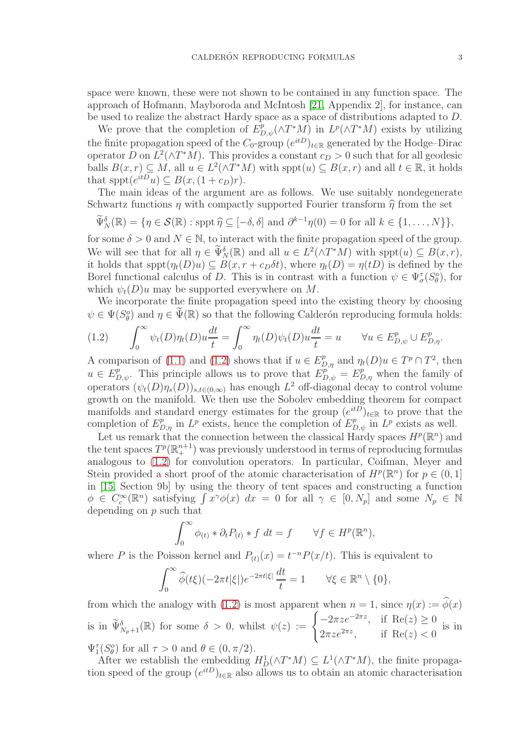space were known, these were not shown to be contained in any function space. The approach of Hofmann, Mayboroda and McIntosh [\[21,](#page-29-3) Appendix 2], for instance, can be used to realize the abstract Hardy space as a space of distributions adapted to D.

We prove that the completion of  $E_{D,\psi}^p(\wedge T^*M)$  in  $L^p(\wedge T^*M)$  exists by utilizing the finite propagation speed of the  $C_0$ -group  $(e^{itD})_{t\in\mathbb{R}}$  generated by the Hodge–Dirac operator D on  $L^2(\wedge T^*M)$ . This provides a constant  $c_D > 0$  such that for all geodesic balls  $B(x,r) \subseteq M$ , all  $u \in L^2(\wedge T^*M)$  with  $spt(u) \subseteq B(x,r)$  and all  $t \in \mathbb{R}$ , it holds that  $spt(e^{itD}u) \subseteq B(x,(1+c_D)r)$ .

The main ideas of the argument are as follows. We use suitably nondegenerate Schwartz functions  $\eta$  with compactly supported Fourier transform  $\hat{\eta}$  from the set

$$
\widetilde{\Psi}_{N}^{\delta}(\mathbb{R}) = \{ \eta \in \mathcal{S}(\mathbb{R}) : \operatorname{sppt} \widehat{\eta} \subseteq [-\delta, \delta] \text{ and } \partial^{k-1}\eta(0) = 0 \text{ for all } k \in \{1, \dots, N\} \},
$$

for some  $\delta > 0$  and  $N \in \mathbb{N}$ , to interact with the finite propagation speed of the group. We will see that for all  $\eta \in \widetilde{\Psi}_{N}^{\delta}(\mathbb{R})$  and all  $u \in L^{2}(\wedge T^{*}M)$  with  $spt(u) \subseteq B(x,r)$ , it holds that  $spt(\eta_t(D)u) \subseteq B(x, r + c_D\delta t)$ , where  $\eta_t(D) = \eta(tD)$  is defined by the Borel functional calculus of D. This is in contrast with a function  $\psi \in \Psi_{\sigma}^{\tau}(S_{\theta}^o)$ , for which  $\psi_t(D)u$  may be supported everywhere on M.

We incorporate the finite propagation speed into the existing theory by choosing  $\psi \in \Psi(S^o_{\theta})$  and  $\eta \in \widetilde{\Psi}(\mathbb{R})$  so that the following Calderón reproducing formula holds:

<span id="page-2-0"></span>(1.2) 
$$
\int_0^\infty \psi_t(D)\eta_t(D)u\frac{dt}{t} = \int_0^\infty \eta_t(D)\psi_t(D)u\frac{dt}{t} = u \quad \forall u \in E_{D,\psi}^p \cup E_{D,\eta}^p.
$$

A comparison of [\(1.1\)](#page-1-0) and [\(1.2\)](#page-2-0) shows that if  $u \in E_{D,\eta}^p$  and  $\eta_t(D)u \in T^p \cap T^2$ , then  $u \in E_{D,\psi}^p$ . This principle allows us to prove that  $E_{D,\psi}^{p^{\gamma\gamma}} = E_{D,\eta}^p$  when the family of operators  $(\psi_t(D)\eta_s(D))_{s,t\in(0,\infty)}$  has enough  $L^2$  off-diagonal decay to control volume growth on the manifold. We then use the Sobolev embedding theorem for compact manifolds and standard energy estimates for the group  $(e^{itD})_{t\in\mathbb{R}}$  to prove that the completion of  $E_{D,\eta}^p$  in  $L^p$  exists, hence the completion of  $E_{D,\psi}^p$  in  $L^p$  exists as well.

Let us remark that the connection between the classical Hardy spaces  $H^p(\mathbb{R}^n)$  and the tent spaces  $T^p(\mathbb{R}^{n+1}_+)$  was previously understood in terms of reproducing formulas analogous to [\(1.2\)](#page-2-0) for convolution operators. In particular, Coifman, Meyer and Stein provided a short proof of the atomic characterisation of  $H^p(\mathbb{R}^n)$  for  $p \in (0,1]$ in [\[15,](#page-29-2) Section 9b] by using the theory of tent spaces and constructing a function  $\phi \in C_c^{\infty}(\mathbb{R}^n)$  satisfying  $\int x^{\gamma} \phi(x) dx = 0$  for all  $\gamma \in [0, N_p]$  and some  $N_p \in \mathbb{N}$ depending on p such that

$$
\int_0^\infty \phi_{(t)} * \partial_t P_{(t)} * f \ dt = f \qquad \forall f \in H^p(\mathbb{R}^n),
$$

where P is the Poisson kernel and  $P_{(t)}(x) = t^{-n} P(x/t)$ . This is equivalent to

$$
\int_0^\infty \widehat{\phi}(t\xi)(-2\pi t|\xi|)e^{-2\pi t|\xi|}\frac{dt}{t} = 1 \qquad \forall \xi \in \mathbb{R}^n \setminus \{0\},
$$

from which the analogy with [\(1.2\)](#page-2-0) is most apparent when  $n = 1$ , since  $\eta(x) := \phi(x)$ is in  $\widetilde{\Psi}_{N_p+1}^{\delta}(\mathbb{R})$  for some  $\delta > 0$ , whilst  $\psi(z) := \begin{cases} -2\pi z e^{-2\pi z}, & \text{if } \operatorname{Re}(z) \geq 0 \\ 2\pi z e^{2\pi z}, & \text{if } \operatorname{Re}(z) < 0 \end{cases}$  $2\pi z e^{2\pi z}$ , if Re(z) < 0 is in

 $\Psi_1^{\tau}(S^o_{\theta})$  for all  $\tau > 0$  and  $\theta \in (0, \pi/2)$ .

After we establish the embedding  $H_D^1(\wedge T^*M) \subseteq L^1(\wedge T^*M)$ , the finite propagation speed of the group  $(e^{itD})_{t\in\mathbb{R}}$  also allows us to obtain an atomic characterisation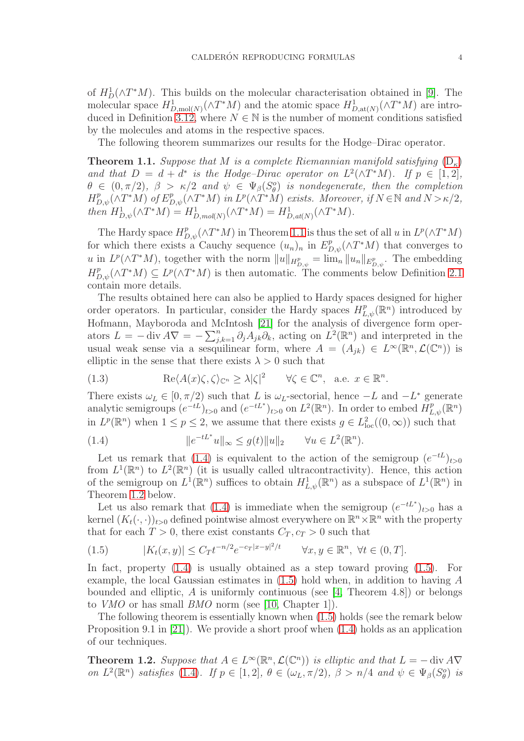of  $H_D^1(\wedge T^*M)$ . This builds on the molecular characterisation obtained in [\[9\]](#page-29-1). The molecular space  $H_{D,\text{mol}(N)}^1(\wedge T^*M)$  and the atomic space  $H_{D,\text{at}(N)}^1(\wedge T^*M)$  are intro-duced in Definition [3.12,](#page-12-1) where  $N \in \mathbb{N}$  is the number of moment conditions satisfied by the molecules and atoms in the respective spaces.

The following theorem summarizes our results for the Hodge–Dirac operator.

<span id="page-3-0"></span>**Theorem 1.1.** Suppose that M is a complete Riemannian manifold satisfying  $(D_{\kappa})$  $(D_{\kappa})$ and that  $D = d + d^*$  is the Hodge–Dirac operator on  $L^2(\wedge T^*M)$ . If  $p \in [1,2]$ ,  $\theta \in (0, \pi/2), \ \beta > \kappa/2 \ \text{and} \ \psi \in \Psi_{\beta}(S^o_{\theta})$  is nondegenerate, then the completion  $H_{D,\psi}^p(\wedge T^*M)$  of  $E_{D,\psi}^p(\wedge T^*M)$  in  $L^p(\wedge T^*M)$  exists. Moreover, if  $N \in \mathbb{N}$  and  $N > \kappa/2$ , then  $H_{D,\psi}^1(\wedge T^*M) = H_{D,mol(N)}^1(\wedge T^*M) = H_{D,at(N)}^1(\wedge T^*M).$ 

The Hardy space  $H_{D,\psi}^p(\wedge T^*M)$  in Theorem [1.1](#page-3-0) is thus the set of all u in  $L^p(\wedge T^*M)$ for which there exists a Cauchy sequence  $(u_n)_n$  in  $E_{D,\psi}^p(\wedge T^*M)$  that converges to u in  $L^p(\wedge T^*M)$ , together with the norm  $||u||_{H^p_{D,\psi}} = \lim_n ||u_n||_{E^p_{D,\psi}}$ . The embedding  $H_{D,\psi}^p(\wedge T^*M) \subseteq L^p(\wedge T^*M)$  is then automatic. The comments below Definition [2.1](#page-5-2) contain more details.

The results obtained here can also be applied to Hardy spaces designed for higher order operators. In particular, consider the Hardy spaces  $H_{L,\psi}^p(\mathbb{R}^n)$  introduced by Hofmann, Mayboroda and McIntosh [\[21\]](#page-29-3) for the analysis of divergence form operators  $L = -\operatorname{div} A \nabla = -\sum_{j,k=1}^n \partial_j A_{jk} \partial_k$ , acting on  $L^2(\mathbb{R}^n)$  and interpreted in the usual weak sense via a sesquilinear form, where  $A = (A_{jk}) \in L^{\infty}(\mathbb{R}^n, \mathcal{L}(\mathbb{C}^n))$  is elliptic in the sense that there exists  $\lambda > 0$  such that

<span id="page-3-4"></span>(1.3) 
$$
\operatorname{Re}\langle A(x)\zeta,\zeta\rangle_{\mathbb{C}^n}\geq\lambda|\zeta|^2 \qquad \forall \zeta\in\mathbb{C}^n, \text{ a.e. } x\in\mathbb{R}^n.
$$

There exists  $\omega_L \in [0, \pi/2)$  such that L is  $\omega_L$ -sectorial, hence  $-L$  and  $-L^*$  generate analytic semigroups  $(e^{-tL})_{t>0}$  and  $(e^{-tL^*})_{t>0}$  on  $L^2(\mathbb{R}^n)$ . In order to embed  $\overrightarrow{H}_{L,\psi}^p(\mathbb{R}^n)$ in  $L^p(\mathbb{R}^n)$  when  $1 \leq p \leq 2$ , we assume that there exists  $g \in L^2_{loc}((0,\infty))$  such that

<span id="page-3-1"></span>(1.4) 
$$
||e^{-tL^*}u||_{\infty} \le g(t)||u||_2 \quad \forall u \in L^2(\mathbb{R}^n).
$$

Let us remark that [\(1.4\)](#page-3-1) is equivalent to the action of the semigroup  $(e^{-tL})_{t>0}$ from  $L^1(\mathbb{R}^n)$  to  $L^2(\mathbb{R}^n)$  (it is usually called ultracontractivity). Hence, this action of the semigroup on  $L^1(\mathbb{R}^n)$  suffices to obtain  $H^1_{L,\psi}(\mathbb{R}^n)$  as a subspace of  $L^1(\mathbb{R}^n)$  in Theorem [1.2](#page-3-2) below.

Let us also remark that [\(1.4\)](#page-3-1) is immediate when the semigroup  $(e^{-tL^*})_{t>0}$  has a kernel  $(K_t(\cdot, \cdot))_{t>0}$  defined pointwise almost everywhere on  $\mathbb{R}^n \times \mathbb{R}^n$  with the property that for each  $T > 0$ , there exist constants  $C_T, c_T > 0$  such that

<span id="page-3-3"></span>(1.5) 
$$
|K_t(x,y)| \le C_T t^{-n/2} e^{-c_T |x-y|^2/t} \quad \forall x, y \in \mathbb{R}^n, \forall t \in (0, T].
$$

In fact, property [\(1.4\)](#page-3-1) is usually obtained as a step toward proving [\(1.5\)](#page-3-3). For example, the local Gaussian estimates in  $(1.5)$  hold when, in addition to having A bounded and elliptic,  $A$  is uniformly continuous (see [\[4,](#page-29-4) Theorem 4.8]) or belongs to VMO or has small BMO norm (see [\[10,](#page-29-5) Chapter 1]).

The following theorem is essentially known when [\(1.5\)](#page-3-3) holds (see the remark below Proposition 9.1 in [\[21\]](#page-29-3)). We provide a short proof when [\(1.4\)](#page-3-1) holds as an application of our techniques.

<span id="page-3-2"></span>**Theorem 1.2.** Suppose that  $A \in L^{\infty}(\mathbb{R}^n, \mathcal{L}(\mathbb{C}^n))$  is elliptic and that  $L = -\text{div } A \nabla$ on  $L^2(\mathbb{R}^n)$  satisfies [\(1.4\)](#page-3-1). If  $p \in [1,2]$ ,  $\theta \in (\omega_L, \pi/2)$ ,  $\beta > n/4$  and  $\psi \in \Psi_\beta(S_\theta^o)$  is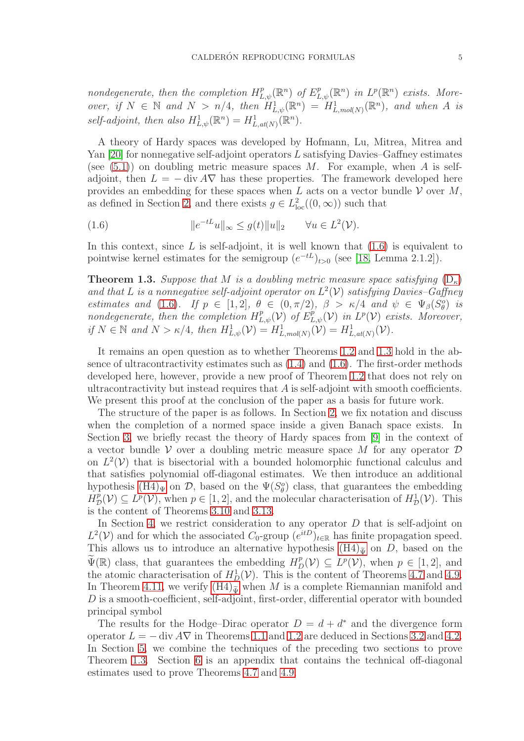nondegenerate, then the completion  $H^p_{L,\psi}(\mathbb{R}^n)$  of  $E^p_{L,\psi}(\mathbb{R}^n)$  in  $L^p(\mathbb{R}^n)$  exists. Moreover, if  $N \in \mathbb{N}$  and  $N > n/4$ , then  $H_{L,\psi}^1(\mathbb{R}^n) = H_{L,\text{mol}(N)}^1(\mathbb{R}^n)$ , and when A is self-adjoint, then also  $H^1_{L,\psi}(\mathbb{R}^n) = H^1_{L,at(N)}(\mathbb{R}^n)$ .

A theory of Hardy spaces was developed by Hofmann, Lu, Mitrea, Mitrea and Yan  $[20]$  for nonnegative self-adjoint operators L satisfying Davies–Gaffney estimates (see  $(5.1)$ ) on doubling metric measure spaces M. For example, when A is selfadjoint, then  $L = -\text{div } A \nabla$  has these properties. The framework developed here provides an embedding for these spaces when  $L$  acts on a vector bundle  $V$  over  $M$ , as defined in Section [2,](#page-5-0) and there exists  $g \in L^2_{loc}((0,\infty))$  such that

<span id="page-4-0"></span>(1.6) 
$$
||e^{-tL}u||_{\infty} \leq g(t)||u||_2 \quad \forall u \in L^2(\mathcal{V}).
$$

In this context, since L is self-adjoint, it is well known that  $(1.6)$  is equivalent to pointwise kernel estimates for the semigroup  $(e^{-tL})_{t>0}$  (see [\[18,](#page-29-7) Lemma 2.1.2]).

<span id="page-4-1"></span>**Theorem 1.3.** Suppose that M is a doubling metric measure space satisfying  $(D_{\kappa})$  $(D_{\kappa})$ and that L is a nonnegative self-adjoint operator on  $L^2(\mathcal{V})$  satisfying Davies-Gaffney estimates and [\(1.6\)](#page-4-0). If  $p \in [1,2], \theta \in (0,\pi/2), \beta > \kappa/4$  and  $\psi \in \Psi_{\beta}(S_{\theta}^o)$  is estimates and (1.0). If  $p \in [1, 2]$ ,  $\theta \in (0, n/2)$ ,  $p > n/4$  and  $\psi \in \Psi_{\beta}(\mathcal{D}_{\theta})$  is<br>nondegenerate, then the completion  $H_{L,\psi}^p(\mathcal{V})$  of  $E_{L,\psi}^p(\mathcal{V})$  in  $L^p(\mathcal{V})$  exists. Moreover, if  $N \in \mathbb{N}$  and  $N > \kappa/4$ , then  $H^1_{L,\psi}(\mathcal{V}) = H^1_{L,mol(N)}(\mathcal{V}) = H^1_{L,at(N)}(\mathcal{V})$ .

It remains an open question as to whether Theorems [1.2](#page-3-2) and [1.3](#page-4-1) hold in the absence of ultracontractivity estimates such as [\(1.4\)](#page-3-1) and [\(1.6\)](#page-4-0). The first-order methods developed here, however, provide a new proof of Theorem [1.2](#page-3-2) that does not rely on ultracontractivity but instead requires that  $A$  is self-adjoint with smooth coefficients. We present this proof at the conclusion of the paper as a basis for future work.

The structure of the paper is as follows. In Section [2,](#page-5-0) we fix notation and discuss when the completion of a normed space inside a given Banach space exists. In Section [3,](#page-6-0) we briefly recast the theory of Hardy spaces from [\[9\]](#page-29-1) in the context of a vector bundle  $V$  over a doubling metric measure space M for any operator  $D$ on  $L^2(V)$  that is bisectorial with a bounded holomorphic functional calculus and that satisfies polynomial off-diagonal estimates. We then introduce an additional hypothesis  $(H4)_{\Psi}$  on  $\mathcal{D}$ , based on the  $\Psi(S_{\theta}^o)$  class, that guarantees the embedding  $H^p_{\mathcal{D}}(\mathcal{V}) \subseteq L^p(\mathcal{V})$ , when  $p \in [1, 2]$ , and the molecular characterisation of  $H^1_{\mathcal{D}}(\mathcal{V})$ . This is the content of Theorems [3.10](#page-11-1) and [3.13.](#page-12-2)

In Section [4,](#page-15-0) we restrict consideration to any operator  $D$  that is self-adjoint on  $L^2(\mathcal{V})$  and for which the associated  $C_0$ -group  $(e^{itD})_{t\in\mathbb{R}}$  has finite propagation speed. This allows us to introduce an alternative hypothesis  $(H4)_{\tilde{\Psi}}$  on D, based on the  $\widetilde{\Psi}(\mathbb{R})$  class, that guarantees the embedding  $H_D^p(\mathcal{V}) \subseteq L^p(\mathcal{V})$ , when  $p \in [1,2]$ , and the atomic characterisation of  $H_D^1(\mathcal{V})$ . This is the content of Theorems [4.7](#page-19-1) and [4.9.](#page-20-1) In Theorem [4.11,](#page-21-1) we verify  $(H4)_{\tilde{\mathbf{w}}}$  when M is a complete Riemannian manifold and D is a smooth-coefficient, self-adjoint, first-order, differential operator with bounded principal symbol

The results for the Hodge–Dirac operator  $D = d + d^*$  and the divergence form operator  $L = - \text{div } A \nabla$  in Theorems [1.1](#page-3-0) and [1.2](#page-3-2) are deduced in Sections [3.2](#page-13-0) and [4.2.](#page-21-0) In Section [5,](#page-23-0) we combine the techniques of the preceding two sections to prove Theorem [1.3.](#page-4-1) Section [6](#page-26-0) is an appendix that contains the technical off-diagonal estimates used to prove Theorems [4.7](#page-19-1) and [4.9.](#page-20-1)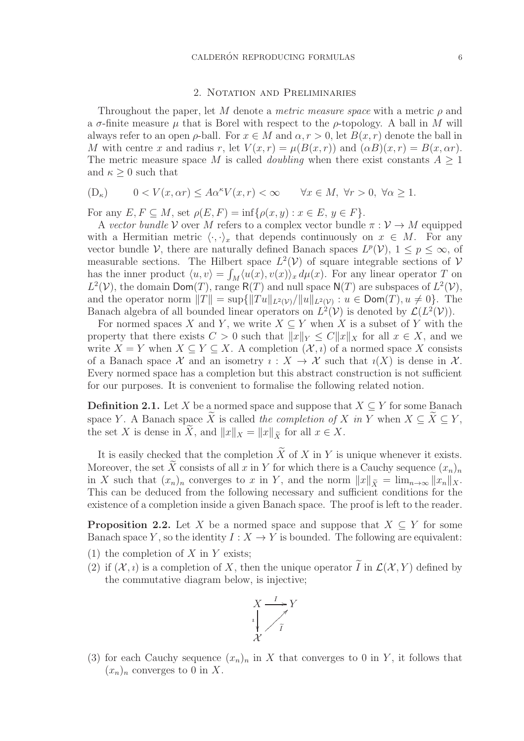# 2. Notation and Preliminaries

<span id="page-5-0"></span>Throughout the paper, let M denote a *metric measure space* with a metric  $\rho$  and a  $\sigma$ -finite measure  $\mu$  that is Borel with respect to the  $\rho$ -topology. A ball in M will always refer to an open  $\rho$ -ball. For  $x \in M$  and  $\alpha, r > 0$ , let  $B(x, r)$  denote the ball in M with centre x and radius r, let  $V(x,r) = \mu(B(x,r))$  and  $(\alpha B)(x,r) = B(x,\alpha r)$ . The metric measure space M is called *doubling* when there exist constants  $A \geq 1$ and  $\kappa \geq 0$  such that

<span id="page-5-1"></span>
$$
(\mathcal{D}_{\kappa}) \qquad 0 < V(x, \alpha r) \le A\alpha^{\kappa} V(x, r) < \infty \qquad \forall x \in M, \ \forall r > 0, \ \forall \alpha \ge 1.
$$

For any  $E, F \subseteq M$ , set  $\rho(E, F) = \inf \{ \rho(x, y) : x \in E, y \in F \}.$ 

A vector bundle V over M refers to a complex vector bundle  $\pi : V \to M$  equipped with a Hermitian metric  $\langle \cdot, \cdot \rangle_x$  that depends continuously on  $x \in M$ . For any vector bundle  $V$ , there are naturally defined Banach spaces  $L^p(V)$ ,  $1 \leq p \leq \infty$ , of measurable sections. The Hilbert space  $L^2(V)$  of square integrable sections of V has the inner product  $\langle u, v \rangle = \int_M \langle u(x), v(x) \rangle_x d\mu(x)$ . For any linear operator T on  $L^2(\mathcal{V})$ , the domain Dom(T), range R(T) and null space N(T) are subspaces of  $L^2(\mathcal{V})$ , and the operator norm  $||T|| = \sup\{||Tu||_{L^2(\mathcal{V})}/||u||_{L^2(\mathcal{V})}: u \in \text{Dom}(T), u \neq 0\}$ . The Banach algebra of all bounded linear operators on  $L^2(\mathcal{V})$  is denoted by  $\mathcal{L}(L^2(\mathcal{V}))$ .

For normed spaces X and Y, we write  $X \subseteq Y$  when X is a subset of Y with the property that there exists  $C > 0$  such that  $||x||_Y \leq C||x||_X$  for all  $x \in X$ , and we write  $X = Y$  when  $X \subseteq Y \subseteq X$ . A completion  $(X, i)$  of a normed space X consists of a Banach space X and an isometry  $\iota: X \to X$  such that  $\iota(X)$  is dense in X. Every normed space has a completion but this abstract construction is not sufficient for our purposes. It is convenient to formalise the following related notion.

<span id="page-5-2"></span>**Definition 2.1.** Let X be a normed space and suppose that  $X \subseteq Y$  for some Banach space Y. A Banach space  $\widetilde{X}$  is called the completion of X in Y when  $X \subseteq \widetilde{X} \subseteq Y$ , the set X is dense in  $\widetilde{X}$ , and  $||x||_X = ||x||_{\widetilde{X}}$  for all  $x \in X$ .

It is easily checked that the completion  $\widetilde{X}$  of  $X$  in  $Y$  is unique whenever it exists. Moreover, the set X consists of all x in Y for which there is a Cauchy sequence  $(x_n)_n$ in X such that  $(x_n)_n$  converges to x in Y, and the norm  $||x||_{\tilde{X}} = \lim_{n\to\infty} ||x_n||_X$ . This can be deduced from the following necessary and sufficient conditions for the existence of a completion inside a given Banach space. The proof is left to the reader.

<span id="page-5-3"></span>**Proposition 2.2.** Let X be a normed space and suppose that  $X \subseteq Y$  for some Banach space Y, so the identity  $I: X \to Y$  is bounded. The following are equivalent:

- (1) the completion of  $X$  in  $Y$  exists;
- (2) if  $(X, i)$  is a completion of X, then the unique operator  $\widetilde{I}$  in  $\mathcal{L}(\mathcal{X}, Y)$  defined by the commutative diagram below, is injective;



(3) for each Cauchy sequence  $(x_n)_n$  in X that converges to 0 in Y, it follows that  $(x_n)_n$  converges to 0 in X.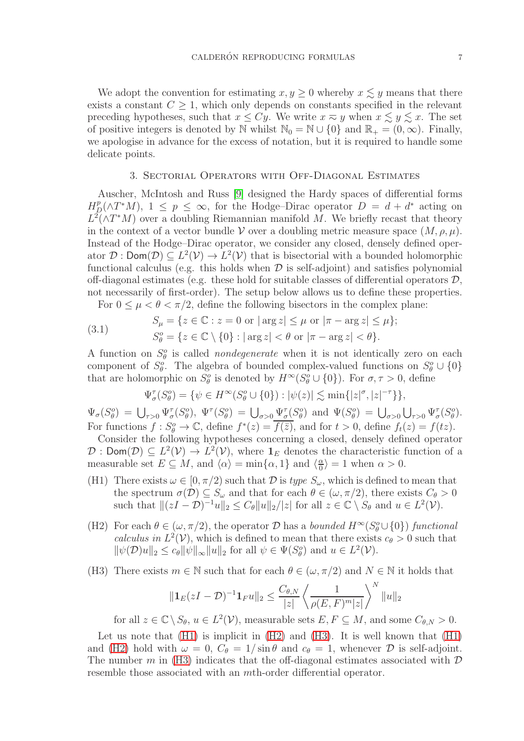We adopt the convention for estimating  $x, y \ge 0$  whereby  $x \lesssim y$  means that there exists a constant  $C \geq 1$ , which only depends on constants specified in the relevant preceding hypotheses, such that  $x \le Cy$ . We write  $x \approx y$  when  $x \le y \le x$ . The set of positive integers is denoted by N whilst  $\mathbb{N}_0 = \mathbb{N} \cup \{0\}$  and  $\mathbb{R}_+ = (0, \infty)$ . Finally, we apologise in advance for the excess of notation, but it is required to handle some delicate points.

### 3. Sectorial Operators with Off-Diagonal Estimates

<span id="page-6-0"></span>Auscher, McIntosh and Russ [\[9\]](#page-29-1) designed the Hardy spaces of differential forms  $H_D^p(\wedge T^*M), 1 \leq p \leq \infty$ , for the Hodge–Dirac operator  $D = d + d^*$  acting on  $L^2(\wedge T^*M)$  over a doubling Riemannian manifold M. We briefly recast that theory in the context of a vector bundle V over a doubling metric measure space  $(M, \rho, \mu)$ . Instead of the Hodge–Dirac operator, we consider any closed, densely defined operator  $\mathcal{D}$  : Dom $(\mathcal{D}) \subseteq L^2(\mathcal{V}) \to L^2(\mathcal{V})$  that is bisectorial with a bounded holomorphic functional calculus (e.g. this holds when  $\mathcal D$  is self-adjoint) and satisfies polynomial off-diagonal estimates (e.g. these hold for suitable classes of differential operators  $\mathcal{D}$ , not necessarily of first-order). The setup below allows us to define these properties.

For  $0 \leq \mu < \theta < \pi/2$ , define the following bisectors in the complex plane:

<span id="page-6-1"></span>(3.1) 
$$
S_{\mu} = \{ z \in \mathbb{C} : z = 0 \text{ or } |\arg z| \leq \mu \text{ or } |\pi - \arg z| \leq \mu \};
$$

$$
S_{\theta}^{o} = \{ z \in \mathbb{C} \setminus \{0\} : |\arg z| < \theta \text{ or } |\pi - \arg z| < \theta \}.
$$

A function on  $S^o_{\theta}$  is called *nondegenerate* when it is not identically zero on each component of  $S^o_\theta$ . The algebra of bounded complex-valued functions on  $S^o_\theta \cup \{0\}$ that are holomorphic on  $S^o_{\theta}$  is denoted by  $H^{\infty}(S^o_{\theta} \cup \{0\})$ . For  $\sigma, \tau > 0$ , define

$$
\Psi_{\sigma}^{\tau}(S_{\theta}^o) = \{ \psi \in H^{\infty}(S_{\theta}^o \cup \{0\}) : |\psi(z)| \lesssim \min\{|z|^{\sigma}, |z|^{-\tau}\} \},\
$$

 $\Psi_{\sigma}(S_{\theta}^o) = \bigcup_{\tau>0} \Psi_{\sigma}^{\tau}(S_{\theta}^o), \Psi^{\tau}(S_{\theta}^o) = \bigcup_{\sigma>0} \Psi_{\sigma}^{\tau}(S_{\theta}^o) \text{ and } \Psi(S_{\theta}^o) = \bigcup_{\sigma>0} \bigcup_{\tau>0} \Psi_{\sigma}^{\tau}(S_{\theta}^o).$ For functions  $f: S^o_{\theta} \to \mathbb{C}$ , define  $f^*(z) = \overline{f(\overline{z})}$ , and for  $t > 0$ , define  $f_t(z) = f(tz)$ .

Consider the following hypotheses concerning a closed, densely defined operator  $\mathcal{D}: \text{Dom}(\mathcal{D}) \subseteq L^2(\mathcal{V}) \to L^2(\mathcal{V}),$  where  $\mathbf{1}_E$  denotes the characteristic function of a measurable set  $E \subseteq M$ , and  $\langle \alpha \rangle = \min\{\alpha, 1\}$  and  $\langle \frac{\alpha}{0} \rangle$  $\frac{\alpha}{0}$  = 1 when  $\alpha > 0$ .

- <span id="page-6-2"></span>(H1) There exists  $\omega \in [0, \pi/2)$  such that  $\mathcal D$  is type  $S_{\omega}$ , which is defined to mean that the spectrum  $\sigma(\mathcal{D}) \subseteq S_\omega$  and that for each  $\theta \in (\omega, \pi/2)$ , there exists  $C_\theta > 0$ such that  $||(zI - \mathcal{D})^{-1}u||_2 \leq C_{\theta}||u||_2/|z|$  for all  $z \in \mathbb{C} \setminus S_{\theta}$  and  $u \in L^2(\mathcal{V})$ .
- <span id="page-6-3"></span>(H2) For each  $\theta \in (\omega, \pi/2)$ , the operator  $\mathcal D$  has a bounded  $H^{\infty}(S^o_{\theta} \cup \{0\})$  functional calculus in  $L^2(V)$ , which is defined to mean that there exists  $c_\theta > 0$  such that  $\|\psi(\mathcal{D})u\|_2 \leq c_\theta \|\psi\|_\infty \|u\|_2$  for all  $\psi \in \Psi(S_\theta^o)$  and  $u \in L^2(\mathcal{V})$ .
- <span id="page-6-4"></span>(H3) There exists  $m \in \mathbb{N}$  such that for each  $\theta \in (\omega, \pi/2)$  and  $N \in \mathbb{N}$  it holds that

$$
\|\mathbf{1}_{E}(zI-\mathcal{D})^{-1}\mathbf{1}_{F}u\|_{2} \leq \frac{C_{\theta,N}}{|z|} \left\langle \frac{1}{\rho(E,F)^{m}|z|} \right\rangle^{N} \|u\|_{2}
$$

for all  $z \in \mathbb{C} \setminus S_{\theta}$ ,  $u \in L^2(\mathcal{V})$ , measurable sets  $E, F \subseteq M$ , and some  $C_{\theta,N} > 0$ .

Let us note that [\(H1\)](#page-6-2) is implicit in [\(H2\)](#page-6-3) and [\(H3\)](#page-6-4). It is well known that [\(H1\)](#page-6-2) and [\(H2\)](#page-6-3) hold with  $\omega = 0$ ,  $C_{\theta} = 1/\sin \theta$  and  $c_{\theta} = 1$ , whenever  $\mathcal D$  is self-adjoint. The number m in [\(H3\)](#page-6-4) indicates that the off-diagonal estimates associated with  $\mathcal D$ resemble those associated with an mth-order differential operator.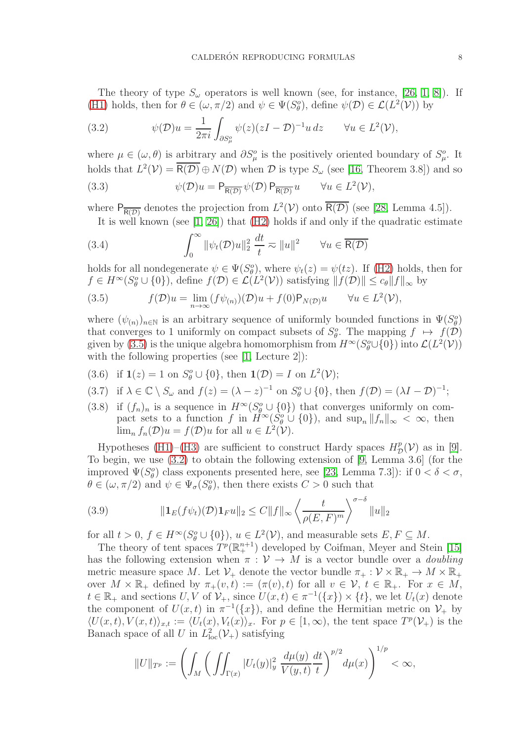The theory of type  $S_{\omega}$  operators is well known (see, for instance, [\[26,](#page-30-0) [1,](#page-29-8) [8\]](#page-29-9)). If [\(H1\)](#page-6-2) holds, then for  $\theta \in (\omega, \pi/2)$  and  $\psi \in \Psi(S^o_{\theta})$ , define  $\psi(\mathcal{D}) \in \mathcal{L}(L^2(\mathcal{V}))$  by

<span id="page-7-1"></span>(3.2) 
$$
\psi(\mathcal{D})u = \frac{1}{2\pi i} \int_{\partial S^o_\mu} \psi(z)(zI - \mathcal{D})^{-1}u dz \quad \forall u \in L^2(\mathcal{V}),
$$

where  $\mu \in (\omega, \theta)$  is arbitrary and  $\partial S^o_\mu$  is the positively oriented boundary of  $S^o_\mu$ . It holds that  $L^2(\mathcal{V}) = \overline{R(\mathcal{D})} \oplus N(\mathcal{D})$  when  $\mathcal D$  is type  $S_\omega$  (see [\[16,](#page-29-10) Theorem 3.8]) and so (3.3)  $\psi(\mathcal{D})u = \mathsf{P}_{\overline{\mathsf{R}(\mathcal{D})}}\psi(\mathcal{D})\,\mathsf{P}_{\overline{\mathsf{R}(\mathcal{D})}}u \qquad \forall u \in L^2(\mathcal{V}),$ 

where  $P_{\overline{R(D)}}$  denotes the projection from  $L^2(\mathcal{V})$  onto  $\overline{R(D)}$  (see [\[28,](#page-30-1) Lemma 4.5]).

<span id="page-7-3"></span><span id="page-7-2"></span>It is well known (see [\[1,](#page-29-8) [26\]](#page-30-0)) that [\(H2\)](#page-6-3) holds if and only if the quadratic estimate

(3.4) 
$$
\int_0^\infty \|\psi_t(\mathcal{D})u\|_2^2 \frac{dt}{t} \approx \|u\|^2 \qquad \forall u \in \overline{\mathsf{R}(\mathcal{D})}
$$

holds for all nondegenerate  $\psi \in \Psi(S_{\theta}^o)$ , where  $\psi_t(z) = \psi(tz)$ . If [\(H2\)](#page-6-3) holds, then for  $f \in H^{\infty}(S^o_{\theta} \cup \{0\}),$  define  $f(\mathcal{D}) \in \mathcal{L}(L^2(\mathcal{V}))$  satisfying  $|| f(\mathcal{D}) || \leq c_{\theta} ||f||_{\infty}$  by

<span id="page-7-0"></span>(3.5) 
$$
f(\mathcal{D})u = \lim_{n \to \infty} (f\psi_{(n)})(\mathcal{D})u + f(0)P_{N(\mathcal{D})}u \quad \forall u \in L^{2}(\mathcal{V}),
$$

where  $(\psi_{(n)})_{n\in\mathbb{N}}$  is an arbitrary sequence of uniformly bounded functions in  $\Psi(S^o_{\theta})$ that converges to 1 uniformly on compact subsets of  $S^o_\theta$ . The mapping  $f \mapsto f(\mathcal{D})$ given by [\(3.5\)](#page-7-0) is the unique algebra homomorphism from  $H^{\infty}(S^{\circ}_{\theta}\cup\{0\})$  into  $\mathcal{L}(L^{2}(\mathcal{V}))$ with the following properties (see [\[1,](#page-29-8) Lecture 2]):

- <span id="page-7-5"></span>(3.6) if  $\mathbf{1}(z) = 1$  on  $S^o_{\theta} \cup \{0\}$ , then  $\mathbf{1}(\mathcal{D}) = I$  on  $L^2(\mathcal{V})$ ;
- <span id="page-7-7"></span>(3.7) if  $\lambda \in \mathbb{C} \setminus S_\omega$  and  $f(z) = (\lambda - z)^{-1}$  on  $S_\theta^o \cup \{0\}$ , then  $f(\mathcal{D}) = (\lambda I - \mathcal{D})^{-1}$ ;
- <span id="page-7-6"></span>if  $(f_n)_n$  is a sequence in  $H^{\infty}(S^0 \cup \{0\})$  that converges uniformly on compact sets to a function f in  $H^{\infty}(\tilde{S}_{\theta}^{o} \cup \{0\})$ , and  $\sup_{n} ||f_{n}||_{\infty} < \infty$ , then  $\lim_{n} f_n(\mathcal{D})u = f(\mathcal{D})u$  for all  $u \in L^2(\mathcal{V})$ . (3.8)

Hypotheses [\(H1\)](#page-6-2)–[\(H3\)](#page-6-4) are sufficient to construct Hardy spaces  $H^p_{\mathcal{D}}(\mathcal{V})$  as in [\[9\]](#page-29-1). To begin, we use [\(3.2\)](#page-7-1) to obtain the following extension of [\[9,](#page-29-1) Lemma 3.6] (for the improved  $\Psi(S^o_{\theta})$  class exponents presented here, see [\[23,](#page-30-2) Lemma 7.3]): if  $0 < \delta < \sigma$ ,  $\theta \in (\omega, \pi/2)$  and  $\psi \in \Psi_{\sigma}(S^o_{\theta})$ , then there exists  $C > 0$  such that

<span id="page-7-4"></span>(3.9) 
$$
\|\mathbf{1}_E(f\psi_t)(\mathcal{D})\mathbf{1}_F u\|_2 \leq C \|f\|_{\infty} \left\langle \frac{t}{\rho(E,F)^m} \right\rangle^{\sigma-\delta} \|u\|_2
$$

for all  $t > 0$ ,  $f \in H^{\infty}(S^o_{\theta} \cup \{0\})$ ,  $u \in L^2(\mathcal{V})$ , and measurable sets  $E, F \subseteq M$ .

The theory of tent spaces  $\tilde{T}^p(\mathbb{R}^{n+1}_+)$  developed by Coifman, Meyer and Stein [\[15\]](#page-29-2) has the following extension when  $\pi : V \to M$  is a vector bundle over a *doubling* metric measure space M. Let  $\mathcal{V}_+$  denote the vector bundle  $\pi_+ : \mathcal{V} \times \mathbb{R}_+ \to M \times \mathbb{R}_+$ over  $M \times \mathbb{R}_+$  defined by  $\pi_+(v,t) := (\pi(v),t)$  for all  $v \in \mathcal{V}, t \in \mathbb{R}_+$ . For  $x \in M$ ,  $t \in \mathbb{R}_+$  and sections  $U, V$  of  $\mathcal{V}_+$ , since  $U(x,t) \in \pi^{-1}(\{x\}) \times \{t\}$ , we let  $U_t(x)$  denote the component of  $U(x,t)$  in  $\pi^{-1}(\{x\})$ , and define the Hermitian metric on  $\mathcal{V}_+$  by  $\langle U(x,t), V(x,t) \rangle_{x,t} := \langle U_t(x), V_t(x) \rangle_x$ . For  $p \in [1,\infty)$ , the tent space  $T^p(\mathcal{V}_+)$  is the Banach space of all U in  $L^2_{\text{loc}}(\mathcal{V}_+)$  satisfying

$$
||U||_{T^{p}} := \left(\int_{M} \left(\iint_{\Gamma(x)} |U_{t}(y)|_{y}^{2} \frac{d\mu(y)}{V(y,t)} \frac{dt}{t}\right)^{p/2} d\mu(x)\right)^{1/p} < \infty,
$$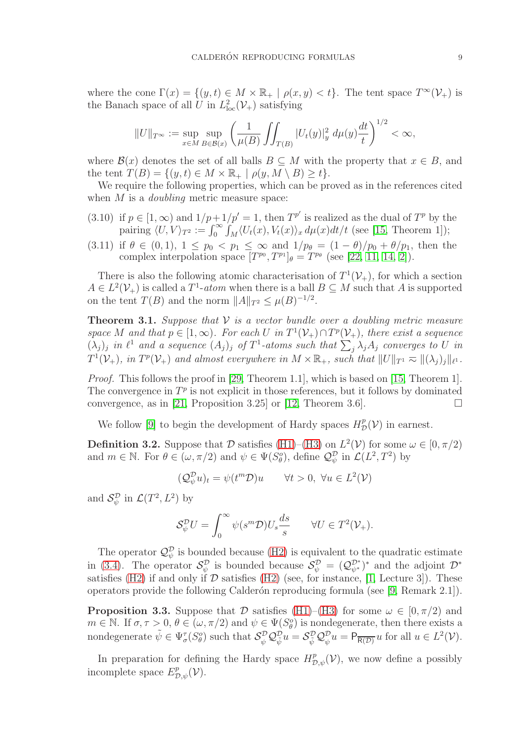where the cone  $\Gamma(x) = \{(y, t) \in M \times \mathbb{R}_+ \mid \rho(x, y) < t\}.$  The tent space  $T^{\infty}(\mathcal{V}_+)$  is the Banach space of all U in  $L^2_{loc}(\mathcal{V}_+)$  satisfying

$$
||U||_{T^{\infty}} := \sup_{x \in M} \sup_{B \in \mathcal{B}(x)} \left( \frac{1}{\mu(B)} \iint_{T(B)} |U_t(y)|_y^2 d\mu(y) \frac{dt}{t} \right)^{1/2} < \infty,
$$

where  $\mathcal{B}(x)$  denotes the set of all balls  $B \subseteq M$  with the property that  $x \in B$ , and the tent  $T(B) = \{(y, t) \in M \times \mathbb{R}_+ \mid \rho(y, M \setminus B) \geq t\}.$ 

We require the following properties, which can be proved as in the references cited when  $M$  is a *doubling* metric measure space:

- <span id="page-8-3"></span>if  $p \in [1,\infty)$  and  $1/p+1/p' = 1$ , then  $T^{p'}$  is realized as the dual of  $T^p$  by the pairing  $\langle U, V \rangle_{T^2} := \int_0^\infty \int_M \langle U_t(x), V_t(x) \rangle_x d\mu(x) dt/t$  (see [\[15,](#page-29-2) Theorem 1]); (3.10)
- <span id="page-8-2"></span>if  $\theta \in (0,1)$ ,  $1 \leq p_0 < p_1 \leq \infty$  and  $1/p_\theta = (1-\theta)/p_0 + \theta/p_1$ , then the complex interpolation space  $[T^{p_0}, T^{p_1}]_\theta = T^{p_\theta}$  (see [\[22,](#page-29-11) [11,](#page-29-12) [14,](#page-29-13) [2\]](#page-29-14)). (3.11)

There is also the following atomic characterisation of  $T^1(\mathcal{V}_+)$ , for which a section  $A \in L^2(\mathcal{V}_+)$  is called a  $T^1$ -atom when there is a ball  $B \subseteq M$  such that A is supported on the tent  $T(B)$  and the norm  $||A||_{T^2} \leq \mu(B)^{-1/2}$ .

<span id="page-8-1"></span>**Theorem 3.1.** Suppose that  $V$  is a vector bundle over a doubling metric measure space M and that  $p \in [1, \infty)$ . For each U in  $T^1(\mathcal{V}_+) \cap T^p(\mathcal{V}_+)$ , there exist a sequence  $(\lambda_j)_j$  in  $\ell^1$  and a sequence  $(A_j)_j$  of  $T^1$ -atoms such that  $\sum_j \lambda_j A_j$  converges to U in  $T^1(\mathcal{V}_+)$ , in  $T^p(\mathcal{V}_+)$  and almost everywhere in  $M \times \mathbb{R}_+$ , such that  $||U||_{T^1} \approx ||(\lambda_j)_j||_{\ell^1}$ .

Proof. This follows the proof in [\[29,](#page-30-3) Theorem 1.1], which is based on [\[15,](#page-29-2) Theorem 1]. The convergence in  $T^p$  is not explicit in those references, but it follows by dominated convergence, as in [\[21,](#page-29-3) Proposition 3.25] or [\[12,](#page-29-15) Theorem 3.6].

We follow [\[9\]](#page-29-1) to begin the development of Hardy spaces  $H^p_{\mathcal{D}}(\mathcal{V})$  in earnest.

<span id="page-8-4"></span>**Definition 3.2.** Suppose that  $\mathcal{D}$  satisfies [\(H1\)](#page-6-2)–[\(H3\)](#page-6-4) on  $L^2(\mathcal{V})$  for some  $\omega \in [0, \pi/2)$ and  $m \in \mathbb{N}$ . For  $\theta \in (\omega, \pi/2)$  and  $\psi \in \Psi(S_\theta^o)$ , define  $\mathcal{Q}_{\psi}^{\mathcal{D}}$  in  $\mathcal{L}(L^2, T^2)$  by

$$
(\mathcal{Q}_{\psi}^{\mathcal{D}} u)_t = \psi(t^m \mathcal{D}) u \qquad \forall t > 0, \ \forall u \in L^2(\mathcal{V})
$$

and  $\mathcal{S}_{\psi}^{\mathcal{D}}$  in  $\mathcal{L}(T^2, L^2)$  by

$$
\mathcal{S}_{\psi}^{\mathcal{D}}U = \int_{0}^{\infty} \psi(s^{m}\mathcal{D})U_{s}\frac{ds}{s} \qquad \forall U \in T^{2}(\mathcal{V}_{+}).
$$

The operator  $\mathcal{Q}_{\psi}^{\mathcal{D}}$  is bounded because [\(H2\)](#page-6-3) is equivalent to the quadratic estimate in [\(3.4\)](#page-7-2). The operator  $\mathcal{S}_{\psi}^{\mathcal{D}}$  is bounded because  $\mathcal{S}_{\psi}^{\mathcal{D}} = (\mathcal{Q}_{\psi^*}^{\mathcal{D}^*})^*$  and the adjoint  $\mathcal{D}^*$ satisfies [\(H2\)](#page-6-3) if and only if  $D$  satisfies (H2) (see, for instance, [\[1,](#page-29-8) Lecture 3]). These operators provide the following Calder´on reproducing formula (see [\[9,](#page-29-1) Remark 2.1]).

<span id="page-8-0"></span>**Proposition 3.3.** Suppose that D satisfies [\(H1\)](#page-6-2)–[\(H3\)](#page-6-4) for some  $\omega \in [0, \pi/2]$  and  $m \in \mathbb{N}$ . If  $\sigma, \tau > 0$ ,  $\theta \in (\omega, \pi/2)$  and  $\psi \in \Psi(S^o_{\theta})$  is nondegenerate, then there exists a nondegenerate  $\tilde{\psi} \in \Psi_{\sigma}^{\tau}(S_{\theta}^o)$  such that  $\mathcal{S}_{\psi}^{\mathcal{D}} \mathcal{Q}_{\psi}^{\mathcal{D}} u = \mathcal{S}_{\tilde{\psi}}^{\mathcal{D}} \mathcal{Q}_{\psi}^{\mathcal{D}} u = \mathsf{P}_{\overline{\mathsf{R}(\mathcal{D})}} u$  for all  $u \in L^2(\mathcal{V})$ .

In preparation for defining the Hardy space  $H_{\mathcal{D},\psi}^p(\mathcal{V})$ , we now define a possibly incomplete space  $E^p_{\mathcal{D},\psi}(\mathcal{V})$ .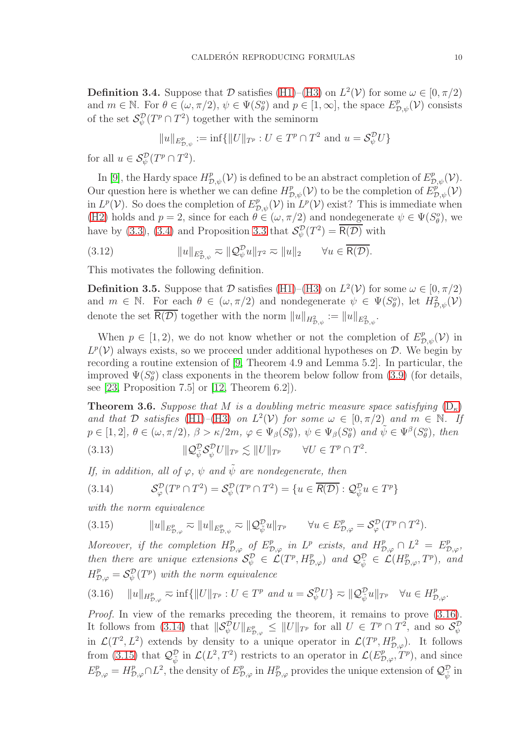<span id="page-9-0"></span>**Definition 3.4.** Suppose that D satisfies [\(H1\)](#page-6-2)–[\(H3\)](#page-6-4) on  $L^2(V)$  for some  $\omega \in [0, \pi/2)$ and  $m \in \mathbb{N}$ . For  $\theta \in (\omega, \pi/2), \psi \in \Psi(S_{\theta}^o)$  and  $p \in [1, \infty]$ , the space  $E_{\mathcal{D}, \psi}^p(\mathcal{V})$  consists of the set  $\mathcal{S}_{\psi}^{\mathcal{D}}(T^p \cap T^2)$  together with the seminorm

$$
||u||_{E^p_{\mathcal{D},\psi}} := \inf \{||U||_{T^p} : U \in T^p \cap T^2 \text{ and } u = \mathcal{S}_{\psi}^{\mathcal{D}} U\}
$$

for all  $u \in \mathcal{S}_{\psi}^{\mathcal{D}}(T^p \cap T^2)$ .

In [\[9\]](#page-29-1), the Hardy space  $H^p_{\mathcal{D},\psi}(\mathcal{V})$  is defined to be an abstract completion of  $E^p_{\mathcal{D},\psi}(\mathcal{V})$ . Our question here is whether we can define  $H^p_{\mathcal{D},\psi}(\mathcal{V})$  to be the completion of  $E^{\rho'}_{\mathcal{D},\psi}(\mathcal{V})$ in  $L^p(\mathcal{V})$ . So does the completion of  $E^p_{\mathcal{D},\psi}(\mathcal{V})$  in  $L^p(\mathcal{V})$  exist? This is immediate when [\(H2\)](#page-6-3) holds and  $p = 2$ , since for each  $\theta \in (\omega, \pi/2)$  and nondegenerate  $\psi \in \Psi(S^o_{\theta})$ , we have by [\(3.3\)](#page-7-3), [\(3.4\)](#page-7-2) and Proposition [3.3](#page-8-0) that  $\mathcal{S}_{\psi}^{\mathcal{D}}(T^2) = \overline{\mathsf{R}(\mathcal{D})}$  with

<span id="page-9-6"></span>(3.12)  $\|u\|_{E^2_{\mathcal{D},\psi}} \eqsim \|\mathcal{Q}_{\psi}^{\mathcal{D}} u\|_{T^2} \eqsim \|u\|_2 \quad \forall u \in \overline{\mathsf{R}(\mathcal{D})}.$ 

This motivates the following definition.

**Definition 3.5.** Suppose that  $D$  satisfies [\(H1\)](#page-6-2)–[\(H3\)](#page-6-4) on  $L^2(\mathcal{V})$  for some  $\omega \in [0, \pi/2)$ and  $m \in \mathbb{N}$ . For each  $\theta \in (\omega, \pi/2)$  and nondegenerate  $\psi \in \Psi(S^o_{\theta})$ , let  $H^2_{\mathcal{D}, \psi}(\mathcal{V})$ denote the set  $\overline{\mathsf{R}(\mathcal{D})}$  together with the norm  $||u||_{H^2_{\mathcal{D},\psi}} := ||u||_{E^2_{\mathcal{D},\psi}}$ .

When  $p \in [1, 2)$ , we do not know whether or not the completion of  $E_{\mathcal{D}, \psi}^p(\mathcal{V})$  in  $L^p(\mathcal{V})$  always exists, so we proceed under additional hypotheses on  $\mathcal{D}$ . We begin by recording a routine extension of [\[9,](#page-29-1) Theorem 4.9 and Lemma 5.2]. In particular, the improved  $\Psi(S^o_\theta)$  class exponents in the theorem below follow from [\(3.9\)](#page-7-4) (for details, see  $[23,$  Proposition 7.5 or  $[12,$  Theorem 6.2..

<span id="page-9-5"></span>**Theorem 3.6.** Suppose that M is a doubling metric measure space satisfying  $(D_{\kappa})$  $(D_{\kappa})$ and that D satisfies [\(H1\)](#page-6-2)–[\(H3\)](#page-6-4) on  $L^2(\mathcal{V})$  for some  $\omega \in [0, \pi/2)$  and  $m \in \mathbb{N}$ . If  $p \in [1,2], \ \theta \in (\omega, \pi/2), \ \beta > \kappa/2m, \ \varphi \in \Psi_{\beta}(S_{\theta}^o), \ \psi \in \Psi_{\beta}(S_{\theta}^o) \ \text{and} \ \tilde{\psi} \in \Psi^{\beta}(S_{\theta}^o), \ \text{then}$ 

<span id="page-9-4"></span>(3.13) 
$$
\|\mathcal{Q}_{\psi}^{\mathcal{D}}\mathcal{S}_{\psi}^{\mathcal{D}}U\|_{T^{p}} \lesssim \|U\|_{T^{p}} \qquad \forall U \in T^{p} \cap T^{2}.
$$

If, in addition, all of  $\varphi$ ,  $\psi$  and  $\tilde{\psi}$  are nondegenerate, then

<span id="page-9-2"></span>(3.14) 
$$
\mathcal{S}_{\varphi}^{\mathcal{D}}(T^p \cap T^2) = \mathcal{S}_{\psi}^{\mathcal{D}}(T^p \cap T^2) = \{u \in \overline{\mathcal{R}(\mathcal{D})} : \mathcal{Q}_{\tilde{\psi}}^{\mathcal{D}} u \in T^p\}
$$

with the norm equivalence

<span id="page-9-3"></span>(3.15) 
$$
||u||_{E^p_{\mathcal{D},\varphi}} \eqsim ||u||_{E^p_{\mathcal{D},\psi}} \eqsim ||\mathcal{Q}_{\tilde{\psi}}^{\mathcal{D}} u||_{T^p} \qquad \forall u \in E^p_{\mathcal{D},\varphi} = \mathcal{S}_{\varphi}^{\mathcal{D}}(T^p \cap T^2).
$$

Moreover, if the completion  $H_{\mathcal{D},\varphi}^p$  of  $E_{\mathcal{D},\varphi}^p$  in  $L^p$  exists, and  $H_{\mathcal{D},\varphi}^p \cap L^2 = E_{\mathcal{D},\varphi}^p$ , then there are unique extensions  $\mathcal{S}_{\psi}^{\mathcal{D}} \in \mathcal{L}(T^p, H^p_{\mathcal{D}, \varphi})$  and  $\mathcal{Q}_{\tilde{\psi}}^{\mathcal{D}} \in \mathcal{L}(H^p_{\mathcal{D}, \varphi}, T^p)$ , and  $H_{\mathcal{D},\varphi}^p = \mathcal{S}_{\psi}^{\mathcal{D}}(T^p)$  with the norm equivalence

<span id="page-9-1"></span>
$$
(3.16) \quad \|u\|_{H^p_{\mathcal{D},\varphi}} \eqsim \inf\{ \|U\|_{T^p} : U \in T^p \text{ and } u = \mathcal{S}^{\mathcal{D}}_{\psi} U \} \eqsim \| \mathcal{Q}^{\mathcal{D}}_{\tilde{\psi}} u \|_{T^p} \quad \forall u \in H^p_{\mathcal{D},\varphi}.
$$

Proof. In view of the remarks preceding the theorem, it remains to prove  $(3.16)$ . It follows from [\(3.14\)](#page-9-2) that  $\|\mathcal{S}_{\psi}^{\mathcal{D}}U\|_{E^p_{\mathcal{D},\varphi}} \leq \|U\|_{T^p}$  for all  $U \in T^p \cap T^2$ , and so  $\mathcal{S}_{\psi}^{\mathcal{D}}$ in  $\mathcal{L}(T^2, L^2)$  extends by density to a unique operator in  $\mathcal{L}(T^p, H^p_{\mathcal{D},\varphi})$ . It follows from [\(3.15\)](#page-9-3) that  $\mathcal{Q}_{\tilde{\psi}}^{\mathcal{D}}$  in  $\mathcal{L}(L^2, T^2)$  restricts to an operator in  $\mathcal{L}(E_{\mathcal{D},\varphi}^p, T^p)$ , and since  $E^p_{\mathcal{D},\varphi} = H^p_{\mathcal{D},\varphi} \cap L^2$ , the density of  $E^p_{\mathcal{D},\varphi}$  in  $H^p_{\mathcal{D},\varphi}$  provides the unique extension of  $\mathcal{Q}^{\mathcal{D}}_{\tilde{\psi}}$  in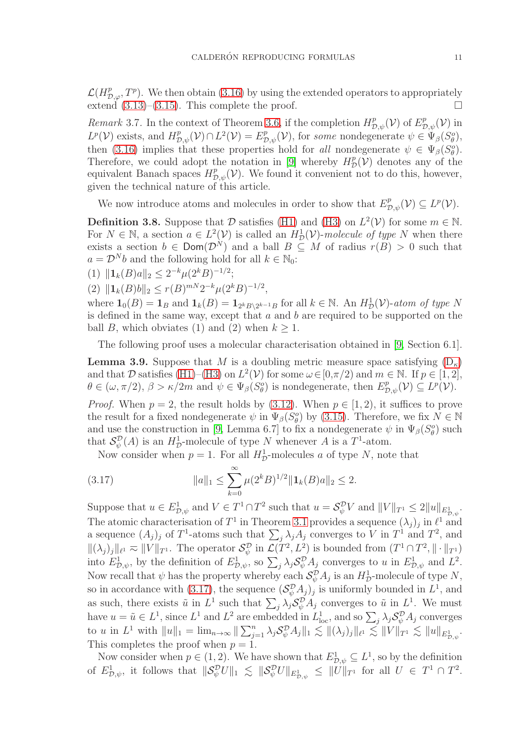$\mathcal{L}(H_{\mathcal{D},\varphi}^p,T^p)$ . We then obtain [\(3.16\)](#page-9-1) by using the extended operators to appropriately extend  $(3.13)$ – $(3.15)$ . This complete the proof.

Remark 3.7. In the context of Theorem [3.6,](#page-9-5) if the completion  $H^p_{\mathcal{D},\psi}(\mathcal{V})$  of  $E^p_{\mathcal{D},\psi}(\mathcal{V})$  in  $L^p(\mathcal{V})$  exists, and  $H^p_{\mathcal{D},\psi}(\mathcal{V}) \cap L^2(\mathcal{V}) = E^p_{\mathcal{D},\psi}(\mathcal{V})$ , for some nondegenerate  $\psi \in \Psi_\beta(S_\theta^o)$ , then [\(3.16\)](#page-9-1) implies that these properties hold for all nondegenerate  $\psi \in \Psi_{\beta}(S_{\theta}^o)$ . Therefore, we could adopt the notation in [\[9\]](#page-29-1) whereby  $H^p_{\mathcal{D}}(\mathcal{V})$  denotes any of the equivalent Banach spaces  $H^p_{\mathcal{D},\psi}(\mathcal{V})$ . We found it convenient not to do this, however, given the technical nature of this article.

We now introduce atoms and molecules in order to show that  $E^p_{\mathcal{D},\psi}(\mathcal{V}) \subseteq L^p(\mathcal{V})$ .

<span id="page-10-2"></span>**Definition 3.8.** Suppose that  $\mathcal{D}$  satisfies [\(H1\)](#page-6-2) and [\(H3\)](#page-6-4) on  $L^2(\mathcal{V})$  for some  $m \in \mathbb{N}$ . For  $N \in \mathbb{N}$ , a section  $a \in L^2(\mathcal{V})$  is called an  $H^1_{\mathcal{D}}(\mathcal{V})$ -molecule of type N when there exists a section  $b \in \textsf{Dom}(\mathcal{D}^N)$  and a ball  $B \subseteq M$  of radius  $r(B) > 0$  such that  $a = \mathcal{D}^N b$  and the following hold for all  $k \in \mathbb{N}_0$ :

(1)  $\|\mathbf{1}_k(B) a\|_2 \leq 2^{-k} \mu(2^k B)^{-1/2};$ 

(2)  $\|\mathbf{1}_k(B)b\|_2 \le r(B)^{mN}2^{-k}\mu(2^kB)^{-1/2},$ 

where  $\mathbf{1}_0(B) = \mathbf{1}_B$  and  $\mathbf{1}_k(B) = \mathbf{1}_{2^k B \setminus 2^{k-1}B}$  for all  $k \in \mathbb{N}$ . An  $H^1_{\mathcal{D}}(\mathcal{V})$ -atom of type N is defined in the same way, except that  $a$  and  $b$  are required to be supported on the ball B, which obviates (1) and (2) when  $k \geq 1$ .

The following proof uses a molecular characterisation obtained in [\[9,](#page-29-1) Section 6.1].

<span id="page-10-1"></span>**Lemma 3.9.** Suppose that M is a doubling metric measure space satisfying  $(D_{\kappa})$ and that D satisfies [\(H1\)](#page-6-2)–[\(H3\)](#page-6-4) on  $L^2(V)$  for some  $\omega \in [0, \pi/2)$  and  $m \in \mathbb{N}$ . If  $p \in [1, 2]$ ,  $\theta \in (\omega, \pi/2), \beta > \kappa/2m$  and  $\psi \in \Psi_{\beta}(S_{\theta}^{\circ})$  is nondegenerate, then  $E_{\mathcal{D},\psi}^{p}(\mathcal{V}) \subseteq L^{p}(\mathcal{V})$ .

*Proof.* When  $p = 2$ , the result holds by [\(3.12\)](#page-9-6). When  $p \in [1, 2)$ , it suffices to prove the result for a fixed nondegenerate  $\psi$  in  $\Psi_{\beta}(S_{\theta}^o)$  by [\(3.15\)](#page-9-3). Therefore, we fix  $N \in \mathbb{N}$ and use the construction in [\[9,](#page-29-1) Lemma 6.7] to fix a nondegenerate  $\psi$  in  $\Psi_{\beta}(S^o_{\theta})$  such that  $\mathcal{S}_{\psi}^{\mathcal{D}}(A)$  is an  $H_{\mathcal{D}}^1$ -molecule of type N whenever A is a  $T^1$ -atom.

<span id="page-10-0"></span>Now consider when  $p = 1$ . For all  $H^1_{\mathcal{D}}$ -molecules a of type N, note that

(3.17) 
$$
||a||_1 \leq \sum_{k=0}^{\infty} \mu(2^k B)^{1/2} ||\mathbf{1}_k(B)a||_2 \leq 2.
$$

Suppose that  $u \in E^1_{\mathcal{D},\psi}$  and  $V \in T^1 \cap T^2$  such that  $u = \mathcal{S}_{\psi}^{\mathcal{D}} V$  and  $||V||_{T^1} \leq 2||u||_{E^1_{\mathcal{D},\psi}}$ . The atomic characterisation of  $T^1$  in Theorem [3.1](#page-8-1) provides a sequence  $(\lambda_j)_j$  in  $\ell^1$  and a sequence  $(A_j)_j$  of  $T^1$ -atoms such that  $\sum_j \lambda_j A_j$  converges to V in  $T^1$  and  $T^2$ , and  $\|(\lambda_j)_j\|_{\ell^1} \approx \|V\|_{T^1}$ . The operator  $\mathcal{S}_{\psi}^{\mathcal{D}}$  in  $\mathcal{L}(T^2, L^2)$  is bounded from  $(T^1 \cap T^2, \|\cdot\|_{T^1})$ into  $E^1_{\mathcal{D},\psi}$ , by the definition of  $E^1_{\mathcal{D},\psi}$ , so  $\sum_j \lambda_j \mathcal{S}_{\psi}^{\mathcal{D}} A_j$  converges to u in  $E^1_{\mathcal{D},\psi}$  and  $L^2$ . Now recall that  $\psi$  has the property whereby each  $\mathcal{S}_{\psi}^{\mathcal{D}} A_j$  is an  $H_{\mathcal{D}}^1$ -molecule of type N, so in accordance with [\(3.17\)](#page-10-0), the sequence  $(\mathcal{S}_{\psi}^{\mathcal{D}} A_j)_j$  is uniformly bounded in  $L^1$ , and as such, there exists  $\tilde{u}$  in  $L^1$  such that  $\sum_j \lambda_j S_{\psi}^{\mathcal{D}} A_j$  converges to  $\tilde{u}$  in  $L^1$ . We must have  $u = \tilde{u} \in L^1$ , since  $L^1$  and  $L^2$  are embedded in  $L^1_{loc}$ , and so  $\sum_j \lambda_j S_{\psi}^{\mathcal{D}} A_j$  converges to u in  $L^1$  with  $||u||_1 = \lim_{n \to \infty} ||\sum_{j=1}^n \lambda_j S_{\psi}^{\mathcal{D}} A_j||_1 \lesssim ||(\lambda_j)_j||_{\ell^1} \lesssim ||V||_{T^1} \lesssim ||u||_{E_{\mathcal{D},\psi}^1}$ . This completes the proof when  $p = 1$ .

Now consider when  $p \in (1, 2)$ . We have shown that  $E_{\mathcal{D}, \psi}^1 \subseteq L^1$ , so by the definition of  $E^1_{\mathcal{D},\psi}$ , it follows that  $\|\mathcal{S}_{\psi}^{\mathcal{D}}U\|_{1} \leq \|\mathcal{S}_{\psi}^{\mathcal{D}}U\|_{E^1_{\mathcal{D},\psi}} \leq \|U\|_{T^1}$  for all  $U \in T^1 \cap T^2$ .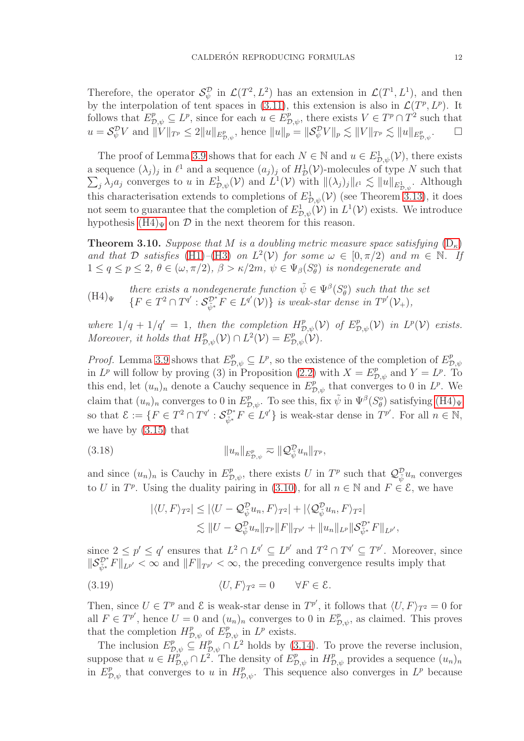Therefore, the operator  $\mathcal{S}_{\psi}^{\mathcal{D}}$  in  $\mathcal{L}(T^2, L^2)$  has an extension in  $\mathcal{L}(T^1, L^1)$ , and then by the interpolation of tent spaces in  $(3.11)$ , this extension is also in  $\mathcal{L}(T^p, L^p)$ . It follows that  $E_{\mathcal{D},\psi}^p \subseteq L^p$ , since for each  $u \in E_{\mathcal{D},\psi}^p$ , there exists  $V \in T^p \cap T^2$  such that  $u = \mathcal{S}_{\psi}^{\mathcal{D}} V$  and  $||V||_{T^p} \leq 2||u||_{E^p_{\mathcal{D},\psi}},$  hence  $||u||_p = ||\mathcal{S}_{\psi}^{\mathcal{D}} V||_p \lesssim ||V||_{T^p} \lesssim ||u||_{E^p_{\mathcal{D},\psi}}$  $\Box$ 

The proof of Lemma [3.9](#page-10-1) shows that for each  $N \in \mathbb{N}$  and  $u \in E_{\mathcal{D},\psi}^1(\mathcal{V})$ , there exists a sequence  $(\lambda_j)_j$  in  $\ell^1$  and a sequence  $(a_j)_j$  of  $H^1_{\mathcal{I}}$ a sequence  $(\lambda_j)_j$  in  $\ell^1$  and a sequence  $(a_j)_j$  of  $H^1_{\mathcal{D}}(\mathcal{V})$ -molecules of type N such that  $\sum_i \lambda_i a_j$  converges to u in  $E^1_{\mathcal{D},\phi}(\mathcal{V})$  and  $L^1(\mathcal{V})$  with  $||(\lambda_i)_i||_{\ell^1} \le ||u||_{F^1}$ . Although  $j \lambda_j a_j$  converges to u in  $E_{\mathcal{D},\psi}^1(\mathcal{V})$  and  $L^1(\mathcal{V})$  with  $\|(\lambda_j)_j\|_{\ell^1} \lesssim \|u\|_{E_{\mathcal{D},\psi}^1}$ . Although this characterisation extends to completions of  $E_{\mathcal{D},\psi}^1(\mathcal{V})$  (see Theorem [3.13\)](#page-12-2), it does not seem to guarantee that the completion of  $E^1_{\mathcal{D},\psi}(\mathcal{V})$  in  $L^1(\mathcal{V})$  exists. We introduce hypothesis  $(H4)_{\Psi}$  on  $\mathcal{D}$  in the next theorem for this reason.

<span id="page-11-1"></span>**Theorem 3.10.** Suppose that M is a doubling metric measure space satisfying  $(D_{\kappa})$  $(D_{\kappa})$ and that D satisfies [\(H1\)](#page-6-2)–[\(H3\)](#page-6-4) on  $L^2(\mathcal{V})$  for some  $\omega \in [0, \pi/2)$  and  $m \in \mathbb{N}$ . If  $1 \le q \le p \le 2$ ,  $\theta \in (\omega, \pi/2)$ ,  $\beta > \kappa/2m$ ,  $\psi \in \Psi_{\beta}(S^o_{\theta})$  is nondegenerate and

<span id="page-11-0"></span> $(H4)_\Psi$ there exists a nondegenerate function  $\tilde{\psi} \in \Psi^{\beta}(S_{\theta}^{\circ})$  such that the set  $\{F \in T^2 \cap T^{q'} : \mathcal{S}_{\tilde{\psi}^*}^{\mathcal{D}^*} F \in L^{q'}(\mathcal{V})\}$  is weak-star dense in  $T^{p'}(\mathcal{V}_+),$ 

where  $1/q + 1/q' = 1$ , then the completion  $H^p_{\mathcal{D},\psi}(\mathcal{V})$  of  $E^p_{\mathcal{D},\psi}(\mathcal{V})$  in  $L^p(\mathcal{V})$  exists. Moreover, it holds that  $H^p_{\mathcal{D},\psi}(\mathcal{V}) \cap L^2(\mathcal{V}) = E^p_{\mathcal{D},\psi}(\mathcal{V}).$ 

*Proof.* Lemma [3.9](#page-10-1) shows that  $E_{\mathcal{D},\psi}^p \subseteq L^p$ , so the existence of the completion of  $E_{\mathcal{D},\psi}^p$  $D_{,}\psi$ in  $L^p$  will follow by proving (3) in Proposition [\(2.2\)](#page-5-3) with  $X = E^p_{\mathcal{D}, \psi}$  and  $Y = L^p$ . To this end, let  $(u_n)_n$  denote a Cauchy sequence in  $E_{\mathcal{D},\psi}^p$  that converges to 0 in  $L^p$ . We claim that  $(u_n)_n$  converges to 0 in  $E^p_{\mathcal{D},\psi}$ . To see this, fix  $\tilde{\psi}$  in  $\Psi^{\beta}(S^o_{\theta})$  satisfying  $(H4)_{\Psi}$ so that  $\mathcal{E} := \{ F \in T^2 \cap T^{q'} : \mathcal{S}_{\tilde{\psi}^*}^{\mathcal{D}^*} F \in L^{q'} \}$  is weak-star dense in  $T^{p'}$ . For all  $n \in \mathbb{N}$ , we have by [\(3.15\)](#page-9-3) that

(3.18) 
$$
||u_n||_{E^p_{\mathcal{D},\psi}} \gtrsim ||\mathcal{Q}_{\psi}^{\mathcal{D}} u_n||_{T^p},
$$

and since  $(u_n)_n$  is Cauchy in  $E^p_{\mathcal{D},\psi}$ , there exists U in  $T^p$  such that  $\mathcal{Q}_{\tilde{\psi}}^{\mathcal{D}} u_n$  converges to U in  $T^p$ . Using the duality pairing in [\(3.10\)](#page-8-3), for all  $n \in \mathbb{N}$  and  $F \in \mathcal{E}$ , we have

<span id="page-11-2"></span>
$$
|\langle U, F \rangle_{T^2}| \le |\langle U - \mathcal{Q}_{\tilde{\psi}}^{\mathcal{D}} u_n, F \rangle_{T^2}| + |\langle \mathcal{Q}_{\tilde{\psi}}^{\mathcal{D}} u_n, F \rangle_{T^2}|
$$
  

$$
\lesssim ||U - \mathcal{Q}_{\tilde{\psi}}^{\mathcal{D}} u_n||_{T^p} ||F||_{T^{p'}} + ||u_n||_{L^p} ||\mathcal{S}_{\tilde{\psi}^*}^{\mathcal{D}^*} F||_{L^{p'}},
$$

since  $2 \le p' \le q'$  ensures that  $L^2 \cap L^{q'} \subseteq L^{p'}$  and  $T^2 \cap T^{q'} \subseteq T^{p'}$ . Moreover, since  $||\mathcal{S}_{\tilde{\psi}^*}^{\mathcal{D}^*}F||_{L^{p'}} \leq \infty$  and  $||F||_{T^{p'}} < \infty$ , the preceding convergence results imply that

(3.19) 
$$
\langle U, F \rangle_{T^2} = 0 \qquad \forall F \in \mathcal{E}.
$$

Then, since  $U \in T^p$  and  $\mathcal E$  is weak-star dense in  $T^{p'}$ , it follows that  $\langle U, F \rangle_{T^2} = 0$  for all  $F \in T^{p'}$ , hence  $U = 0$  and  $(u_n)_n$  converges to 0 in  $E^p_{\mathcal{D},\psi}$ , as claimed. This proves that the completion  $H_{\mathcal{D},\psi}^p$  of  $E_{\mathcal{D},\psi}^p$  in  $L^p$  exists.

The inclusion  $E_{\mathcal{D},\psi}^p \subseteq H_{\mathcal{D},\psi}^p \cap L^2$  holds by [\(3.14\)](#page-9-2). To prove the reverse inclusion, suppose that  $u \in H_{\mathcal{D},\psi}^p \cap L^2$ . The density of  $E_{\mathcal{D},\psi}^p$  in  $H_{\mathcal{D},\psi}^p$  provides a sequence  $(u_n)_n$ in  $E^p_{\mathcal{D},\psi}$  that converges to u in  $H^p_{\mathcal{D},\psi}$ . This sequence also converges in  $L^p$  because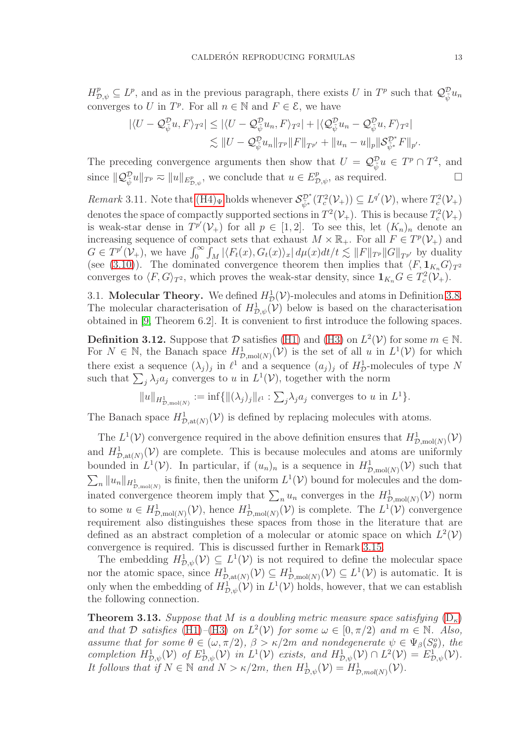$H_{\mathcal{D},\psi}^p \subseteq L^p$ , and as in the previous paragraph, there exists U in  $T^p$  such that  $\mathcal{Q}_{\psi}^{\mathcal{D}} u_n$ converges to U in  $T^p$ . For all  $n \in \mathbb{N}$  and  $F \in \mathcal{E}$ , we have

$$
\begin{aligned} |\langle U - \mathcal{Q}_{\tilde{\psi}}^{\mathcal{D}} u, F \rangle_{T^2}| &\leq |\langle U - \mathcal{Q}_{\tilde{\psi}}^{\mathcal{D}} u_n, F \rangle_{T^2}| + |\langle \mathcal{Q}_{\tilde{\psi}}^{\mathcal{D}} u_n - \mathcal{Q}_{\tilde{\psi}}^{\mathcal{D}} u, F \rangle_{T^2}| \\ &\lesssim \|U - \mathcal{Q}_{\tilde{\psi}}^{\mathcal{D}} u_n\|_{T^p} \|F\|_{T^{p'}} + \|u_n - u\|_p \|\mathcal{S}_{\tilde{\psi}^*}^{\mathcal{D}^*} F\|_{p'}. \end{aligned}
$$

The preceding convergence arguments then show that  $U = \mathcal{Q}_{\tilde{\psi}}^{\mathcal{D}} u \in T^p \cap T^2$ , and since  $||\mathcal{Q}_{\psi}^{\mathcal{D}}u||_{T^p} \eqsim ||u||_{E_{\mathcal{D},\psi}^p}$ , we conclude that  $u \in E_{\mathcal{D},\psi}^p$ , as required.

<span id="page-12-3"></span>Remark 3.11. Note that  $(H4)_{\Psi}$  holds whenever  $\mathcal{S}_{\tilde{\psi}^*}^{\mathcal{D}^*}(T_c^2(\mathcal{V}_+)) \subseteq L^{q'}(\mathcal{V}),$  where  $T_c^2(\mathcal{V}_+)$ denotes the space of compactly supported sections in  $T^2(\mathcal{V}_+)$ . This is because  $T_c^2(\mathcal{V}_+)$ is weak-star dense in  $T^{p'}(\mathcal{V}_+)$  for all  $p \in [1,2]$ . To see this, let  $(K_n)_n$  denote an increasing sequence of compact sets that exhaust  $M \times \mathbb{R}_+$ . For all  $F \in T^p(\mathcal{V}_+)$  and  $G \in T^{p'}(\mathcal{V}_+),$  we have  $\int_0^{\infty} \int_M |\langle F_t(x), G_t(x) \rangle_x| d\mu(x) dt/t \lesssim ||F||_{T^p} ||G||_{T^{p'}}$  by duality (see [\(3.10\)](#page-8-3)). The dominated convergence theorem then implies that  $\langle F, 1_{K_n}G \rangle_{T^2}$ converges to  $\langle F, G \rangle_{T^2}$ , which proves the weak-star density, since  $1_{K_n} G \in T_c^2(\mathcal{V}_+).$ 

<span id="page-12-0"></span>3.1. **Molecular Theory.** We defined  $H_D^1(\mathcal{V})$ -molecules and atoms in Definition [3.8.](#page-10-2) The molecular characterisation of  $H_{\mathcal{D},\psi}^1(\mathcal{V})$  below is based on the characterisation obtained in [\[9,](#page-29-1) Theorem 6.2]. It is convenient to first introduce the following spaces.

<span id="page-12-1"></span>**Definition 3.12.** Suppose that  $\mathcal{D}$  satisfies [\(H1\)](#page-6-2) and [\(H3\)](#page-6-4) on  $L^2(\mathcal{V})$  for some  $m \in \mathbb{N}$ . For  $N \in \mathbb{N}$ , the Banach space  $H^1_{\mathcal{D},\text{mol}(N)}(\mathcal{V})$  is the set of all u in  $L^1(\mathcal{V})$  for which there exist a sequence  $(\lambda_j)_j$  in  $\ell^1$  and a sequence  $(a_j)_j$  of  $H_D^1$ -molecules of type N such that  $\sum_j \lambda_j a_j$  converges to u in  $L^1(\mathcal{V})$ , together with the norm

$$
||u||_{H^1_{\mathcal{D},\text{mol}(N)}} := \inf \{ ||(\lambda_j)_j||_{\ell^1} : \sum_j \lambda_j a_j \text{ converges to } u \text{ in } L^1 \}.
$$

The Banach space  $H_{\mathcal{D},\text{at}(N)}^1(\mathcal{V})$  is defined by replacing molecules with atoms.

The  $L^1(\mathcal{V})$  convergence required in the above definition ensures that  $H^1_{\mathcal{D},\text{mol}(N)}(\mathcal{V})$ and  $H_{\mathcal{D},\text{at}(N)}^1(\mathcal{V})$  are complete. This is because molecules and atoms are uniformly bounded in  $L^1(\mathcal{V})$ . In particular, if  $(u_n)_n$  is a sequence in  $H^1_{\mathcal{D},\text{mol}(N)}(\mathcal{V})$  such that  $\sum_{n} ||u_n||_{H^1_{\mathcal{D},\text{mol}(N)}}$  is finite, then the uniform  $L^1(\mathcal{V})$  bound for molecules and the dominated convergence theorem imply that  $\sum_n u_n$  converges in the  $H_{\mathcal{D},\text{mol}(N)}^1(\mathcal{V})$  norm to some  $u \in H_{\mathcal{D},\text{mol}(N)}^1(\mathcal{V})$ , hence  $H_{\mathcal{D},\text{mol}(N)}^1(\mathcal{V})$  is complete. The  $L^1(\mathcal{V})$  convergence requirement also distinguishes these spaces from those in the literature that are defined as an abstract completion of a molecular or atomic space on which  $L^2(V)$ convergence is required. This is discussed further in Remark [3.15.](#page-13-1)

The embedding  $H_{\mathcal{D},\psi}^1(\mathcal{V}) \subseteq L^1(\mathcal{V})$  is not required to define the molecular space nor the atomic space, since  $H_{\mathcal{D},\text{at}(N)}^1(\mathcal{V}) \subseteq H_{\mathcal{D},\text{mol}(N)}^1(\mathcal{V}) \subseteq L^1(\mathcal{V})$  is automatic. It is only when the embedding of  $H_{\mathcal{D},\psi}^1(\mathcal{V})$  in  $L^1(\mathcal{V})$  holds, however, that we can establish the following connection.

<span id="page-12-2"></span>**Theorem 3.13.** Suppose that M is a doubling metric measure space satisfying  $(D_{\kappa})$  $(D_{\kappa})$ and that D satisfies [\(H1\)](#page-6-2)–[\(H3\)](#page-6-4) on  $L^2(\mathcal{V})$  for some  $\omega \in [0, \pi/2]$  and  $m \in \mathbb{N}$ . Also, assume that for some  $\theta \in (\omega, \pi/2), \beta > \kappa/2m$  and nondegenerate  $\psi \in \Psi_{\beta}(S_{\theta}^o),$  the completion  $H_{\mathcal{D},\psi}^1(\mathcal{V})$  of  $E_{\mathcal{D},\psi}^1(\mathcal{V})$  in  $L^1(\mathcal{V})$  exists, and  $H_{\mathcal{D},\psi}^1(\mathcal{V}) \cap L^2(\mathcal{V}) = E_{\mathcal{D},\psi}^1(\mathcal{V})$ . It follows that if  $N \in \mathbb{N}$  and  $N > \kappa/2m$ , then  $H_{\mathcal{D},\psi}^1(\mathcal{V}) = H_{\mathcal{D},\text{mol}(N)}^1(\mathcal{V})$ .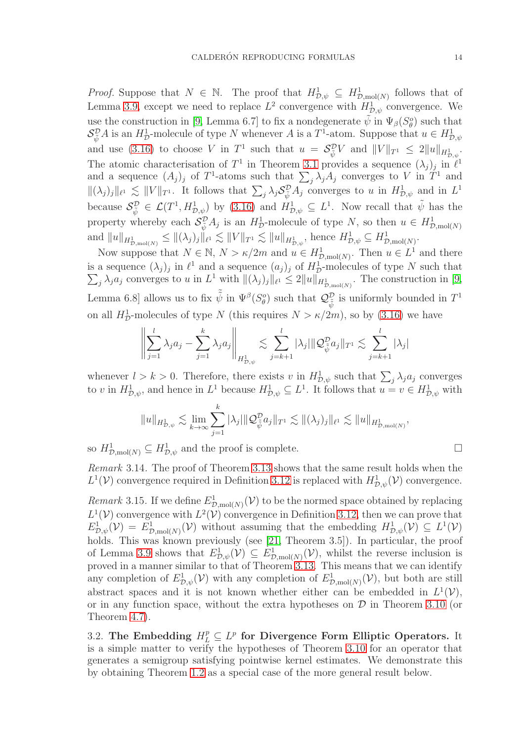*Proof.* Suppose that  $N \in \mathbb{N}$ . The proof that  $H_{\mathcal{D},\psi}^1 \subseteq H_{\mathcal{D},\mathrm{mol}(N)}^1$  follows that of Lemma [3.9,](#page-10-1) except we need to replace  $L^2$  convergence with  $H_{\mathcal{D},\psi}^1$  convergence. We use the construction in [\[9,](#page-29-1) Lemma 6.7] to fix a nondegenerate  $\tilde{\psi}$  in  $\Psi_{\beta}(S^o_{\theta})$  such that  $\mathcal{S}_{\tilde{\psi}}^{\mathcal{D}}A$  is an  $H_{\mathcal{D}}^1$ -molecule of type N whenever A is a  $T^1$ -atom. Suppose that  $u \in H_{\mathcal{D},\psi}^1$ and use [\(3.16\)](#page-9-1) to choose V in  $T^1$  such that  $u = \mathcal{S}_{\tilde{\psi}}^{\mathcal{D}} V$  and  $||V||_{T^1} \leq 2||u||_{H^1_{\mathcal{D},\psi}}$ . The atomic characterisation of  $T^1$  in Theorem [3.1](#page-8-1) provides a sequence  $(\lambda_j)_j$  in  $\ell^1$ and a sequence  $(A_j)_j$  of  $T^1$ -atoms such that  $\sum_j \lambda_j A_j$  converges to V in  $T^1$  and  $\|(\lambda_j)_j\|_{\ell^1} \lesssim \|V\|_{T^1}$ . It follows that  $\sum_j \lambda_j S_{\tilde{\psi}}^{\mathcal{D}} A_j$  converges to u in  $H_{\mathcal{D},\psi}^1$  and in  $L^1$ because  $\mathcal{S}_{\tilde{\psi}}^{\mathcal{D}} \in \mathcal{L}(T^1, H^1_{\mathcal{D},\psi})$  by [\(3.16\)](#page-9-1) and  $H^1_{\mathcal{D},\psi} \subseteq L^1$ . Now recall that  $\tilde{\psi}$  has the property whereby each  $\mathcal{S}_{\tilde{\psi}}^{\mathcal{D}} A_j$  is an  $H_D^1$ -molecule of type N, so then  $u \in H_{\mathcal{D},\text{mol}(N)}^1$ and  $||u||_{H_{\mathcal{D},\text{mol}(N)}} \leq ||(\lambda_j)_j||_{\ell^1} \lesssim ||V||_{T^1} \lesssim ||u||_{H_{\mathcal{D},\psi}^1}$ , hence  $H_{\mathcal{D},\psi}^1 \subseteq H_{\mathcal{D},\text{mol}(N)}^1$ .

Now suppose that  $N \in \mathbb{N}$ ,  $N > \kappa/2m$  and  $u \in H^1_{\mathcal{D},\text{mol}(N)}$ . Then  $u \in L^1$  and there is a sequence  $(\lambda_j)_j$  in  $\ell^1$  and a sequence  $(a_j)_j$  of  $H^1_{\mathcal{I}}$ is a sequence  $(\lambda_j)_j$  in  $\ell^1$  and a sequence  $(a_j)_j$  of  $H_D^1$ -molecules of type N such that  $\sum_i \lambda_i a_j$  converges to u in  $L^1$  with  $\|\lambda_i\|_{\ell^1} \leq 2 \|u\|_{H^1}$ . The construction in [9,  $j \lambda_j a_j$  converges to u in  $L^1$  with  $\|(\lambda_j)_j\|_{\ell^1} \leq 2\|u\|_{H_{\mathcal{D},\text{mol}(N)}^1}$ . The construction in [\[9,](#page-29-1) Lemma 6.8] allows us to fix  $\tilde{\psi}$  in  $\Psi^{\beta}(S^o_{\theta})$  such that  $\mathcal{Q}^{\mathcal{D}}_{\tilde{\psi}}$  is uniformly bounded in  $T^1$ on all  $H^1_{\mathcal{D}}$ -molecules of type N (this requires  $N > \kappa/2m$ ), so by [\(3.16\)](#page-9-1) we have

$$
\left\| \sum_{j=1}^l \lambda_j a_j - \sum_{j=1}^k \lambda_j a_j \right\|_{H^1_{\mathcal{D},\psi}} \lesssim \sum_{j=k+1}^l |\lambda_j| \| \mathcal{Q}_{\tilde{\psi}}^{\mathcal{D}} a_j \|_{T^1} \lesssim \sum_{j=k+1}^l |\lambda_j|
$$

whenever  $l > k > 0$ . Therefore, there exists v in  $H_{\mathcal{D},\psi}^1$  such that  $\sum_j \lambda_j a_j$  converges to v in  $H_{\mathcal{D},\psi}^1$ , and hence in  $L^1$  because  $H_{\mathcal{D},\psi}^1 \subseteq L^1$ . It follows that  $u = v \in H_{\mathcal{D},\psi}^1$  with

$$
||u||_{H_{\mathcal{D},\psi}^1} \lesssim \lim_{k \to \infty} \sum_{j=1}^k |\lambda_j| ||\mathcal{Q}_{\tilde{\psi}}^{\mathcal{D}} a_j||_{T^1} \lesssim ||(\lambda_j)_j||_{\ell^1} \lesssim ||u||_{H_{\mathcal{D},\text{mol}(N)}^1},
$$

so  $H_{\mathcal{D},\text{mol}(N)}^1 \subseteq H_{\mathcal{D},\psi}^1$  and the proof is complete.

Remark 3.14. The proof of Theorem [3.13](#page-12-2) shows that the same result holds when the  $L^1(\mathcal{V})$  convergence required in Definition [3.12](#page-12-1) is replaced with  $H^1_{\mathcal{D}, \psi}(\mathcal{V})$  convergence.

<span id="page-13-1"></span>Remark 3.15. If we define  $E^1_{\mathcal{D},\text{mol}(N)}(\mathcal{V})$  to be the normed space obtained by replacing  $L^1(\mathcal{V})$  convergence with  $L^2(\mathcal{V})$  convergence in Definition [3.12,](#page-12-1) then we can prove that  $E^1_{\mathcal{D},\psi}(\mathcal{V}) = E^1_{\mathcal{D},\text{mol}(N)}(\mathcal{V})$  without assuming that the embedding  $H^1_{\mathcal{D},\psi}(\mathcal{V}) \subseteq L^1(\mathcal{V})$ holds. This was known previously (see [\[21,](#page-29-3) Theorem 3.5]). In particular, the proof of Lemma [3.9](#page-10-1) shows that  $E_{\mathcal{D},\psi}^1(\mathcal{V}) \subseteq E_{\mathcal{D},\text{mol}(N)}^1(\mathcal{V})$ , whilst the reverse inclusion is proved in a manner similar to that of Theorem [3.13.](#page-12-2) This means that we can identify any completion of  $E^1_{\mathcal{D},\psi}(\mathcal{V})$  with any completion of  $E^1_{\mathcal{D},\text{mol}(N)}(\mathcal{V})$ , but both are still abstract spaces and it is not known whether either can be embedded in  $L^1(V)$ , or in any function space, without the extra hypotheses on  $\mathcal D$  in Theorem [3.10](#page-11-1) (or Theorem [4.7\)](#page-19-1).

<span id="page-13-0"></span>3.2. The Embedding  $H_L^p \subseteq L^p$  for Divergence Form Elliptic Operators. It is a simple matter to verify the hypotheses of Theorem [3.10](#page-11-1) for an operator that generates a semigroup satisfying pointwise kernel estimates. We demonstrate this by obtaining Theorem [1.2](#page-3-2) as a special case of the more general result below.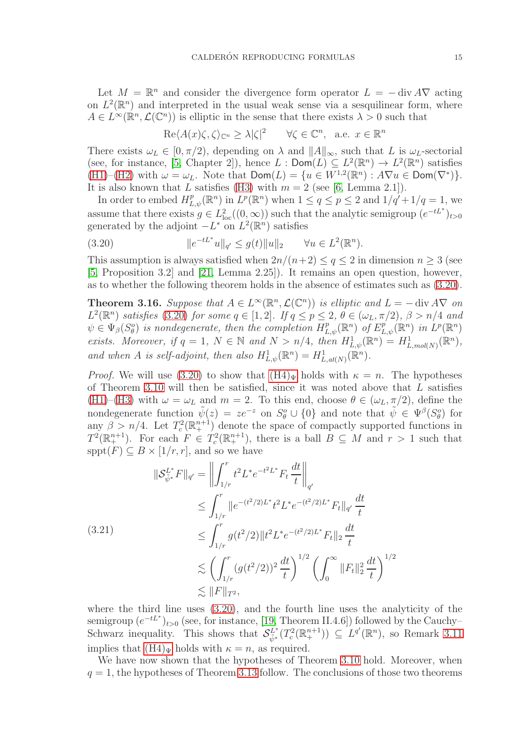Let  $M = \mathbb{R}^n$  and consider the divergence form operator  $L = -\text{div } A \nabla$  acting on  $L^2(\mathbb{R}^n)$  and interpreted in the usual weak sense via a sesquilinear form, where  $A \in L^{\infty}(\mathbb{R}^n, \mathcal{L}(\mathbb{C}^n))$  is elliptic in the sense that there exists  $\lambda > 0$  such that

$$
\operatorname{Re}\langle A(x)\zeta,\zeta\rangle_{\mathbb{C}^n}\geq\lambda|\zeta|^2\qquad\forall\zeta\in\mathbb{C}^n,\quad\text{a.e. }x\in\mathbb{R}^n
$$

There exists  $\omega_L \in [0, \pi/2)$ , depending on  $\lambda$  and  $||A||_{\infty}$ , such that L is  $\omega_L$ -sectorial (see, for instance, [\[5,](#page-29-16) Chapter 2]), hence  $L : \text{Dom}(L) \subseteq L^2(\mathbb{R}^n) \to L^2(\mathbb{R}^n)$  satisfies [\(H1\)](#page-6-2)–[\(H2\)](#page-6-3) with  $\omega = \omega_L$ . Note that  $\text{Dom}(L) = \{u \in W^{1,2}(\mathbb{R}^n) : A \nabla u \in \text{Dom}(\nabla^*)\}.$ It is also known that L satisfies [\(H3\)](#page-6-4) with  $m = 2$  (see [\[6,](#page-29-17) Lemma 2.1]).

In order to embed  $H^p_{L,\psi}(\mathbb{R}^n)$  in  $L^p(\mathbb{R}^n)$  when  $1 \le q \le p \le 2$  and  $1/q'+1/q=1$ , we assume that there exists  $g \in L^2_{loc}((0,\infty))$  such that the analytic semigroup  $(e^{-tL^*})_{t>0}$ generated by the adjoint  $-L^*$  on  $L^2(\mathbb{R}^n)$  satisfies

<span id="page-14-0"></span>(3.20) 
$$
||e^{-tL^*}u||_{q'} \le g(t)||u||_2 \quad \forall u \in L^2(\mathbb{R}^n).
$$

This assumption is always satisfied when  $2n/(n+2) \le q \le 2$  in dimension  $n \ge 3$  (see [\[5,](#page-29-16) Proposition 3.2] and [\[21,](#page-29-3) Lemma 2.25]). It remains an open question, however, as to whether the following theorem holds in the absence of estimates such as [\(3.20\)](#page-14-0).

<span id="page-14-1"></span>**Theorem 3.16.** Suppose that  $A \in L^{\infty}(\mathbb{R}^n, \mathcal{L}(\mathbb{C}^n))$  is elliptic and  $L = -\text{div } A \nabla$  on  $L^2(\mathbb{R}^n)$  satisfies [\(3.20\)](#page-14-0) for some  $q \in [1,2]$ . If  $q \leq p \leq 2$ ,  $\theta \in (\omega_L, \pi/2)$ ,  $\beta > n/4$  and  $\psi \in \Psi_{\beta}(S_{\theta}^o)$  is nondegenerate, then the completion  $H^p_{L,\psi}(\mathbb{R}^n)$  of  $E^p_{L,\psi}(\mathbb{R}^n)$  in  $L^p(\mathbb{R}^n)$ exists. Moreover, if  $q = 1$ ,  $N \in \mathbb{N}$  and  $N > n/4$ , then  $H^1_{L,\psi}(\mathbb{R}^n) = H^1_{L, mol(N)}(\mathbb{R}^n)$ , and when A is self-adjoint, then also  $H^1_{L,\psi}(\mathbb{R}^n) = H^1_{L,at(N)}(\mathbb{R}^n)$ .

*Proof.* We will use [\(3.20\)](#page-14-0) to show that  $(H4)_{\Psi}$  holds with  $\kappa = n$ . The hypotheses of Theorem [3.10](#page-11-1) will then be satisfied, since it was noted above that  $L$  satisfies [\(H1\)](#page-6-2)–[\(H3\)](#page-6-4) with  $\omega = \omega_L$  and  $m = 2$ . To this end, choose  $\theta \in (\omega_L, \pi/2)$ , define the nondegenerate function  $\tilde{\psi}(z) = ze^{-z}$  on  $S_{\theta}^o \cup \{0\}$  and note that  $\tilde{\psi} \in \Psi^{\beta}(S_{\theta}^o)$  for any  $\beta > n/4$ . Let  $T_c^2(\mathbb{R}^{n+1})$  denote the space of compactly supported functions in  $T^2(\mathbb{R}^{n+1}_+)$ . For each  $F \in T_c^2(\mathbb{R}^{n+1}_+)$ , there is a ball  $B \subseteq M$  and  $r > 1$  such that sppt $(F) \subseteq B \times [1/r, r]$ , and so we have

<span id="page-14-2"></span>
$$
\|\mathcal{S}_{\tilde{\psi}^*}^{L^*} F\|_{q'} = \left\| \int_{1/r}^r t^2 L^* e^{-t^2 L^*} F_t \frac{dt}{t} \right\|_{q'}
$$
  
\n
$$
\leq \int_{1/r}^r \|e^{-(t^2/2)L^*} t^2 L^* e^{-(t^2/2)L^*} F_t\|_{q'} \frac{dt}{t}
$$
  
\n(3.21)  
\n
$$
\leq \int_{1/r}^r g(t^2/2) \|t^2 L^* e^{-(t^2/2)L^*} F_t\|_2 \frac{dt}{t}
$$
  
\n
$$
\lesssim \left( \int_{1/r}^r (g(t^2/2))^2 \frac{dt}{t} \right)^{1/2} \left( \int_0^\infty \|F_t\|_2^2 \frac{dt}{t} \right)^{1/2}
$$
  
\n
$$
\lesssim \|F\|_{T^2},
$$

where the third line uses [\(3.20\)](#page-14-0), and the fourth line uses the analyticity of the semigroup  $(e^{-tL^*})_{t>0}$  (see, for instance, [\[19,](#page-29-18) Theorem II.4.6]) followed by the Cauchy– Schwarz inequality. This shows that  $\mathcal{S}_{\tilde{\psi}^*}^{L^*}$  $L^i(\mathcal{T}_c^2(\mathbb{R}^{n+1}_+)) \subseteq L^{q'}(\mathbb{R}^n)$ , so Remark [3.11](#page-12-3) implies that  $(H4)_\Psi$  holds with  $\kappa = n$ , as required.

We have now shown that the hypotheses of Theorem [3.10](#page-11-1) hold. Moreover, when  $q = 1$ , the hypotheses of Theorem [3.13](#page-12-2) follow. The conclusions of those two theorems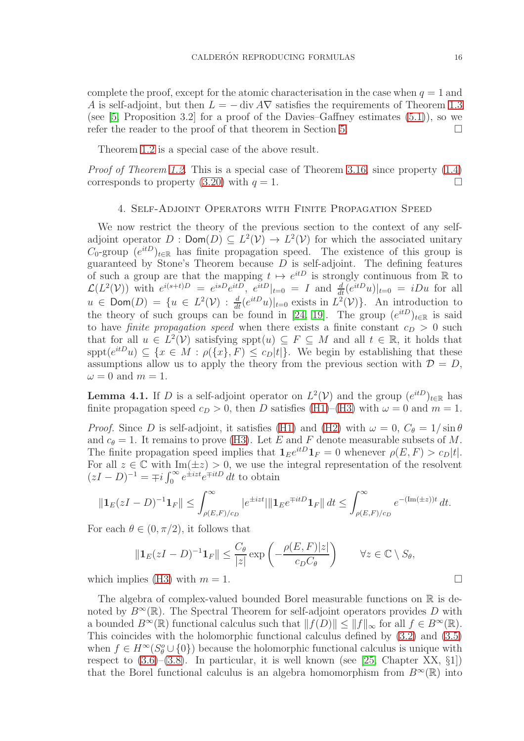complete the proof, except for the atomic characterisation in the case when  $q = 1$  and A is self-adjoint, but then  $L = - \text{div} A \nabla$  satisfies the requirements of Theorem [1.3](#page-4-1) (see  $[5,$  Proposition 3.2] for a proof of the Davies–Gaffney estimates  $(5.1)$ ), so we refer the reader to the proof of that theorem in Section [5.](#page-23-0)

Theorem [1.2](#page-3-2) is a special case of the above result.

<span id="page-15-0"></span>Proof of Theorem [1.2.](#page-3-2) This is a special case of Theorem [3.16,](#page-14-1) since property [\(1.4\)](#page-3-1) corresponds to property  $(3.20)$  with  $q = 1$ .

# 4. Self-Adjoint Operators with Finite Propagation Speed

We now restrict the theory of the previous section to the context of any selfadjoint operator  $D: \text{Dom}(D) \subseteq L^2(\mathcal{V}) \to L^2(\mathcal{V})$  for which the associated unitary  $C_0$ -group  $(e^{itD})_{t\in\mathbb{R}}$  has finite propagation speed. The existence of this group is guaranteed by Stone's Theorem because  $D$  is self-adjoint. The defining features of such a group are that the mapping  $t \mapsto e^{itD}$  is strongly continuous from R to  $\mathcal{L}(L^2(\mathcal{V}))$  with  $e^{i(s+t)D} = e^{isD}e^{itD}$ ,  $e^{itD}|_{t=0} = I$  and  $\frac{d}{dt}(e^{itD}u)|_{t=0} = iDu$  for all  $u \in \textsf{Dom}(D) = \{u \in L^2(\mathcal{V}) : \frac{d}{dt}(e^{itD}u)|_{t=0} \text{ exists in } L^2(\mathcal{V})\}.$  An introduction to the theory of such groups can be found in [\[24,](#page-30-4) [19\]](#page-29-18). The group  $(e^{itD})_{t\in\mathbb{R}}$  is said to have *finite propagation speed* when there exists a finite constant  $c_D > 0$  such that for all  $u \in L^2(\mathcal{V})$  satisfying sppt $(u) \subseteq F \subseteq M$  and all  $t \in \mathbb{R}$ , it holds that  $spt(e^{itD}u) \subseteq \{x \in M : \rho(\{x\}, F) \leq c_D|t|\}.$  We begin by establishing that these assumptions allow us to apply the theory from the previous section with  $\mathcal{D} = D$ ,  $\omega = 0$  and  $m = 1$ .

<span id="page-15-1"></span>**Lemma 4.1.** If D is a self-adjoint operator on  $L^2(\mathcal{V})$  and the group  $(e^{itD})_{t\in\mathbb{R}}$  has finite propagation speed  $c_D > 0$ , then D satisfies [\(H1\)](#page-6-2)–[\(H3\)](#page-6-4) with  $\omega = 0$  and  $m = 1$ .

*Proof.* Since D is self-adjoint, it satisfies [\(H1\)](#page-6-2) and [\(H2\)](#page-6-3) with  $\omega = 0$ ,  $C_{\theta} = 1/\sin \theta$ and  $c_{\theta} = 1$ . It remains to prove [\(H3\)](#page-6-4). Let E and F denote measurable subsets of M. The finite propagation speed implies that  $\mathbf{1}_E e^{itD} \mathbf{1}_F = 0$  whenever  $\rho(E, F) > c_D|t|$ . For all  $z \in \mathbb{C}$  with  $\text{Im}(\pm z) > 0$ , we use the integral representation of the resolvent  $(zI - D)^{-1} = \mp i \int_0^\infty e^{\pm izt} e^{\mp itD} dt$  to obtain

$$
\|\mathbf{1}_E(zI-D)^{-1}\mathbf{1}_F\| \le \int_{\rho(E,F)/c_D}^{\infty} |e^{\pm izt}|\|\mathbf{1}_E e^{\mp itD}\mathbf{1}_F\| \, dt \le \int_{\rho(E,F)/c_D}^{\infty} e^{-(\text{Im}(\pm z))t} \, dt.
$$

For each  $\theta \in (0, \pi/2)$ , it follows that

$$
\|\mathbf{1}_E(zI-D)^{-1}\mathbf{1}_F\| \le \frac{C_\theta}{|z|} \exp\left(-\frac{\rho(E,F)|z|}{c_D C_\theta}\right) \qquad \forall z \in \mathbb{C} \setminus S_\theta,
$$

which implies [\(H3\)](#page-6-4) with  $m = 1$ .

The algebra of complex-valued bounded Borel measurable functions on  $\mathbb R$  is denoted by  $B^{\infty}(\mathbb{R})$ . The Spectral Theorem for self-adjoint operators provides D with a bounded  $B^{\infty}(\mathbb{R})$  functional calculus such that  $||f(D)|| \leq ||f||_{\infty}$  for all  $f \in B^{\infty}(\mathbb{R})$ . This coincides with the holomorphic functional calculus defined by [\(3.2\)](#page-7-1) and [\(3.5\)](#page-7-0) when  $f \in H^{\infty}(S^o_{\theta} \cup \{0\})$  because the holomorphic functional calculus is unique with respect to  $(3.6)$ – $(3.8)$ . In particular, it is well known (see [\[25,](#page-30-5) Chapter XX, §1]) that the Borel functional calculus is an algebra homomorphism from  $B^{\infty}(\mathbb{R})$  into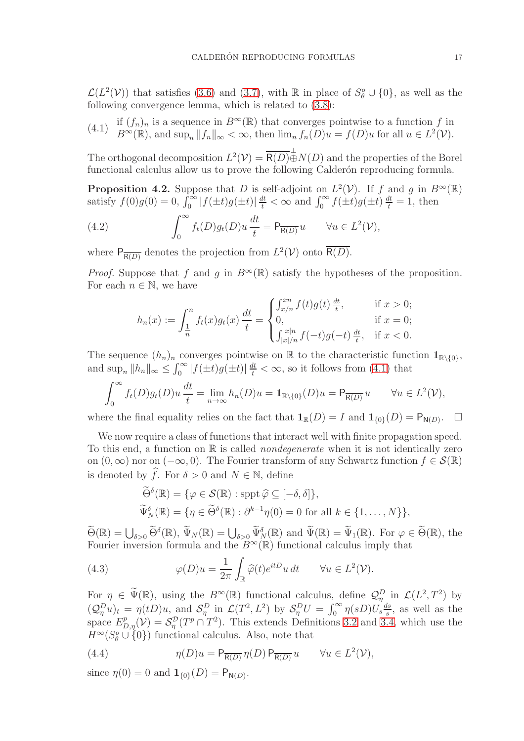$\mathcal{L}(L^2(\mathcal{V}))$  that satisfies [\(3.6\)](#page-7-5) and [\(3.7\)](#page-7-7), with R in place of  $S^o_{\theta} \cup \{0\}$ , as well as the following convergence lemma, which is related to [\(3.8\)](#page-7-6):

<span id="page-16-0"></span>(4.1) if 
$$
(f_n)_n
$$
 is a sequence in  $B^{\infty}(\mathbb{R})$  that converges pointwise to a function f in  $B^{\infty}(\mathbb{R})$ , and sup<sub>n</sub>  $||f_n||_{\infty} < \infty$ , then lim<sub>n</sub>  $f_n(D)u = f(D)u$  for all  $u \in L^2(\mathcal{V})$ .

The orthogonal decomposition  $L^2(\mathcal{V}) = \overline{R(D)} \oplus N(D)$  and the properties of the Borel functional calculus allow us to prove the following Calderón reproducing formula.

<span id="page-16-1"></span>**Proposition 4.2.** Suppose that D is self-adjoint on  $L^2(\mathcal{V})$ . If f and g in  $B^{\infty}(\mathbb{R})$ satisfy  $f(0)g(0) = 0$ ,  $\int_0^\infty |f(\pm t)g(\pm t)| \frac{dt}{t} < \infty$  and  $\int_0^\infty f(\pm t)g(\pm t) \frac{dt}{t} = 1$ , then

(4.2) 
$$
\int_0^\infty f_t(D)g_t(D)u\frac{dt}{t} = \mathsf{P}_{\overline{\mathsf{R}(D)}}u \quad \forall u \in L^2(\mathcal{V}),
$$

where  $P_{\overline{R(D)}}$  denotes the projection from  $L^2(\mathcal{V})$  onto  $\overline{R(D)}$ .

*Proof.* Suppose that f and g in  $B^{\infty}(\mathbb{R})$  satisfy the hypotheses of the proposition. For each  $n \in \mathbb{N}$ , we have

$$
h_n(x) := \int_{\frac{1}{n}}^n f_t(x) g_t(x) \frac{dt}{t} = \begin{cases} \int_{x/n}^{x n} f(t) g(t) \frac{dt}{t}, & \text{if } x > 0; \\ 0, & \text{if } x = 0; \\ \int_{|x|/n}^{|x|n} f(-t) g(-t) \frac{dt}{t}, & \text{if } x < 0. \end{cases}
$$

The sequence  $(h_n)_n$  converges pointwise on R to the characteristic function  $\mathbf{1}_{\mathbb{R}\setminus\{0\}}$ , and  $\sup_n ||h_n||_{\infty} \leq \int_0^{\infty} |f(\pm t)g(\pm t)| \frac{dt}{t} < \infty$ , so it follows from [\(4.1\)](#page-16-0) that

$$
\int_0^\infty f_t(D)g_t(D)u\,\frac{dt}{t} = \lim_{n\to\infty} h_n(D)u = \mathbf{1}_{\mathbb{R}\backslash\{0\}}(D)u = \mathsf{P}_{\overline{\mathsf{R}(D)}}u \qquad \forall u \in L^2(\mathcal{V}),
$$

where the final equality relies on the fact that  $\mathbf{1}_{\mathbb{R}}(D) = I$  and  $\mathbf{1}_{\{0\}}(D) = \mathsf{P}_{\mathsf{N}(D)}$ . .

We now require a class of functions that interact well with finite propagation speed. To this end, a function on  $\mathbb R$  is called *nondegenerate* when it is not identically zero on  $(0, \infty)$  nor on  $(-\infty, 0)$ . The Fourier transform of any Schwartz function  $f \in \mathcal{S}(\mathbb{R})$ is denoted by  $\widehat{f}$ . For  $\delta > 0$  and  $N \in \mathbb{N}$ , define

<span id="page-16-2"></span>
$$
\widetilde{\Theta}^{\delta}(\mathbb{R}) = \{ \varphi \in \mathcal{S}(\mathbb{R}) : \operatorname{sppt} \widehat{\varphi} \subseteq [-\delta, \delta] \},
$$
  

$$
\widetilde{\Psi}^{\delta}_{N}(\mathbb{R}) = \{ \eta \in \widetilde{\Theta}^{\delta}(\mathbb{R}) : \partial^{k-1}\eta(0) = 0 \text{ for all } k \in \{1, ..., N\} \},
$$

 $\widetilde{\Theta}(\mathbb{R}) = \bigcup_{\delta > 0} \widetilde{\Theta}^{\delta}(\mathbb{R}), \ \widetilde{\Psi}_{N}(\mathbb{R}) = \bigcup_{\delta > 0} \widetilde{\Psi}_{N}^{\delta}(\mathbb{R}) \text{ and } \widetilde{\Psi}(\mathbb{R}) = \widetilde{\Psi}_{1}(\mathbb{R}). \text{ For } \varphi \in \widetilde{\Theta}(\mathbb{R}), \text{ the }$ Fourier inversion formula and the  $B^{\infty}(\mathbb{R})$  functional calculus imply that

(4.3) 
$$
\varphi(D)u = \frac{1}{2\pi} \int_{\mathbb{R}} \widehat{\varphi}(t) e^{itD} u \, dt \qquad \forall u \in L^2(\mathcal{V}).
$$

For  $\eta \in \widetilde{\Psi}(\mathbb{R})$ , using the  $B^{\infty}(\mathbb{R})$  functional calculus, define  $\mathcal{Q}_{\eta}^D$  in  $\mathcal{L}(L^2, T^2)$  by  $(Q_{\eta}^D u)_t = \eta(tD)u$ , and  $S_{\eta}^D$  in  $\mathcal{L}(T^2, L^2)$  by  $S_{\eta}^D U = \int_0^{\infty} \eta(sD)U_s \frac{ds}{s}$  $\frac{ds}{s}$ , as well as the space  $E_{D,\eta}^p(\mathcal{V}) = \mathcal{S}_{\eta}^p(T^p \cap T^2)$ . This extends Definitions [3.2](#page-8-4) and [3.4,](#page-9-0) which use the  $H^{\infty}(S^{\circ}_{\theta} \cup \{0\})$  functional calculus. Also, note that

<span id="page-16-3"></span>(4.4) 
$$
\eta(D)u = \mathsf{P}_{\overline{\mathsf{R}(D)}}\eta(D)\,\mathsf{P}_{\overline{\mathsf{R}(D)}}u \qquad \forall u \in L^2(\mathcal{V}),
$$

since  $\eta(0) = 0$  and  $\mathbf{1}_{\{0\}}(D) = \mathsf{P}_{\mathsf{N}(D)}$ .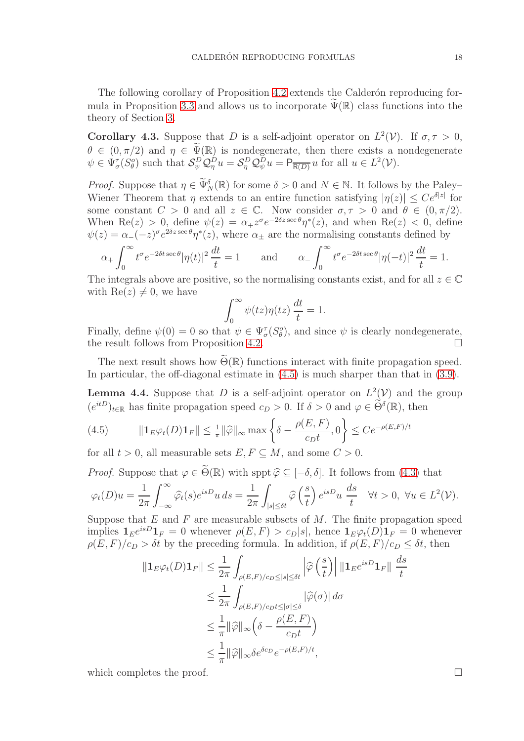The following corollary of Proposition [4.2](#page-16-1) extends the Calderon reproducing for-mula in Proposition [3.3](#page-8-0) and allows us to incorporate  $\tilde{\Psi}(\mathbb{R})$  class functions into the theory of Section [3.](#page-6-0)

<span id="page-17-1"></span>**Corollary 4.3.** Suppose that D is a self-adjoint operator on  $L^2(\mathcal{V})$ . If  $\sigma, \tau > 0$ ,  $\theta \in (0, \pi/2)$  and  $\eta \in \widetilde{\Psi}(\mathbb{R})$  is nondegenerate, then there exists a nondegenerate  $\psi \in \Psi_{\sigma}^{\tau}(S_{\theta}^o)$  such that  $\mathcal{S}_{\psi}^D \mathcal{Q}_{\eta}^D u = \mathcal{S}_{\eta}^D \mathcal{Q}_{\psi}^D u = \mathsf{P}_{\overline{\mathsf{R}(D)}} u$  for all  $u \in L^2(\mathcal{V})$ .

*Proof.* Suppose that  $\eta \in \widetilde{\Psi}_{N}^{\delta}(\mathbb{R})$  for some  $\delta > 0$  and  $N \in \mathbb{N}$ . It follows by the Paley– Wiener Theorem that  $\eta$  extends to an entire function satisfying  $|\eta(z)| \leq Ce^{\delta |z|}$  for some constant  $C > 0$  and all  $z \in \mathbb{C}$ . Now consider  $\sigma, \tau > 0$  and  $\theta \in (0, \pi/2)$ . When Re(z) > 0, define  $\psi(z) = \alpha_+ z^{\sigma} e^{-2\delta z \sec \theta} \eta^*(z)$ , and when Re(z) < 0, define  $\psi(z) = \alpha_-(-z)^\sigma e^{2\delta z \sec \theta} \eta^*(z)$ , where  $\alpha_{\pm}$  are the normalising constants defined by

$$
\alpha_+ \int_0^\infty t^\sigma e^{-2\delta t \sec \theta} |\eta(t)|^2 \frac{dt}{t} = 1 \quad \text{and} \quad \alpha_- \int_0^\infty t^\sigma e^{-2\delta t \sec \theta} |\eta(-t)|^2 \frac{dt}{t} = 1.
$$

The integrals above are positive, so the normalising constants exist, and for all  $z \in \mathbb{C}$ with  $\text{Re}(z) \neq 0$ , we have

$$
\int_0^\infty \psi(tz)\eta(tz)\frac{dt}{t} = 1.
$$

Finally, define  $\psi(0) = 0$  so that  $\psi \in \Psi_{\sigma}^{\tau}(S_{\theta}^{o})$ , and since  $\psi$  is clearly nondegenerate, the result follows from Proposition [4.2.](#page-16-1)

The next result shows how  $\widetilde{\Theta}(\mathbb{R})$  functions interact with finite propagation speed. In particular, the off-diagonal estimate in [\(4.5\)](#page-17-0) is much sharper than that in [\(3.9\)](#page-7-4).

<span id="page-17-2"></span>**Lemma 4.4.** Suppose that D is a self-adjoint operator on  $L^2(V)$  and the group  $(e^{itD})_{t\in\mathbb{R}}$  has finite propagation speed  $c_D > 0$ . If  $\delta > 0$  and  $\varphi \in \widetilde{\Theta}^{\delta}(\mathbb{R})$ , then

<span id="page-17-0"></span>(4.5) 
$$
\|\mathbf{1}_{E}\varphi_{t}(D)\mathbf{1}_{F}\| \leq \frac{1}{\pi}\|\widehat{\varphi}\|_{\infty} \max\left\{\delta - \frac{\rho(E,F)}{c_{D}t}, 0\right\} \leq Ce^{-\rho(E,F)/t}
$$

for all  $t > 0$ , all measurable sets  $E, F \subseteq M$ , and some  $C > 0$ .

*Proof.* Suppose that  $\varphi \in \widetilde{\Theta}(\mathbb{R})$  with sppt  $\widehat{\varphi} \subset [-\delta, \delta]$ . It follows from [\(4.3\)](#page-16-2) that

$$
\varphi_t(D)u = \frac{1}{2\pi} \int_{-\infty}^{\infty} \widehat{\varphi}_t(s) e^{isD} u \, ds = \frac{1}{2\pi} \int_{|s| \le \delta t} \widehat{\varphi}\left(\frac{s}{t}\right) e^{isD} u \, \frac{ds}{t} \quad \forall t > 0, \ \forall u \in L^2(\mathcal{V}).
$$

Suppose that  $E$  and  $F$  are measurable subsets of  $M$ . The finite propagation speed implies  $\mathbf{1}_E e^{isD} \mathbf{1}_F = 0$  whenever  $\rho(E, F) > c_D |s|$ , hence  $\mathbf{1}_E \varphi_t(D) \mathbf{1}_F = 0$  whenever  $\rho(E, F)/c_D > \delta t$  by the preceding formula. In addition, if  $\rho(E, F)/c_D \leq \delta t$ , then

$$
\begin{split} \|\mathbf{1}_{E}\varphi_{t}(D)\mathbf{1}_{F}\| &\leq \frac{1}{2\pi}\int_{\rho(E,F)/c_{D}\leq |s|\leq \delta t}\left|\widehat{\varphi}\left(\frac{s}{t}\right)\right|\|\mathbf{1}_{E}e^{isD}\mathbf{1}_{F}\| \frac{ds}{t} \\ &\leq \frac{1}{2\pi}\int_{\rho(E,F)/c_{D}t\leq |\sigma|\leq \delta}|\widehat{\varphi}(\sigma)|\,d\sigma \\ &\leq \frac{1}{\pi}\|\widehat{\varphi}\|_{\infty}\Big(\delta-\frac{\rho(E,F)}{c_{D}t}\Big) \\ &\leq \frac{1}{\pi}\|\widehat{\varphi}\|_{\infty}\delta e^{\delta c_{D}}e^{-\rho(E,F)/t}, \end{split}
$$

which completes the proof.  $\Box$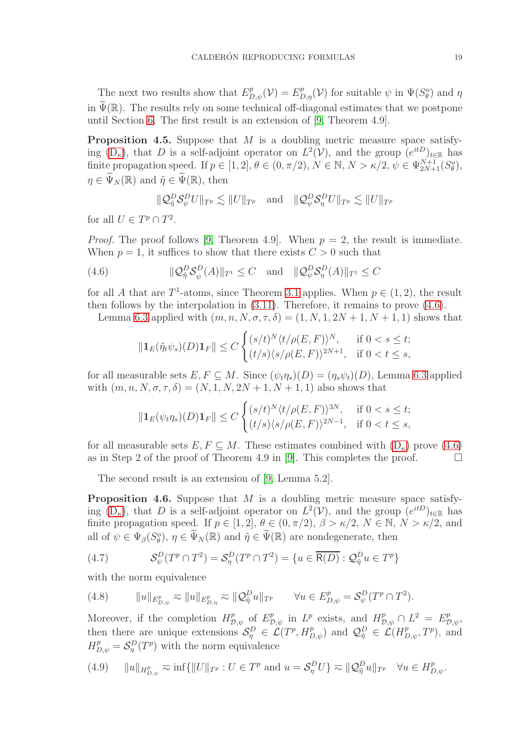The next two results show that  $E_{D,\psi}^p(\mathcal{V}) = E_{D,\eta}^p(\mathcal{V})$  for suitable  $\psi$  in  $\Psi(S_\theta^o)$  and  $\eta$ in  $\widetilde{\Psi}(\mathbb{R})$ . The results rely on some technical off-diagonal estimates that we postpone until Section [6.](#page-26-0) The first result is an extension of [\[9,](#page-29-1) Theorem 4.9].

<span id="page-18-3"></span>**Proposition 4.5.** Suppose that  $M$  is a doubling metric measure space satisfying  $(D_{\kappa})$ , that D is a self-adjoint operator on  $L^2(\mathcal{V})$ , and the group  $(e^{itD})_{t\in\mathbb{R}}$  has finite propagation speed. If  $p \in [1,2], \theta \in (0, \pi/2), N \in \mathbb{N}, N > \kappa/2, \psi \in \Psi_{2N+1}^{N+1}(S^o_{\theta}),$  $\eta \in \widetilde{\Psi}_N(\mathbb{R})$  and  $\widetilde{\eta} \in \widetilde{\Psi}(\mathbb{R})$ , then

$$
\|\mathcal{Q}_{\tilde{\eta}}^D \mathcal{S}_{\psi}^D U\|_{T^p} \lesssim \|U\|_{T^p} \quad \text{and} \quad \|\mathcal{Q}_{\psi}^D \mathcal{S}_{\eta}^D U\|_{T^p} \lesssim \|U\|_{T^p}
$$

for all  $U \in T^p \cap T^2$ .

*Proof.* The proof follows [\[9,](#page-29-1) Theorem 4.9]. When  $p = 2$ , the result is immediate. When  $p = 1$ , it suffices to show that there exists  $C > 0$  such that

(4.6) 
$$
\|\mathcal{Q}_{\tilde{\eta}}^D \mathcal{S}_{\psi}^D(A)\|_{T^1} \leq C \quad \text{and} \quad \|\mathcal{Q}_{\psi}^D \mathcal{S}_{\eta}^D(A)\|_{T^1} \leq C
$$

for all A that are  $T^1$ -atoms, since Theorem [3.1](#page-8-1) applies. When  $p \in (1, 2)$ , the result then follows by the interpolation in [\(3.11\)](#page-8-2). Therefore, it remains to prove [\(4.6\)](#page-18-0).

Lemma [6.3](#page-28-1) applied with  $(m, n, N, \sigma, \tau, \delta) = (1, N, 1, 2N + 1, N + 1, 1)$  shows that

<span id="page-18-0"></span>
$$
\|\mathbf{1}_E(\tilde{\eta}_t\psi_s)(D)\mathbf{1}_F\| \le C \begin{cases} (s/t)^N \langle t/\rho(E,F) \rangle^N, & \text{if } 0 < s \le t; \\ (t/s) \langle s/\rho(E,F) \rangle^{2N+1}, & \text{if } 0 < t \le s, \end{cases}
$$

for all measurable sets  $E, F \subseteq M$ . Since  $(\psi_t \eta_s)(D) = (\eta_s \psi_t)(D)$ , Lemma [6.3](#page-28-1) applied with  $(m, n, N, \sigma, \tau, \delta) = (N, 1, N, 2N + 1, N + 1, 1)$  also shows that

$$
\|\mathbf{1}_E(\psi_t\eta_s)(D)\mathbf{1}_F\| \le C \begin{cases} (s/t)^N \langle t/\rho(E,F) \rangle^{3N}, & \text{if } 0 < s \le t; \\ (t/s) \langle s/\rho(E,F) \rangle^{2N-1}, & \text{if } 0 < t \le s, \end{cases}
$$

for all measurable sets  $E, F \subseteq M$ . These estimates combined with  $(D_{\kappa})$  prove  $(4.6)$  as in Step 2 of the proof of Theorem 4.9 in [9]. This completes the proof. as in Step 2 of the proof of Theorem 4.9 in [\[9\]](#page-29-1). This completes the proof.

The second result is an extension of [\[9,](#page-29-1) Lemma 5.2].

<span id="page-18-5"></span>**Proposition 4.6.** Suppose that  $M$  is a doubling metric measure space satisfying  $(D_{\kappa})$ , that D is a self-adjoint operator on  $L^2(\mathcal{V})$ , and the group  $(e^{itD})_{t\in\mathbb{R}}$  has finite propagation speed. If  $p \in [1,2], \theta \in (0,\pi/2), \beta > \kappa/2, N \in \mathbb{N}, N > \kappa/2$ , and all of  $\psi \in \Psi_{\beta}(S^o_{\theta}), \eta \in \widetilde{\Psi}_N(\mathbb{R})$  and  $\tilde{\eta} \in \widetilde{\Psi}(\mathbb{R})$  are nondegenerate, then

<span id="page-18-1"></span>(4.7) 
$$
\mathcal{S}_{\psi}^D(T^p \cap T^2) = \mathcal{S}_{\eta}^D(T^p \cap T^2) = \{u \in \overline{\mathsf{R}(D)} : \mathcal{Q}_{\tilde{\eta}}^D u \in T^p\}
$$

with the norm equivalence

<span id="page-18-2"></span>(4.8) 
$$
||u||_{E^p_{D,\psi}} \approx ||u||_{E^p_{D,\eta}} \approx ||Q^D_{\tilde{\eta}}u||_{T^p} \qquad \forall u \in E^p_{D,\psi} = \mathcal{S}^D_{\psi}(T^p \cap T^2).
$$

Moreover, if the completion  $H_{\mathcal{D},\psi}^p$  of  $E_{\mathcal{D},\psi}^p$  in  $L^p$  exists, and  $H_{\mathcal{D},\psi}^p \cap L^2 = E_{\mathcal{D},\psi}^p$ , then there are unique extensions  $\mathcal{S}_\eta^D \in \mathcal{L}(T^p, H^p_{D,\psi})$  and  $\mathcal{Q}_{\tilde{\eta}}^D \in \mathcal{L}(H^p_{D,\psi}, T^p)$ , and  $H_{D,\psi}^p = \mathcal{S}_{\eta}^D(T^p)$  with the norm equivalence

<span id="page-18-4"></span>(4.9) 
$$
||u||_{H^p_{D,\psi}} \approx \inf \{||U||_{T^p} : U \in T^p \text{ and } u = S^D_{\eta} U\} \approx ||\mathcal{Q}^D_{\tilde{\eta}} u||_{T^p} \quad \forall u \in H^p_{D,\psi}.
$$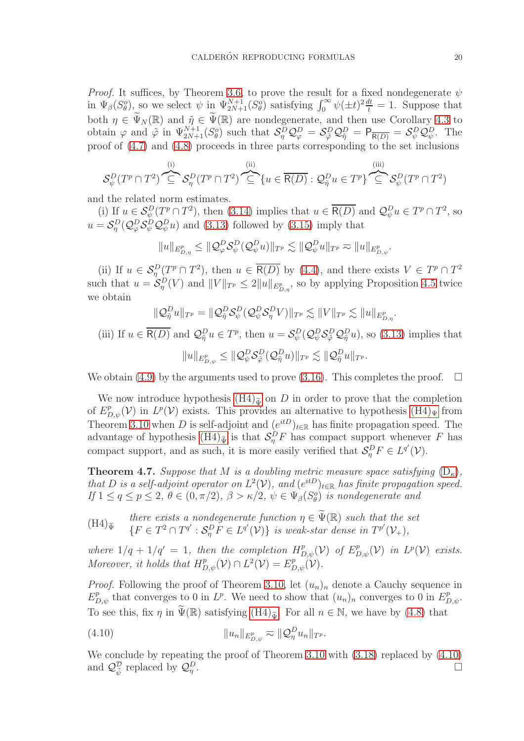*Proof.* It suffices, by Theorem [3.6,](#page-9-5) to prove the result for a fixed nondegenerate  $\psi$ in  $\Psi_{\beta}(S_{\theta}^o)$ , so we select  $\psi$  in  $\Psi_{2N+1}^{N+1}(S_{\theta}^o)$  satisfying  $\int_0^{\infty} \psi(\pm t)^2 \frac{dt}{t} = 1$ . Suppose that both  $\eta \in \widetilde{\Psi}_N(\mathbb{R})$  and  $\widetilde{\eta} \in \widetilde{\Psi}(\mathbb{R})$  are nondegenerate, and then use Corollary [4.3](#page-17-1) to obtain  $\varphi$  and  $\tilde{\varphi}$  in  $\Psi_{2N+1}^{N+1}(S^o_{\theta})$  such that  $\mathcal{S}^D_{\eta} \mathcal{Q}^D_{\varphi} = \mathcal{S}^D_{\tilde{\varphi}} \mathcal{Q}^D_{\tilde{\eta}} = \mathsf{P}_{\overline{\mathsf{R}(D)}} = \mathcal{S}^D_{\psi} \mathcal{Q}^D_{\psi}$ . The proof of [\(4.7\)](#page-18-1) and [\(4.8\)](#page-18-2) proceeds in three parts corresponding to the set inclusions

$$
\mathcal{S}_{\psi}^{D}(T^{p}\cap T^{2})\overset{\text{(i)}}{\subseteq}\mathcal{S}_{\eta}^{D}(T^{p}\cap T^{2})\overset{\text{(ii)}}{\subseteq}\{u\in\overline{\mathsf{R}(D)}:\mathcal{Q}_{\tilde{\eta}}^{D}u\in T^{p}\}\overset{\text{(iii)}}{\subseteq}\mathcal{S}_{\psi}^{D}(T^{p}\cap T^{2})
$$

and the related norm estimates.

(i) If  $u \in \mathcal{S}_{\psi}^D(T^p \cap T^2)$ , then [\(3.14\)](#page-9-2) implies that  $u \in \overline{R(D)}$  and  $\mathcal{Q}_{\psi}^D u \in T^p \cap T^2$ , so  $u = \mathcal{S}_{\eta}^{D}(\mathcal{Q}_{\varphi}^{D}\mathcal{S}_{\psi}^{D}\mathcal{Q}_{\psi}^{D}u)$  and [\(3.13\)](#page-9-4) followed by [\(3.15\)](#page-9-3) imply that

 $||u||_{E^p_{D,\eta}} \leq ||\mathcal{Q}^D_\varphi \mathcal{S}^D_\psi(\mathcal{Q}^D_\psi u)||_{T^p} \lesssim ||\mathcal{Q}^D_\psi u||_{T^p} \eqsim ||u||_{E^p_{D,\psi}}.$ 

(ii) If  $u \in S^D_\eta(T^p \cap T^2)$ , then  $u \in \overline{R(D)}$  by [\(4.4\)](#page-16-3), and there exists  $V \in T^p \cap T^2$ such that  $u = \mathcal{S}_{\eta}^D(V)$  and  $||V||_{T^p} \leq 2||u||_{E^p_{D,\eta}}$ , so by applying Proposition [4.5](#page-18-3) twice we obtain

$$
\|\mathcal{Q}_{\tilde{\eta}}^D u\|_{T^p} = \|\mathcal{Q}_{\tilde{\eta}}^D \mathcal{S}_{\psi}^D (\mathcal{Q}_{\psi}^D \mathcal{S}_{\eta}^D V)\|_{T^p} \lesssim \|V\|_{T^p} \lesssim \|u\|_{E^p_{D,\eta}}.
$$

(iii) If  $u \in \overline{R(D)}$  and  $\mathcal{Q}_{\tilde{\eta}}^D u \in T^p$ , then  $u = \mathcal{S}_{\psi}^D(\mathcal{Q}_{\psi}^D \mathcal{S}_{\tilde{\varphi}}^D \mathcal{Q}_{\tilde{\eta}}^D u)$ , so [\(3.13\)](#page-9-4) implies that  $\|u\|_{E^p_{D,\psi}}\leq \|\mathcal{Q}^D_\psi\mathcal{S}^D_{\tilde\varphi}(\mathcal{Q}^D_{\tilde\eta} u)\|_{T^p}\lesssim \|\mathcal{Q}^D_{\tilde\eta} u\|_{T^p}.$ 

We obtain [\(4.9\)](#page-18-4) by the arguments used to prove [\(3.16\)](#page-9-1). This completes the proof.  $\Box$ 

We now introduce hypothesis  $(H4)_{\tilde{\Psi}}$  on D in order to prove that the completion of  $E_{D,\psi}^p(\mathcal{V})$  in  $L^p(\mathcal{V})$  exists. This provides an alternative to hypothesis  $(H4)_{\Psi}$  from Theorem [3.10](#page-11-1) when D is self-adjoint and  $(e^{itD})_{t\in\mathbb{R}}$  has finite propagation speed. The advantage of hypothesis  $(H4)_{\tilde{\Psi}}$  is that  $\mathcal{S}^D_\eta F$  has compact support whenever F has compact support, and as such, it is more easily verified that  $\mathcal{S}_{\eta}^D F \in L^{q'}(\mathcal{V})$ .

<span id="page-19-1"></span>**Theorem 4.7.** Suppose that M is a doubling metric measure space satisfying  $(D_{\kappa})$  $(D_{\kappa})$ , that D is a self-adjoint operator on  $L^2(\mathcal{V})$ , and  $(e^{itD})_{t\in\mathbb{R}}$  has finite propagation speed. If  $1 \le q \le p \le 2$ ,  $\theta \in (0, \pi/2)$ ,  $\beta > \kappa/2$ ,  $\psi \in \Psi_{\beta}(S^o_{\theta})$  is nondegenerate and

<span id="page-19-0"></span> $(H4)_{\tilde{\Psi}}$ there exists a nondegenerate function  $\eta \in \widetilde{\Psi}(\mathbb{R})$  such that the set  $\{F \in T^2 \cap T^{q'} : \mathcal{S}_\eta^D F \in L^{q'}(\mathcal{V})\}$  is weak-star dense in  $T^{p'}(\mathcal{V}_+),$ 

where  $1/q + 1/q' = 1$ , then the completion  $H_{D,\psi}^p(\mathcal{V})$  of  $E_{D,\psi}^p(\mathcal{V})$  in  $L^p(\mathcal{V})$  exists. Moreover, it holds that  $H^p_{D,\psi}(\mathcal{V}) \cap L^2(\mathcal{V}) = E^p_{D,\psi}(\mathcal{V})$ .

*Proof.* Following the proof of Theorem [3.10,](#page-11-1) let  $(u_n)_n$  denote a Cauchy sequence in  $E_{D,\psi}^p$  that converges to 0 in  $L^p$ . We need to show that  $(u_n)_n$  converges to 0 in  $E_{D,\psi}^p$ . To see this, fix  $\eta$  in  $\widetilde{\Psi}(\mathbb{R})$  satisfying  $(H4)_{\widetilde{\Psi}}$ . For all  $n \in \mathbb{N}$ , we have by [\(4.8\)](#page-18-2) that

<span id="page-19-2"></span>(4.10) 
$$
||u_n||_{E_{D,\psi}^p} \approx ||Q_{\eta}^D u_n||_{T^p}.
$$

We conclude by repeating the proof of Theorem [3.10](#page-11-1) with  $(3.18)$  replaced by  $(4.10)$ and  $\mathcal{Q}_{\tilde{\psi}}^{\mathcal{D}}$  replaced by  $\mathcal{Q}_{\eta}^{\mathcal{D}}$ .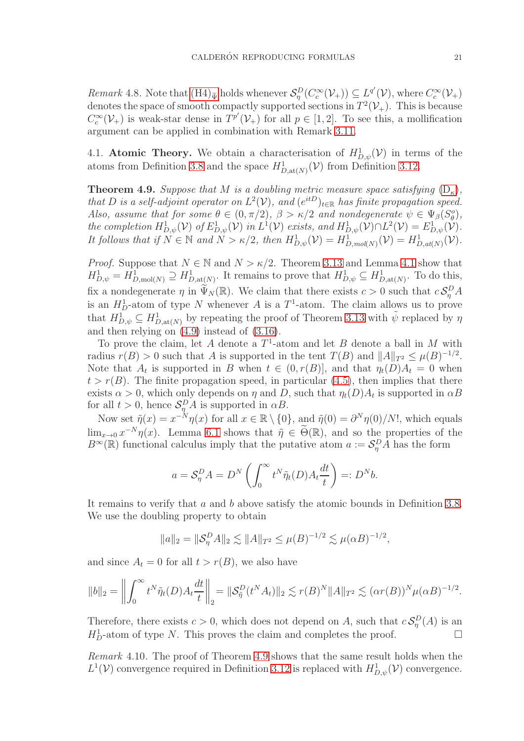<span id="page-20-2"></span>Remark 4.8. Note that  $(H4)_{\tilde{\Psi}}$  holds whenever  $\mathcal{S}_{\eta}^D(C_c^{\infty}(\mathcal{V}_+)) \subseteq L^{q'}(\mathcal{V})$ , where  $C_c^{\infty}(\mathcal{V}_+)$ denotes the space of smooth compactly supported sections in  $T^2(\mathcal{V}_+)$ . This is because  $C_c^{\infty}(\mathcal{V}_+)$  is weak-star dense in  $T^{p'}(\mathcal{V}_+)$  for all  $p \in [1,2]$ . To see this, a mollification argument can be applied in combination with Remark [3.11.](#page-12-3)

<span id="page-20-0"></span>4.1. **Atomic Theory.** We obtain a characterisation of  $H_{D,\psi}^1(\mathcal{V})$  in terms of the atoms from Definition [3.8](#page-10-2) and the space  $H_{D,\text{at}(N)}^1(\mathcal{V})$  from Definition [3.12.](#page-12-1)

<span id="page-20-1"></span>**Theorem 4.9.** Suppose that M is a doubling metric measure space satisfying  $(D_{\kappa})$  $(D_{\kappa})$ , that D is a self-adjoint operator on  $L^2(\mathcal{V})$ , and  $(e^{itD})_{t\in\mathbb{R}}$  has finite propagation speed. Also, assume that for some  $\theta \in (0, \pi/2), \beta > \kappa/2$  and nondegenerate  $\psi \in \Psi_{\beta}(S_{\theta}^o),$ the completion  $H^1_{D,\psi}(\mathcal{V})$  of  $E^1_{D,\psi}(\mathcal{V})$  in  $L^1(\mathcal{V})$  exists, and  $H^1_{D,\psi}(\mathcal{V}) \cap L^2(\mathcal{V}) = E^1_{D,\psi}(\mathcal{V})$ . It follows that if  $N \in \mathbb{N}$  and  $N > \kappa/2$ , then  $H_{D,\psi}^1(\mathcal{V}) = H_{D,\text{mod}(N)}^1(\mathcal{V}) = H_{D,\text{at}(N)}^1(\mathcal{V})$ .

*Proof.* Suppose that  $N \in \mathbb{N}$  and  $N > \kappa/2$ . Theorem [3.13](#page-12-2) and Lemma [4.1](#page-15-1) show that  $H_{D,\psi}^1 = H_{D,\text{mol}(N)}^1 \supseteq H_{D,\text{at}(N)}^1$ . It remains to prove that  $H_{D,\psi}^1 \subseteq H_{D,\text{at}(N)}^1$ . To do this, fix a nondegenerate  $\eta$  in  $\widetilde{\Psi}_N(\mathbb{R})$ . We claim that there exists  $c > 0$  such that  $c \mathcal{S}_\eta^D A$ is an  $H_D^1$ -atom of type N whenever A is a  $T^1$ -atom. The claim allows us to prove that  $H_{D,\psi}^1 \subseteq H_{D,\text{at}(N)}^1$  by repeating the proof of Theorem [3.13](#page-12-2) with  $\tilde{\psi}$  replaced by  $\eta$ and then relying on [\(4.9\)](#page-18-4) instead of [\(3.16\)](#page-9-1).

To prove the claim, let A denote a  $T^1$ -atom and let B denote a ball in M with radius  $r(B) > 0$  such that A is supported in the tent  $T(B)$  and  $||A||_{T^2} \leq \mu(B)^{-1/2}$ . Note that  $A_t$  is supported in B when  $t \in (0, r(B)]$ , and that  $\eta_t(D)A_t = 0$  when  $t > r(B)$ . The finite propagation speed, in particular [\(4.5\)](#page-17-0), then implies that there exists  $\alpha > 0$ , which only depends on  $\eta$  and D, such that  $\eta_t(D)A_t$  is supported in  $\alpha B$ for all  $t > 0$ , hence  $S_{\eta}^D A$  is supported in  $\alpha B$ .

Now set  $\tilde{\eta}(x) = x^{-N} \eta(x)$  for all  $x \in \mathbb{R} \setminus \{0\}$ , and  $\tilde{\eta}(0) = \partial^N \eta(0)/N!$ , which equals  $\lim_{x\to 0} x^{-N} \eta(x)$ . Lemma [6.1](#page-26-1) shows that  $\tilde{\eta} \in \tilde{\Theta}(\mathbb{R})$ , and so the properties of the  $B^{\infty}(\mathbb{R})$  functional calculus imply that the putative atom  $a := \mathcal{S}_{\eta}^{D} \tilde{A}$  has the form

$$
a = \mathcal{S}_{\eta}^{D} A = D^{N} \left( \int_{0}^{\infty} t^{N} \tilde{\eta}_{t}(D) A_{t} \frac{dt}{t} \right) =: D^{N} b.
$$

It remains to verify that a and b above satisfy the atomic bounds in Definition [3.8.](#page-10-2) We use the doubling property to obtain

$$
||a||_2 = ||\mathcal{S}_\eta^D A||_2 \lesssim ||A||_{T^2} \le \mu(B)^{-1/2} \lesssim \mu(\alpha B)^{-1/2},
$$

and since  $A_t = 0$  for all  $t > r(B)$ , we also have

$$
||b||_2 = \left\| \int_0^\infty t^N \tilde{\eta}_t(D) A_t \frac{dt}{t} \right\|_2 = \| \mathcal{S}_{\tilde{\eta}}^D(t^N A_t) \|_2 \lesssim r(B)^N \|A\|_{T^2} \lesssim (\alpha r(B))^N \mu(\alpha B)^{-1/2}.
$$

Therefore, there exists  $c > 0$ , which does not depend on A, such that  $c \mathcal{S}_{\eta}^{D}(A)$  is an  $H_D^1$ -atom of type N. This proves the claim and completes the proof.  $\Box$ 

Remark 4.10. The proof of Theorem [4.9](#page-20-1) shows that the same result holds when the  $L^1(\mathcal{V})$  convergence required in Definition [3.12](#page-12-1) is replaced with  $H^1_{D,\psi}(\mathcal{V})$  convergence.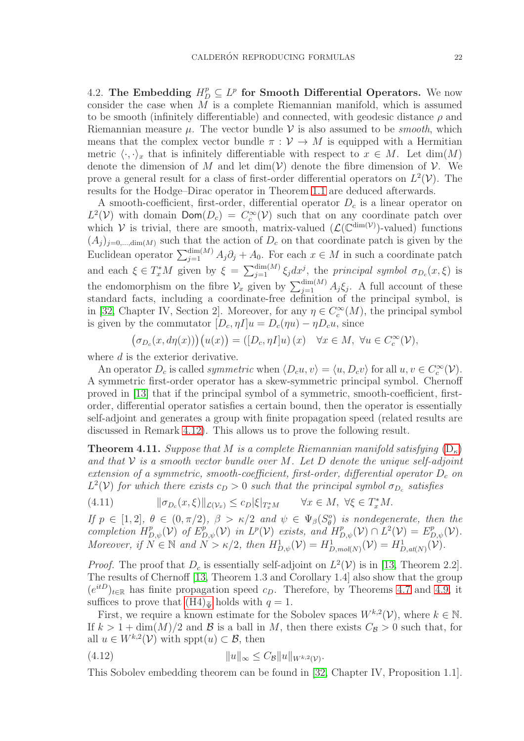<span id="page-21-0"></span>4.2. The Embedding  $H_D^p \subseteq L^p$  for Smooth Differential Operators. We now consider the case when  $M$  is a complete Riemannian manifold, which is assumed to be smooth (infinitely differentiable) and connected, with geodesic distance  $\rho$  and Riemannian measure  $\mu$ . The vector bundle  $\mathcal V$  is also assumed to be *smooth*, which means that the complex vector bundle  $\pi : \mathcal{V} \to M$  is equipped with a Hermitian metric  $\langle \cdot, \cdot \rangle_x$  that is infinitely differentiable with respect to  $x \in M$ . Let  $\dim(M)$ denote the dimension of M and let  $\dim(V)$  denote the fibre dimension of V. We prove a general result for a class of first-order differential operators on  $L^2(V)$ . The results for the Hodge–Dirac operator in Theorem [1.1](#page-3-0) are deduced afterwards.

A smooth-coefficient, first-order, differential operator  $D<sub>c</sub>$  is a linear operator on  $L^2(\mathcal{V})$  with domain  $\textsf{Dom}(D_c) = C_c^{\infty}(\mathcal{V})$  such that on any coordinate patch over which  $V$  is trivial, there are smooth, matrix-valued  $(\mathcal{L}(\mathbb{C}^{\dim(V)})$ -valued) functions  $(A_i)_{i=0,\dots,\text{dim}(M)}$  such that the action of  $D_c$  on that coordinate patch is given by the Euclidean operator  $\sum_{j=1}^{\dim(M)} A_j \partial_j + A_0$ . For each  $x \in M$  in such a coordinate patch and each  $\xi \in T_x^*M$  given by  $\xi = \sum_{j=1}^{\dim(M)} \xi_j dx^j$ , the principal symbol  $\sigma_{D_c}(x,\xi)$  is the endomorphism on the fibre  $\mathcal{V}_x$  given by  $\sum_{j=1}^{\dim(M)} A_j \xi_j$ . A full account of these standard facts, including a coordinate-free definition of the principal symbol, is in [\[32,](#page-30-6) Chapter IV, Section 2]. Moreover, for any  $\eta \in C_c^{\infty}(M)$ , the principal symbol is given by the commutator  $[D_c, \eta I]u = D_c(\eta u) - \eta D_c u$ , since

$$
\big(\sigma_{D_c}(x, d\eta(x))\big)\big(u(x)\big) = \big([D_c, \eta I]u\big)(x) \quad \forall x \in M, \ \forall u \in C_c^{\infty}(\mathcal{V}),
$$

where d is the exterior derivative.

An operator  $D_c$  is called *symmetric* when  $\langle D_c u, v \rangle = \langle u, D_c v \rangle$  for all  $u, v \in C_c^{\infty}(\mathcal{V})$ . A symmetric first-order operator has a skew-symmetric principal symbol. Chernoff proved in [\[13\]](#page-29-19) that if the principal symbol of a symmetric, smooth-coefficient, firstorder, differential operator satisfies a certain bound, then the operator is essentially self-adjoint and generates a group with finite propagation speed (related results are discussed in Remark [4.12\)](#page-22-0). This allows us to prove the following result.

<span id="page-21-1"></span>**Theorem 4.11.** Suppose that M is a complete Riemannian manifold satisfying  $(D_{\kappa})$  $(D_{\kappa})$ and that  $\mathcal V$  is a smooth vector bundle over M. Let D denote the unique self-adjoint extension of a symmetric, smooth-coefficient, first-order, differential operator  $D_c$  on  $L^2(\mathcal{V})$  for which there exists  $c_D > 0$  such that the principal symbol  $\sigma_{D_c}$  satisfies

<span id="page-21-3"></span>
$$
(4.11) \t\t |\t|\sigma_{D_c}(x,\xi)\|_{\mathcal{L}(\mathcal{V}_x)} \leq c_D |\xi|_{T_x^*M} \t\t \forall x \in M, \ \forall \xi \in T_x^*M.
$$

If  $p \in [1,2], \theta \in (0,\pi/2), \beta > \kappa/2$  and  $\psi \in \Psi_{\beta}(S_{\theta}^o)$  is nondegenerate, then the completion  $H^p_{D,\psi}(\mathcal{V})$  of  $E^p_{D,\psi}(\mathcal{V})$  in  $L^p(\mathcal{V})$  exists, and  $H^p_{D,\psi}(\mathcal{V}) \cap L^2(\mathcal{V}) = E^p_{D,\psi}(\mathcal{V})$ . Moreover, if  $N \in \mathbb{N}$  and  $N > \kappa/2$ , then  $H^1_{D,\psi}(\mathcal{V}) = H^1_{D,mol(N)}(\mathcal{V}) = H^1_{D,at(N)}(\mathcal{V})$ .

*Proof.* The proof that  $D_c$  is essentially self-adjoint on  $L^2(\mathcal{V})$  is in [\[13,](#page-29-19) Theorem 2.2]. The results of Chernoff [\[13,](#page-29-19) Theorem 1.3 and Corollary 1.4] also show that the group  $(e^{itD})_{t\in\mathbb{R}}$  has finite propagation speed  $c_D$ . Therefore, by Theorems [4.7](#page-19-1) and [4.9,](#page-20-1) it suffices to prove that  $(H4)_{\tilde{u}}$  holds with  $q = 1$ .

First, we require a known estimate for the Sobolev spaces  $W^{k,2}(\mathcal{V})$ , where  $k \in \mathbb{N}$ . If  $k > 1 + \dim(M)/2$  and B is a ball in M, then there exists  $C_{\mathcal{B}} > 0$  such that, for all  $u \in W^{k,2}(\mathcal{V})$  with  $\text{sppt}(u) \subset \mathcal{B}$ , then

<span id="page-21-2"></span>(4.12) 
$$
||u||_{\infty} \leq C_{\mathcal{B}} ||u||_{W^{k,2}(\mathcal{V})}.
$$

This Sobolev embedding theorem can be found in [\[32,](#page-30-6) Chapter IV, Proposition 1.1].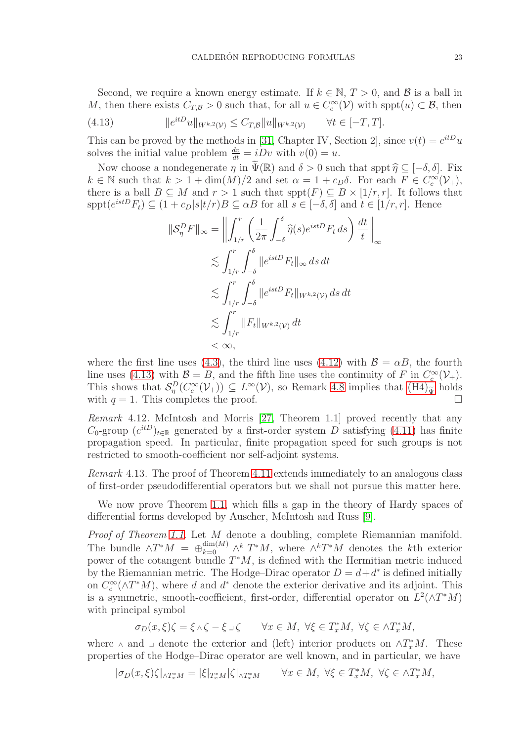Second, we require a known energy estimate. If  $k \in \mathbb{N}, T > 0$ , and  $\mathcal{B}$  is a ball in M, then there exists  $C_{T,B} > 0$  such that, for all  $u \in C_c^{\infty}(\mathcal{V})$  with  $spt(u) \subset \mathcal{B}$ , then

<span id="page-22-1"></span>(4.13) 
$$
\|e^{itD}u\|_{W^{k,2}(V)} \leq C_{T,\mathcal{B}}\|u\|_{W^{k,2}(V)} \quad \forall t \in [-T,T].
$$

This can be proved by the methods in [\[31,](#page-30-7) Chapter IV, Section 2], since  $v(t) = e^{itD}u$ solves the initial value problem  $\frac{dv}{dt} = iDv$  with  $v(0) = u$ .

Now choose a nondegenerate  $\eta$  in  $\widetilde{\Psi}(\mathbb{R})$  and  $\delta > 0$  such that sppt  $\widehat{\eta} \subseteq [-\delta, \delta]$ . Fix  $k \in \mathbb{N}$  such that  $k > 1 + \dim(M)/2$  and set  $\alpha = 1 + c_D \delta$ . For each  $F \in C_c^{\infty}(\mathcal{V}_+),$ there is a ball  $B \subseteq M$  and  $r > 1$  such that  $spt(F) \subseteq B \times [1/r, r]$ . It follows that  $spt(e^{istD}F_t) \subseteq (1+c_D|s|t/r)B \subseteq \alpha B$  for all  $s \in [-\delta, \delta]$  and  $t \in [1/r, r]$ . Hence

$$
\|\mathcal{S}_\eta^D F\|_{\infty} = \left\| \int_{1/r}^r \left( \frac{1}{2\pi} \int_{-\delta}^{\delta} \widehat{\eta}(s) e^{istD} F_t ds \right) \frac{dt}{t} \right\|_{\infty}
$$
  

$$
\lesssim \int_{1/r}^r \int_{-\delta}^{\delta} \|e^{istD} F_t\|_{\infty} ds dt
$$
  

$$
\lesssim \int_{1/r}^r \int_{-\delta}^{\delta} \|e^{istD} F_t\|_{W^{k,2}(V)} ds dt
$$
  

$$
\lesssim \int_{1/r}^r \|F_t\|_{W^{k,2}(V)} dt
$$
  

$$
< \infty,
$$

where the first line uses [\(4.3\)](#page-16-2), the third line uses [\(4.12\)](#page-21-2) with  $\mathcal{B} = \alpha B$ , the fourth line uses [\(4.13\)](#page-22-1) with  $\mathcal{B} = B$ , and the fifth line uses the continuity of F in  $C_c^{\infty}(\mathcal{V}_+)$ . This shows that  $\mathcal{S}_{\eta}^{D}(C_{c}^{\infty}(\mathcal{V}_{+})) \subseteq L^{\infty}(\mathcal{V})$ , so Remark [4.8](#page-20-2) implies that  $(\text{H4})_{\tilde{\Psi}}$  holds with  $q = 1$ . This completes the proof.

<span id="page-22-0"></span>Remark 4.12. McIntosh and Morris [\[27,](#page-30-8) Theorem 1.1] proved recently that any  $C_0$ -group  $(e^{itD})_{t\in\mathbb{R}}$  generated by a first-order system D satisfying [\(4.11\)](#page-21-3) has finite propagation speed. In particular, finite propagation speed for such groups is not restricted to smooth-coefficient nor self-adjoint systems.

Remark 4.13. The proof of Theorem [4.11](#page-21-1) extends immediately to an analogous class of first-order pseudodifferential operators but we shall not pursue this matter here.

We now prove Theorem [1.1,](#page-3-0) which fills a gap in the theory of Hardy spaces of differential forms developed by Auscher, McIntosh and Russ [\[9\]](#page-29-1).

Proof of Theorem [1.1.](#page-3-0) Let M denote a doubling, complete Riemannian manifold. The bundle  $\wedge T^*M = \bigoplus_{k=0}^{\dim(M)} \wedge^k T^*M$ , where  $\wedge^k T^*M$  denotes the kth exterior power of the cotangent bundle  $T^*M$ , is defined with the Hermitian metric induced by the Riemannian metric. The Hodge–Dirac operator  $D = d + d^*$  is defined initially on  $C_c^{\infty}(\wedge T^*M)$ , where d and d<sup>\*</sup> denote the exterior derivative and its adjoint. This is a symmetric, smooth-coefficient, first-order, differential operator on  $L^2(\wedge T^*M)$ with principal symbol

$$
\sigma_D(x,\xi)\zeta = \xi \wedge \zeta - \xi \lrcorner \zeta \qquad \forall x \in M, \ \forall \xi \in T_x^*M, \ \forall \zeta \in \wedge T_x^*M,
$$

where  $\wedge$  and  $\Box$  denote the exterior and (left) interior products on  $\wedge T_x^*M$ . These properties of the Hodge–Dirac operator are well known, and in particular, we have

$$
|\sigma_D(x,\xi)\zeta|_{\wedge T_x^*M} = |\xi|_{T_x^*M} |\zeta|_{\wedge T_x^*M} \qquad \forall x \in M, \ \forall \xi \in T_x^*M, \ \forall \zeta \in \wedge T_x^*M,
$$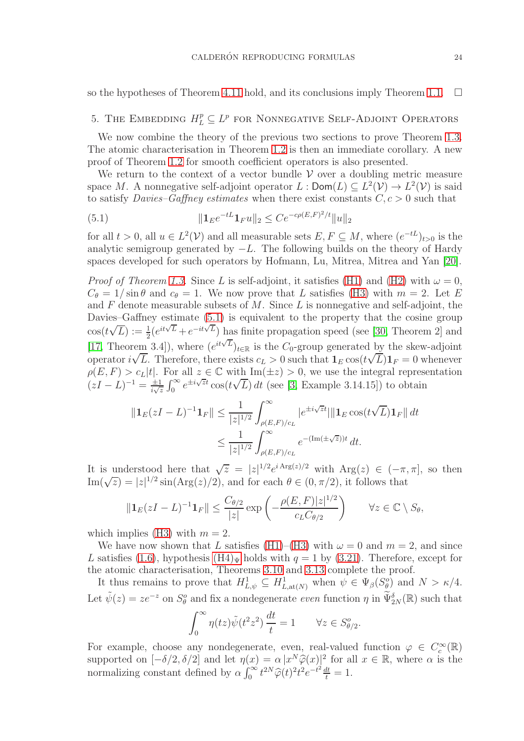so the hypotheses of Theorem [4.11](#page-21-1) hold, and its conclusions imply Theorem [1.1.](#page-3-0)  $\Box$ 

# <span id="page-23-0"></span>5. THE EMBEDDING  $H_L^p \subseteq L^p$  for Nonnegative Self-Adjoint Operators

We now combine the theory of the previous two sections to prove Theorem [1.3.](#page-4-1) The atomic characterisation in Theorem [1.2](#page-3-2) is then an immediate corollary. A new proof of Theorem [1.2](#page-3-2) for smooth coefficient operators is also presented.

We return to the context of a vector bundle  $\mathcal V$  over a doubling metric measure space M. A nonnegative self-adjoint operator  $L: \mathsf{Dom}(L) \subseteq L^2(\mathcal{V}) \to L^2(\mathcal{V})$  is said to satisfy *Davies–Gaffney estimates* when there exist constants  $C, c > 0$  such that

<span id="page-23-1"></span>(5.1) 
$$
\| \mathbf{1}_E e^{-tL} \mathbf{1}_F u \|_2 \leq C e^{-c\rho(E, F)^2/t} \| u \|_2
$$

for all  $t > 0$ , all  $u \in L^2(\mathcal{V})$  and all measurable sets  $E, F \subseteq M$ , where  $(e^{-tL})_{t>0}$  is the analytic semigroup generated by  $-L$ . The following builds on the theory of Hardy spaces developed for such operators by Hofmann, Lu, Mitrea, Mitrea and Yan [\[20\]](#page-29-6).

*Proof of Theorem [1.3.](#page-4-1)* Since L is self-adjoint, it satisfies [\(H1\)](#page-6-2) and [\(H2\)](#page-6-3) with  $\omega = 0$ ,  $C_{\theta} = 1/\sin \theta$  and  $c_{\theta} = 1$ . We now prove that L satisfies [\(H3\)](#page-6-4) with  $m = 2$ . Let E and  $F$  denote measurable subsets of  $M$ . Since  $L$  is nonnegative and self-adjoint, the Davies–Gaffney estimate  $(5.1)$  is equivalent to the property that the cosine group  $\cos(t\sqrt{L}) := \frac{1}{2} (e^{it\sqrt{L}} + e^{-it\sqrt{L}})$  has finite propagation speed (see [\[30,](#page-30-9) Theorem 2] and [\[17,](#page-29-20) Theorem 3.4]), where  $(e^{it\sqrt{L}})_{t\in\mathbb{R}}$  is the  $C_0$ -group generated by the skew-adjoint operator  $i\sqrt{L}$ . Therefore, there exists  $c_L > 0$  such that  $\mathbf{1}_E \cos(t\sqrt{L}) \mathbf{1}_F = 0$  whenever  $\rho(E, F) > c_L|t|$ . For all  $z \in \mathbb{C}$  with  $\text{Im}(\pm z) > 0$ , we use the integral representation  $(zI - L)^{-1} = \frac{\pm 1}{i\sqrt{z}} \int_0^\infty e^{\pm i\sqrt{z}t} \cos(t\sqrt{L}) dt$  (see [\[3,](#page-29-21) Example 3.14.15]) to obtain

$$
\|\mathbf{1}_E(zI - L)^{-1}\mathbf{1}_F\| \le \frac{1}{|z|^{1/2}} \int_{\rho(E,F)/c_L}^{\infty} |e^{\pm i\sqrt{z}t}|\|\mathbf{1}_E \cos(t\sqrt{L})\mathbf{1}_F\| dt
$$
  

$$
\le \frac{1}{|z|^{1/2}} \int_{\rho(E,F)/c_L}^{\infty} e^{-(\text{Im}(\pm \sqrt{z}))t} dt.
$$

It is understood here that  $\sqrt{z} = |z|^{1/2} e^{i \text{Arg}(z)/2}$  with  $\text{Arg}(z) \in (-\pi, \pi]$ , so then Im( $\sqrt{z}$ ) = |z|<sup>1/2</sup> sin(Arg(z)/2), and for each  $\theta \in (0, \pi/2)$ , it follows that

$$
\|\mathbf{1}_E(zI-L)^{-1}\mathbf{1}_F\| \le \frac{C_{\theta/2}}{|z|} \exp\left(-\frac{\rho(E,F)|z|^{1/2}}{c_L C_{\theta/2}}\right) \qquad \forall z \in \mathbb{C} \setminus S_{\theta},
$$

which implies [\(H3\)](#page-6-4) with  $m = 2$ .

We have now shown that L satisfies [\(H1\)](#page-6-2)–[\(H3\)](#page-6-4) with  $\omega = 0$  and  $m = 2$ , and since L satisfies [\(1.6\)](#page-4-0), hypothesis  $(H4)_\Psi$  holds with  $q = 1$  by [\(3.21\)](#page-14-2). Therefore, except for the atomic characterisation, Theorems [3.10](#page-11-1) and [3.13](#page-12-2) complete the proof.

It thus remains to prove that  $H^1_{L,\psi} \subseteq H^1_{L,\text{at}(N)}$  when  $\psi \in \Psi_\beta(S_\theta^o)$  and  $N > \kappa/4$ . Let  $\tilde{\psi}(z) = ze^{-z}$  on  $S^o_{\theta}$  and fix a nondegenerate *even* function  $\eta$  in  $\tilde{\Psi}_{2N}^{\delta}(\mathbb{R})$  such that

$$
\int_0^\infty \eta(tz) \tilde{\psi}(t^2 z^2) \, \frac{dt}{t} = 1 \qquad \forall z \in S_{\theta/2}^o
$$

.

For example, choose any nondegenerate, even, real-valued function  $\varphi \in C_c^{\infty}(\mathbb{R})$ supported on  $[-\delta/2, \delta/2]$  and let  $\eta(x) = \alpha |x^N \hat{\varphi}(x)|^2$  for all  $x \in \mathbb{R}$ , where  $\alpha$  is the normalizing constant defined by  $\alpha \int_0^\infty t^{2N} \widehat{\varphi}(t)^2 t^2 e^{-t^2} \frac{dt}{t} = 1.$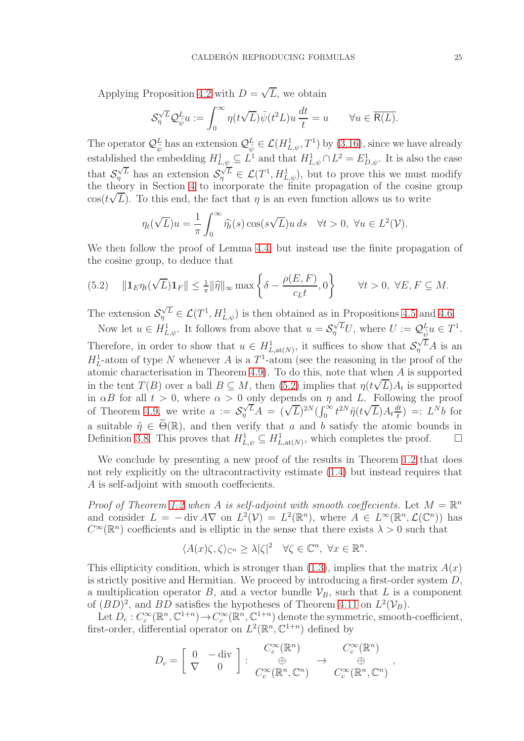Applying Proposition [4.2](#page-16-1) with  $D = \sqrt{L}$ , we obtain

$$
\mathcal{S}_\eta^{\sqrt{L}} \mathcal{Q}_{\tilde{\psi}}^L u := \int_0^\infty \eta(t\sqrt{L}) \tilde{\psi}(t^2 L) u \, \frac{dt}{t} = u \qquad \forall u \in \overline{\mathsf{R}(L)}.
$$

The operator  $\mathcal{Q}_{\psi}^{L}$  has an extension  $\mathcal{Q}_{\psi}^{L} \in \mathcal{L}(H_{L,\psi}^{1},T^{1})$  by [\(3.16\)](#page-9-1), since we have already established the embedding  $H_{L,\psi}^1 \subseteq L^1$  and that  $H_{L,\psi}^1 \cap L^2 = E_{D,\psi}^1$ . It is also the case that  $S_{\eta}^{\sqrt{L}}$  has an extension  $S_{\eta}^{\sqrt{L}} \in \mathcal{L}(T^1, H^1_{L,\psi})$ , but to prove this we must modify the theory in Section [4](#page-15-0) to incorporate the finite propagation of the cosine group  $\cos(t\sqrt{L})$ . To this end, the fact that  $\eta$  is an even function allows us to write √

$$
\eta_t(\sqrt{L})u = \frac{1}{\pi} \int_0^\infty \widehat{\eta_t}(s) \cos(s\sqrt{L})u \, ds \quad \forall t > 0, \ \forall u \in L^2(\mathcal{V}).
$$

We then follow the proof of Lemma [4.4,](#page-17-2) but instead use the finite propagation of the cosine group, to deduce that

<span id="page-24-0"></span>(5.2) 
$$
\|\mathbf{1}_E \eta_t(\sqrt{L})\mathbf{1}_F\| \leq \frac{1}{\pi} \|\widehat{\eta}\|_{\infty} \max\left\{\delta - \frac{\rho(E, F)}{c_L t}, 0\right\} \quad \forall t > 0, \ \forall E, F \subseteq M.
$$

The extension  $\mathcal{S}_{\eta}^{\sqrt{L}} \in \mathcal{L}(T^1, H^1_{L,\psi})$  is then obtained as in Propositions [4.5](#page-18-3) and [4.6.](#page-18-5)

Now let  $u \in H_{L,\psi}^1$ . It follows from above that  $u = \mathcal{S}_{\eta}^{\sqrt{L}}U$ , where  $U := \mathcal{Q}_{\tilde{\psi}}^L u \in T^1$ . Therefore, in order to show that  $u \in H_{L,at(N)}^1$ , it suffices to show that  $\mathcal{S}_{\eta}^{\sqrt{L}}A$  is an  $H_L^1$ -atom of type N whenever A is a  $T^1$ -atom (see the reasoning in the proof of the atomic characterisation in Theorem [4.9\)](#page-20-1). To do this, note that when A is supported in the tent  $T(B)$  over a ball  $B \subseteq M$ , then [\(5.2\)](#page-24-0) implies that  $\eta(t\sqrt{L})A_t$  is supported in  $\alpha B$  for all  $t > 0$ , where  $\alpha > 0$  only depends on  $\eta$  and L. Following the proof of Theorem [4.9,](#page-20-1) we write  $a := S_{\eta}^{\sqrt{L}} A = (\sqrt{L})^{2N} (\int_0^{\infty} t^{2N} \tilde{\eta}(t\sqrt{L}) A_t \frac{dt}{t})$  $\frac{dt}{t}$ ) =:  $L^Nb$  for a suitable  $\tilde{\eta} \in \Theta(\mathbb{R})$ , and then verify that a and b satisfy the atomic bounds in Definition 3.8. This proves that  $H_{L}^1 \circ L^1$  at  $(W)$ , which completes the proof. Definition [3.8.](#page-10-2) This proves that  $H^1_{L,\psi} \subseteq H^1_{L,\text{at}(N)}$ , which completes the proof.  $\Box$ 

We conclude by presenting a new proof of the results in Theorem [1.2](#page-3-2) that does not rely explicitly on the ultracontractivity estimate [\(1.4\)](#page-3-1) but instead requires that A is self-adjoint with smooth coeffecients.

Proof of Theorem [1.2](#page-3-2) when A is self-adjoint with smooth coeffecients. Let  $M = \mathbb{R}^n$ and consider  $L = -\text{div } A \nabla$  on  $L^2(\mathcal{V}) = L^2(\mathbb{R}^n)$ , where  $A \in L^\infty(\mathbb{R}^n, \mathcal{L}(\mathbb{C}^n))$  has  $C^{\infty}(\mathbb{R}^n)$  coefficients and is elliptic in the sense that there exists  $\lambda > 0$  such that

$$
\langle A(x)\zeta,\zeta\rangle_{\mathbb{C}^n}\geq\lambda|\zeta|^2\quad\forall\zeta\in\mathbb{C}^n,\;\forall x\in\mathbb{R}^n.
$$

This ellipticity condition, which is stronger than  $(1.3)$ , implies that the matrix  $A(x)$ is strictly positive and Hermitian. We proceed by introducing a first-order system  $D$ , a multiplication operator B, and a vector bundle  $\mathcal{V}_B$ , such that L is a component of  $(BD)^2$ , and  $BD$  satisfies the hypotheses of Theorem [4.11](#page-21-1) on  $L^2(\mathcal{V}_B)$ .

Let  $D_c: C_c^{\infty}(\mathbb{R}^n, \mathbb{C}^{1+n}) \to C_c^{\infty}(\mathbb{R}^n, \mathbb{C}^{1+n})$  denote the symmetric, smooth-coefficient, first-order, differential operator on  $L^2(\mathbb{R}^n, \mathbb{C}^{1+n})$  defined by

$$
D_c = \left[ \begin{array}{cc} 0 & -\operatorname{div} \\ \nabla & 0 \end{array} \right] : \begin{array}{c} C_c^{\infty}(\mathbb{R}^n) \\ \oplus \\ C_c^{\infty}(\mathbb{R}^n, \mathbb{C}^n) \end{array} \rightarrow \begin{array}{c} C_c^{\infty}(\mathbb{R}^n) \\ \oplus \\ C_c^{\infty}(\mathbb{R}^n, \mathbb{C}^n) \end{array}
$$

,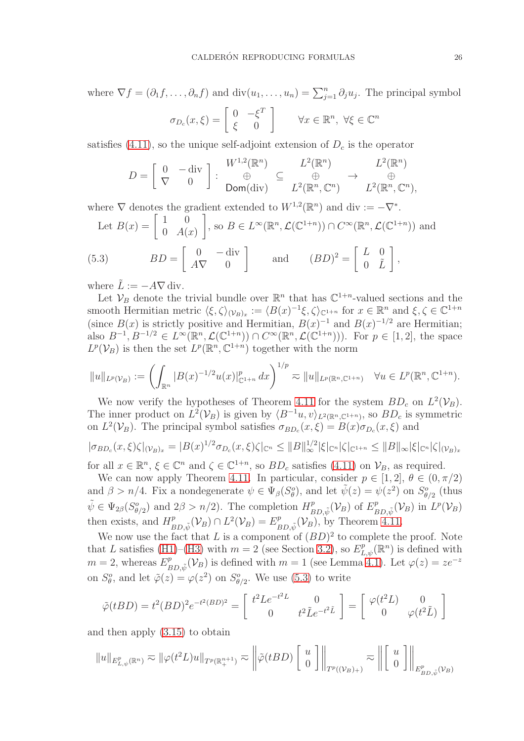where  $\nabla f = (\partial_1 f, \dots, \partial_n f)$  and  $\text{div}(u_1, \dots, u_n) = \sum_{j=1}^n \partial_j u_j$ . The principal symbol  $(x,\xi) = \left[$  $0 - \xi$ T 1 n  $\overline{n}$ 

$$
\sigma_{D_c}(x,\xi) = \left[ \begin{array}{cc} 0 & -\xi^2 \\ \xi & 0 \end{array} \right] \qquad \forall x \in \mathbb{R}^n, \ \forall \xi \in \mathbb{C}
$$

satisfies [\(4.11\)](#page-21-3), so the unique self-adjoint extension of  $D<sub>c</sub>$  is the operator

$$
D = \left[\begin{array}{cc} 0 & -\operatorname{div} \\ \nabla & 0 \end{array}\right] : \begin{array}{c} W^{1,2}(\mathbb{R}^n) \\ \oplus & \subseteq \\ \mathsf{Dom}(\operatorname{div}) \end{array} \begin{array}{c} L^2(\mathbb{R}^n) \\ \oplus & \longrightarrow \\ L^2(\mathbb{R}^n, \mathbb{C}^n) \end{array} \begin{array}{c} L^2(\mathbb{R}^n) \\ \oplus & \longrightarrow \\ L^2(\mathbb{R}^n, \mathbb{C}^n), \end{array}
$$

where  $\nabla$  denotes the gradient extended to  $W^{1,2}(\mathbb{R}^n)$  and div  $:= -\nabla^*$ .

Let 
$$
B(x) = \begin{bmatrix} 1 & 0 \\ 0 & A(x) \end{bmatrix}
$$
, so  $B \in L^{\infty}(\mathbb{R}^n, \mathcal{L}(\mathbb{C}^{1+n})) \cap C^{\infty}(\mathbb{R}^n, \mathcal{L}(\mathbb{C}^{1+n}))$  and  
(5.3) 
$$
BD = \begin{bmatrix} 0 & -\text{div} \\ A\nabla & 0 \end{bmatrix} \quad \text{and} \quad (BD)^2 = \begin{bmatrix} L & 0 \\ 0 & \tilde{L} \end{bmatrix},
$$

<span id="page-25-0"></span>where  $\tilde{L} := -A\nabla \text{div}$ .

Let  $V_B$  denote the trivial bundle over  $\mathbb{R}^n$  that has  $\mathbb{C}^{1+n}$ -valued sections and the smooth Hermitian metric  $\langle \xi, \zeta \rangle_{(\mathcal{V}_B)_x} := \langle B(x)^{-1} \xi, \zeta \rangle_{\mathbb{C}^{1+n}}$  for  $x \in \mathbb{R}^n$  and  $\xi, \zeta \in \mathbb{C}^{1+n}$ (since  $B(x)$  is strictly positive and Hermitian,  $B(x)^{-1}$  and  $B(x)^{-1/2}$  are Hermitian; also  $B^{-1}, B^{-1/2} \in L^{\infty}(\mathbb{R}^n, \mathcal{L}(\mathbb{C}^{1+n})) \cap C^{\infty}(\mathbb{R}^n, \mathcal{L}(\mathbb{C}^{1+n})).$  For  $p \in [1, 2]$ , the space  $L^p(\mathcal{V}_B)$  is then the set  $L^p(\mathbb{R}^n, \mathbb{C}^{1+n})$  together with the norm

$$
||u||_{L^p(\mathcal{V}_B)} := \left(\int_{\mathbb{R}^n} |B(x)^{-1/2} u(x)|_{\mathbb{C}^{1+n}}^p dx\right)^{1/p} \approx ||u||_{L^p(\mathbb{R}^n, \mathbb{C}^{1+n})} \quad \forall u \in L^p(\mathbb{R}^n, \mathbb{C}^{1+n}).
$$

We now verify the hypotheses of Theorem [4.11](#page-21-1) for the system  $BD_c$  on  $L^2(\mathcal{V}_B)$ . The inner product on  $L^2(\mathcal{V}_B)$  is given by  $\langle B^{-1}u, v \rangle_{L^2(\mathbb{R}^n, \mathbb{C}^{1+n})}$ , so  $BD_c$  is symmetric on  $L^2(\mathcal{V}_B)$ . The principal symbol satisfies  $\sigma_{BD_c}(x,\xi) = B(x)\sigma_{D_c}(x,\xi)$  and

$$
|\sigma_{BD_c}(x,\xi)\zeta|_{(\mathcal{V}_B)_x} = |B(x)^{1/2}\sigma_{D_c}(x,\xi)\zeta|_{\mathbb{C}^n} \le ||B||_{\infty}^{1/2} |\xi|_{\mathbb{C}^n} |\zeta|_{\mathbb{C}^{1+n}} \le ||B||_{\infty} |\xi|_{\mathbb{C}^n} |\zeta|_{(\mathcal{V}_B)_x}
$$
  
for all  $x \in \mathbb{R}^n$ ,  $\xi \in \mathbb{C}^n$  and  $\zeta \in \mathbb{C}^{1+n}$ , so  $BD_c$  satisfies (4.11) on  $\mathcal{V}_B$ , as required.

We can now apply Theorem [4.11.](#page-21-1) In particular, consider  $p \in [1, 2], \theta \in (0, \pi/2)$ and  $\beta > n/4$ . Fix a nondegenerate  $\psi \in \Psi_{\beta}(S_{\theta}^o)$ , and let  $\tilde{\psi}(z) = \psi(z^2)$  on  $S_{\theta/2}^o$  (thus  $\tilde{\psi} \in \Psi_{2\beta}(S^o_{\theta/2})$  and  $2\beta > n/2$ ). The completion  $H^p_B$  $E_{BD,\tilde{\psi}}^p(\mathcal{V}_B)$  of  $E_E^p$  $_{BD,\tilde{\psi}}^p(\mathcal{V}_B)$  in  $L^p(\mathcal{V}_B)$ then exists, and  $H_p^p$  $E_{BD,\tilde{\psi}}^p(\mathcal{V}_B) \cap L^2(\mathcal{V}_B) = E_E^p$  $P_{BD,\tilde{\psi}}(\mathcal{V}_B)$ , by Theorem [4.11.](#page-21-1)

We now use the fact that L is a component of  $(BD)^2$  to complete the proof. Note that L satisfies [\(H1\)](#page-6-2)–[\(H3\)](#page-6-4) with  $m=2$  (see Section [3.2\)](#page-13-0), so  $E_{L,\psi}^p(\mathbb{R}^n)$  is defined with  $m=2$ , whereas  $E_{\mu}^{p}$  $_{BD,\tilde{\psi}}^p(\mathcal{V}_B)$  is defined with  $m=1$  (see Lemma [4.1\)](#page-15-1). Let  $\varphi(z)=ze^{-z}$ on  $S_{\theta}^o$ , and let  $\tilde{\varphi}(z) = \varphi(z^2)$  on  $S_{\theta/2}^o$ . We use [\(5.3\)](#page-25-0) to write

$$
\tilde{\varphi}(tBD) = t^2 (BD)^2 e^{-t^2 (BD)^2} = \begin{bmatrix} t^2 L e^{-t^2 L} & 0 \\ 0 & t^2 \tilde{L} e^{-t^2 \tilde{L}} \end{bmatrix} = \begin{bmatrix} \varphi(t^2 L) & 0 \\ 0 & \varphi(t^2 \tilde{L}) \end{bmatrix}
$$

and then apply [\(3.15\)](#page-9-3) to obtain

$$
||u||_{E^p_{L,\psi}(\mathbb{R}^n)} \eqsim ||\varphi(t^2 L)u||_{T^p(\mathbb{R}^{n+1}_+)} \eqsim ||\tilde{\varphi}(tBD) \begin{bmatrix} u \\ 0 \end{bmatrix}||_{T^p((\mathcal{V}_B)_+)} \eqsim ||\begin{bmatrix} u \\ 0 \end{bmatrix}||_{E^p_{BD,\tilde{\psi}}(\mathcal{V}_B)}
$$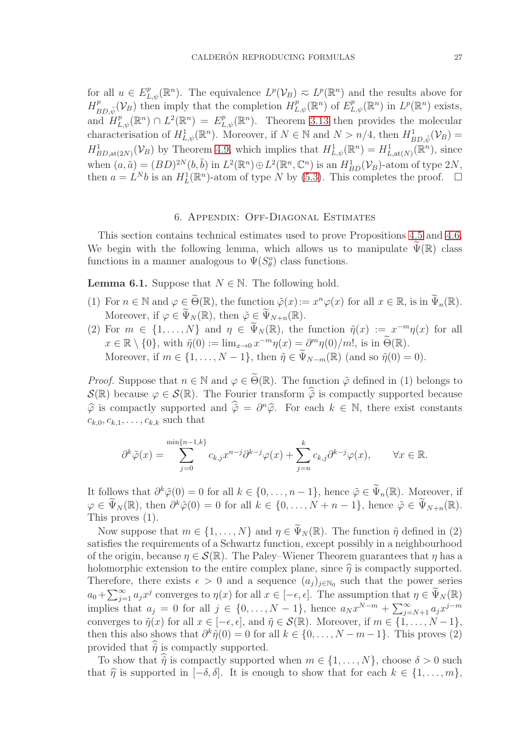for all  $u \in E_{L,\psi}^p(\mathbb{R}^n)$ . The equivalence  $L^p(\mathcal{V}_B) \n\supset L^p(\mathbb{R}^n)$  and the results above for  $H^p_{\mu}$  $B_{BD,\tilde{\psi}}(\mathcal{V}_B)$  then imply that the completion  $H^p_{L,\psi}(\mathbb{R}^n)$  of  $E^p_{L,\psi}(\mathbb{R}^n)$  in  $L^p(\mathbb{R}^n)$  exists, and  $H_{L,\psi}^p(\mathbb{R}^n) \cap L^2(\mathbb{R}^n) = E_{L,\psi}^p(\mathbb{R}^n)$ . Theorem [3.13](#page-12-2) then provides the molecular characterisation of  $H^1_{L,\psi}(\mathbb{R}^n)$ . Moreover, if  $N \in \mathbb{N}$  and  $N > n/4$ , then  $H^1_{BD,\tilde{\psi}}(\mathcal{V}_B) =$  $H_{BD,at(2N)}^1(\mathcal{V}_B)$  by Theorem [4.9,](#page-20-1) which implies that  $H_{L,\psi}^1(\mathbb{R}^n) = H_{L,at(N)}^1(\mathbb{R}^n)$ , since when  $(a, \tilde{a}) = (BD)^{2N}(b, \tilde{b})$  in  $L^2(\mathbb{R}^n) \oplus L^2(\mathbb{R}^n, \mathbb{C}^n)$  is an  $H^1_{BD}(\mathcal{V}_B)$ -atom of type  $2N$ , then  $a = L^N b$  is an  $H_L^1(\mathbb{R}^n)$ -atom of type N by [\(5.3\)](#page-25-0). This completes the proof.  $\Box$ 

# 6. Appendix: Off-Diagonal Estimates

<span id="page-26-0"></span>This section contains technical estimates used to prove Propositions [4.5](#page-18-3) and [4.6.](#page-18-5) We begin with the following lemma, which allows us to manipulate  $\Psi(\mathbb{R})$  class functions in a manner analogous to  $\Psi(S^o_\theta)$  class functions.

<span id="page-26-1"></span>**Lemma 6.1.** Suppose that  $N \in \mathbb{N}$ . The following hold.

- (1) For  $n \in \mathbb{N}$  and  $\varphi \in \widetilde{\Theta}(\mathbb{R})$ , the function  $\widetilde{\varphi}(x) := x^n \varphi(x)$  for all  $x \in \mathbb{R}$ , is in  $\widetilde{\Psi}_n(\mathbb{R})$ . Moreover, if  $\varphi \in \widetilde{\Psi}_N(\mathbb{R})$ , then  $\tilde{\varphi} \in \widetilde{\Psi}_{N+n}(\mathbb{R})$ .
- (2) For  $m \in \{1, ..., N\}$  and  $\eta \in \tilde{\Psi}_N(\mathbb{R})$ , the function  $\tilde{\eta}(x) := x^{-m}\eta(x)$  for all  $x \in \mathbb{R} \setminus \{0\}$ , with  $\tilde{\eta}(0) := \lim_{x \to 0} x^{-m} \eta(x) = \partial^m \eta(0)/m!$ , is in  $\tilde{\Theta}(\mathbb{R})$ . Moreover, if  $m \in \{1, ..., N-1\}$ , then  $\tilde{\eta} \in \tilde{\Psi}_{N-m}(\mathbb{R})$  (and so  $\tilde{\eta}(0) = 0$ ).

*Proof.* Suppose that  $n \in \mathbb{N}$  and  $\varphi \in \widetilde{\Theta}(\mathbb{R})$ . The function  $\tilde{\varphi}$  defined in (1) belongs to  $\mathcal{S}(\mathbb{R})$  because  $\varphi \in \mathcal{S}(\mathbb{R})$ . The Fourier transform  $\hat{\phi}$  is compactly supported because  $\hat{\varphi}$  is compactly supported and  $\hat{\tilde{\varphi}} = \partial^n \hat{\varphi}$ . For each  $k \in \mathbb{N}$ , there exist constants  $c_{k,0}, c_{k,1}, \ldots, c_{k,k}$  such that

$$
\partial^k \tilde{\varphi}(x) = \sum_{j=0}^{\min\{n-1,k\}} c_{k,j} x^{n-j} \partial^{k-j} \varphi(x) + \sum_{j=n}^k c_{k,j} \partial^{k-j} \varphi(x), \qquad \forall x \in \mathbb{R}.
$$

It follows that  $\partial^k \tilde{\varphi}(0) = 0$  for all  $k \in \{0, \ldots, n-1\}$ , hence  $\tilde{\varphi} \in \tilde{\Psi}_n(\mathbb{R})$ . Moreover, if  $\varphi \in \widetilde{\Psi}_N(\mathbb{R})$ , then  $\partial^k \widetilde{\varphi}(0) = 0$  for all  $k \in \{0, \ldots, N + n - 1\}$ , hence  $\widetilde{\varphi} \in \widetilde{\Psi}_{N+n}(\mathbb{R})$ . This proves (1).

Now suppose that  $m \in \{1, ..., N\}$  and  $\eta \in \Psi_N(\mathbb{R})$ . The function  $\tilde{\eta}$  defined in (2) satisfies the requirements of a Schwartz function, except possibly in a neighbourhood of the origin, because  $\eta \in \mathcal{S}(\mathbb{R})$ . The Paley–Wiener Theorem guarantees that  $\eta$  has a holomorphic extension to the entire complex plane, since  $\hat{\eta}$  is compactly supported. Therefore, there exists  $\epsilon > 0$  and a sequence  $(a_j)_{j \in \mathbb{N}_0}$  such that the power series  $a_0 + \sum_{j=1}^{\infty} a_j x^j$  converges to  $\eta(x)$  for all  $x \in [-\epsilon, \epsilon]$ . The assumption that  $\eta \in \tilde{\Psi}_N(\mathbb{R})$ implies that  $a_j = 0$  for all  $j \in \{0, ..., N-1\}$ , hence  $a_N x^{N-m} + \sum_{j=N+1}^{\infty} a_j x^{j-m}$ converges to  $\tilde{\eta}(x)$  for all  $x \in [-\epsilon, \epsilon]$ , and  $\tilde{\eta} \in \mathcal{S}(\mathbb{R})$ . Moreover, if  $m \in \{1, ..., N-1\}$ , then this also shows that  $\partial^k \tilde{\eta}(0) = 0$  for all  $k \in \{0, ..., N-m-1\}$ . This proves (2) provided that  $\tilde{\eta}$  is compactly supported.

To show that  $\hat{\tilde{\eta}}$  is compactly supported when  $m \in \{1, \ldots, N\}$ , choose  $\delta > 0$  such that  $\hat{\eta}$  is supported in  $[-\delta, \delta]$ . It is enough to show that for each  $k \in \{1, \ldots, m\}$ ,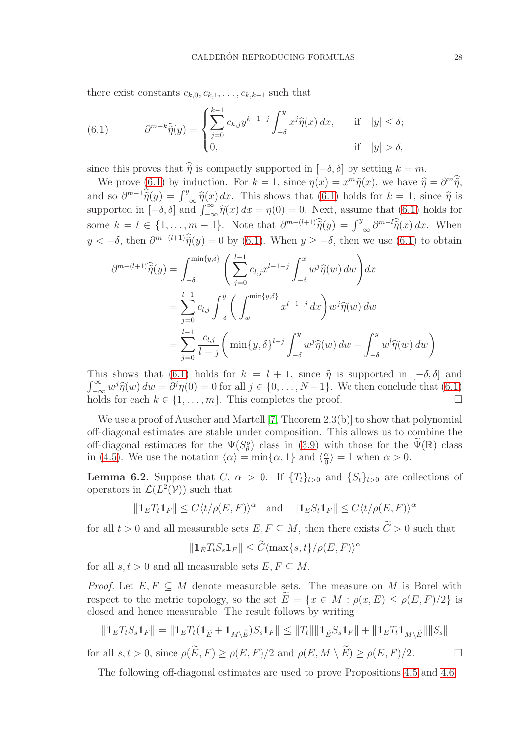there exist constants  $c_{k,0}, c_{k,1}, \ldots, c_{k,k-1}$  such that

<span id="page-27-0"></span>(6.1) 
$$
\partial^{m-k}\widehat{\tilde{\eta}}(y) = \begin{cases} \sum_{j=0}^{k-1} c_{k,j}y^{k-1-j} \int_{-\delta}^{y} x^j \widehat{\eta}(x) dx, & \text{if } |y| \le \delta; \\ 0, & \text{if } |y| > \delta, \end{cases}
$$

since this proves that  $\hat{\tilde{\eta}}$  is compactly supported in  $[-\delta, \delta]$  by setting  $k = m$ .

We prove [\(6.1\)](#page-27-0) by induction. For  $k = 1$ , since  $\eta(x) = x^m \tilde{\eta}(x)$ , we have  $\hat{\eta} = \partial^m \tilde{\eta}$ , and so  $\partial^{m-1}\hat{\tilde{\eta}}(y) = \int_{-\infty}^{y} \hat{\eta}(x) dx$ . This shows that [\(6.1\)](#page-27-0) holds for  $k = 1$ , since  $\hat{\eta}$  is supported in  $[-\delta, \delta]$  and  $\int_{-\infty}^{\infty} \hat{\eta}(x) dx = \eta(0) = 0$ . Next, assume that [\(6.1\)](#page-27-0) holds for some  $k = l \in \{1, ..., m-1\}$ . Note that  $\partial^{m-(l+1)}\hat{\tilde{\eta}}(y) = \int_{-\infty}^{y} \partial^{m-l}\hat{\tilde{\eta}}(x) dx$ . When  $y < -\delta$ , then  $\partial^{m-(l+1)}\tilde{\eta}(y) = 0$  by [\(6.1\)](#page-27-0). When  $y \ge -\delta$ , then we use (6.1) to obtain

$$
\partial^{m-(l+1)}\hat{\tilde{\eta}}(y) = \int_{-\delta}^{\min\{y,\delta\}} \left( \sum_{j=0}^{l-1} c_{l,j} x^{l-1-j} \int_{-\delta}^{x} w^j \hat{\eta}(w) \, dw \right) dx
$$

$$
= \sum_{j=0}^{l-1} c_{l,j} \int_{-\delta}^{y} \left( \int_{w}^{\min\{y,\delta\}} x^{l-1-j} \, dx \right) w^j \hat{\eta}(w) \, dw
$$

$$
= \sum_{j=0}^{l-1} \frac{c_{l,j}}{l-j} \left( \min\{y,\delta\}^{l-j} \int_{-\delta}^{y} w^j \hat{\eta}(w) \, dw - \int_{-\delta}^{y} w^l \hat{\eta}(w) \, dw \right)
$$

This shows that [\(6.1\)](#page-27-0) holds for  $k = l + 1$ , since  $\hat{\eta}$  is supported in  $[-\delta, \delta]$  and  $\int_{-\infty}^{\infty} w^j \hat{\eta}(w) dw = \partial^j \eta(0) = 0$  for all  $j \in \{0, \ldots, N-1\}$ . We then conclude that  $(6.1)$ holds for each  $k \in \{1, \ldots, m\}$ . This completes the proof.

We use a proof of Auscher and Martell [\[7,](#page-29-22) Theorem 2.3(b)] to show that polynomial off-diagonal estimates are stable under composition. This allows us to combine the off-diagonal estimates for the  $\Psi(S_{\theta}^o)$  class in [\(3.9\)](#page-7-4) with those for the  $\widetilde{\Psi}(\mathbb{R})$  class in [\(4.5\)](#page-17-0). We use the notation  $\langle \alpha \rangle = \min\{\alpha, 1\}$  and  $\langle \frac{\alpha}{0} \rangle$  $\frac{\alpha}{0}$  = 1 when  $\alpha > 0$ .

<span id="page-27-1"></span>**Lemma 6.2.** Suppose that C,  $\alpha > 0$ . If  $\{T_t\}_{t>0}$  and  $\{S_t\}_{t>0}$  are collections of operators in  $\mathcal{L}(L^2(\mathcal{V}))$  such that

$$
\|\mathbf{1}_E T_t \mathbf{1}_F\| \le C \langle t/\rho(E, F) \rangle^{\alpha} \quad \text{and} \quad \|\mathbf{1}_E S_t \mathbf{1}_F\| \le C \langle t/\rho(E, F) \rangle^{\alpha}
$$

for all  $t > 0$  and all measurable sets  $E, F \subseteq M$ , then there exists  $\widetilde{C} > 0$  such that

$$
||\mathbf{1}_E T_t S_s \mathbf{1}_F|| \le \widetilde{C} \langle \max\{s, t\} / \rho(E, F) \rangle^{\alpha}
$$

for all  $s, t > 0$  and all measurable sets  $E, F \subseteq M$ .

*Proof.* Let  $E, F \subseteq M$  denote measurable sets. The measure on M is Borel with respect to the metric topology, so the set  $\widetilde{E} = \{x \in M : \rho(x, E) \leq \rho(E, F)/2\}$  is closed and hence measurable. The result follows by writing

$$
\|\mathbf{1}_ET_tS_s\mathbf{1}_F\| = \|\mathbf{1}_ET_t(\mathbf{1}_{\widetilde{E}} + \mathbf{1}_{M\setminus\widetilde{E}})S_s\mathbf{1}_F\| \leq \|T_t\|\|\mathbf{1}_{\widetilde{E}}S_s\mathbf{1}_F\| + \|\mathbf{1}_ET_t\mathbf{1}_{M\setminus\widetilde{E}}\|\|S_s\|
$$

for all  $s, t > 0$ , since  $\rho(\widetilde{E}, F) \ge \rho(E, F)/2$  and  $\rho(E, M \setminus \widetilde{E}) \ge \rho(E, F)/2$ .

The following off-diagonal estimates are used to prove Propositions [4.5](#page-18-3) and [4.6.](#page-18-5)

.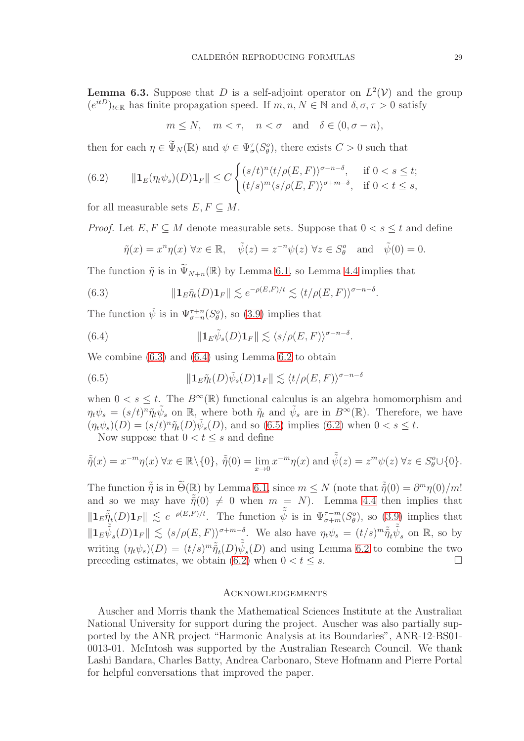<span id="page-28-1"></span>**Lemma 6.3.** Suppose that D is a self-adjoint operator on  $L^2(V)$  and the group  $(e^{itD})_{t\in\mathbb{R}}$  has finite propagation speed. If  $m, n, N \in \mathbb{N}$  and  $\delta, \sigma, \tau > 0$  satisfy

$$
m \le N
$$
,  $m < \tau$ ,  $n < \sigma$  and  $\delta \in (0, \sigma - n)$ ,

then for each  $\eta \in \tilde{\Psi}_N(\mathbb{R})$  and  $\psi \in \Psi_{\sigma}^{\tau}(S_{\theta}^o)$ , there exists  $C > 0$  such that

<span id="page-28-5"></span>(6.2) 
$$
\|\mathbf{1}_E(\eta_t\psi_s)(D)\mathbf{1}_F\| \le C \begin{cases} (s/t)^n \langle t/\rho(E,F) \rangle^{\sigma-n-\delta}, & \text{if } 0 < s \le t; \\ (t/s)^m \langle s/\rho(E,F) \rangle^{\sigma+m-\delta}, & \text{if } 0 < t \le s, \end{cases}
$$

for all measurable sets  $E, F \subseteq M$ .

*Proof.* Let  $E, F \subseteq M$  denote measurable sets. Suppose that  $0 < s \leq t$  and define

<span id="page-28-2"></span>
$$
\tilde{\eta}(x) = x^n \eta(x) \ \forall x \in \mathbb{R}, \quad \tilde{\psi}(z) = z^{-n} \psi(z) \ \forall z \in S_\theta^o \quad \text{and} \quad \tilde{\psi}(0) = 0.
$$

The function  $\tilde{\eta}$  is in  $\tilde{\Psi}_{N+n}(\mathbb{R})$  by Lemma [6.1,](#page-26-1) so Lemma [4.4](#page-17-2) implies that

(6.3) 
$$
\|\mathbf{1}_{E}\tilde{\eta}_{t}(D)\mathbf{1}_{F}\| \lesssim e^{-\rho(E,F)/t} \lesssim \langle t/\rho(E,F)\rangle^{\sigma-n-\delta}.
$$

The function  $\tilde{\psi}$  is in  $\Psi_{\sigma-n}^{\tau+n}(S_{\theta}^o)$ , so [\(3.9\)](#page-7-4) implies that

<span id="page-28-3"></span>(6.4) 
$$
\|\mathbf{1}_E \tilde{\psi}_s(D)\mathbf{1}_F\| \lesssim \langle s/\rho(E,F) \rangle^{\sigma-n-\delta}.
$$

We combine [\(6.3\)](#page-28-2) and [\(6.4\)](#page-28-3) using Lemma [6.2](#page-27-1) to obtain

<span id="page-28-4"></span>(6.5) 
$$
\|\mathbf{1}_{E}\tilde{\eta}_{t}(D)\tilde{\psi}_{s}(D)\mathbf{1}_{F}\| \lesssim \langle t/\rho(E,F)\rangle^{\sigma-n-\delta}
$$

when  $0 < s \leq t$ . The  $B^{\infty}(\mathbb{R})$  functional calculus is an algebra homomorphism and  $\eta_t \psi_s = (s/t)^n \tilde{\eta}_t \tilde{\psi}_s$  on R, where both  $\tilde{\eta}_t$  and  $\tilde{\psi}_s$  are in  $B^{\infty}(\mathbb{R})$ . Therefore, we have  $(\eta_t \psi_s)(D) = (s/t)^n \tilde{\eta}_t(D)\tilde{\psi}_s(D)$ , and so [\(6.5\)](#page-28-4) implies [\(6.2\)](#page-28-5) when  $0 < s \le t$ .

Now suppose that  $0 < t \leq s$  and define

$$
\tilde{\tilde{\eta}}(x) = x^{-m}\eta(x) \,\forall x \in \mathbb{R} \setminus \{0\}, \ \tilde{\tilde{\eta}}(0) = \lim_{x \to 0} x^{-m}\eta(x) \text{ and } \tilde{\tilde{\psi}}(z) = z^{m}\psi(z) \,\forall z \in S^o_{\theta} \cup \{0\}.
$$

The function  $\tilde{\tilde{\eta}}$  is in  $\tilde{\Theta}(\mathbb{R})$  by Lemma [6.1,](#page-26-1) since  $m \le N$  (note that  $\tilde{\tilde{\eta}}(0) = \partial^m \eta(0)/m!$ and so we may have  $\tilde{\tilde{\eta}}(0) \neq 0$  when  $m = N$ ). Lemma [4.4](#page-17-2) then implies that  $||\mathbf{1}_E \tilde{\tilde{\eta}}_t(D)\mathbf{1}_F|| \lesssim e^{-\rho(E,F)/t}$ . The function  $\tilde{\tilde{\psi}}$  is in  $\Psi_{\sigma+m}^{\tau-m}(S_\theta^o)$ , so [\(3.9\)](#page-7-4) implies that  $\|\mathbf{1}_E \tilde{\psi}_s(D)\mathbf{1}_F\| \lesssim \langle s/\rho(E,F) \rangle^{\sigma+m-\delta}$ . We also have  $\eta_t \psi_s = (t/s)^m \tilde{\tilde{\eta}}_t \tilde{\tilde{\psi}}_s$  on R, so by writing  $(\eta_t \psi_s)(D) = (t/s)^m \tilde{\tilde{\eta}}_t(D) \tilde{\tilde{\psi}}_s(D)$  and using Lemma [6.2](#page-27-1) to combine the two preceding estimates, we obtain [\(6.2\)](#page-28-5) when  $0 < t \leq s$ .

### <span id="page-28-0"></span>**ACKNOWLEDGEMENTS**

Auscher and Morris thank the Mathematical Sciences Institute at the Australian National University for support during the project. Auscher was also partially supported by the ANR project "Harmonic Analysis at its Boundaries", ANR-12-BS01- 0013-01. McIntosh was supported by the Australian Research Council. We thank Lashi Bandara, Charles Batty, Andrea Carbonaro, Steve Hofmann and Pierre Portal for helpful conversations that improved the paper.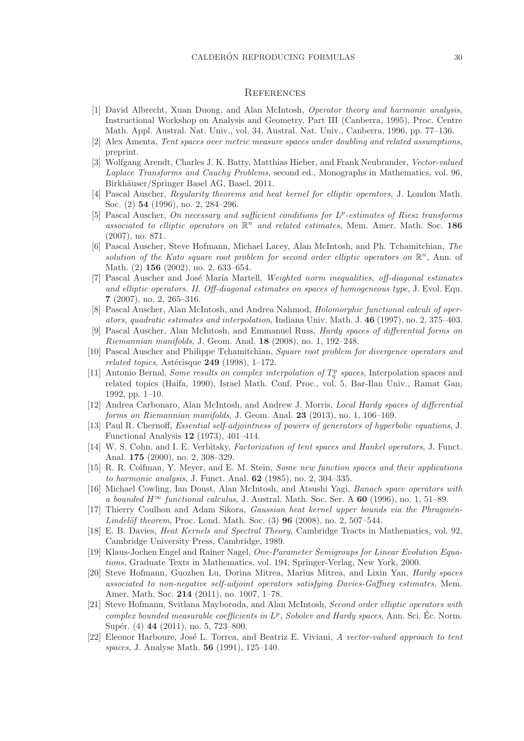## <span id="page-29-0"></span>**REFERENCES**

- <span id="page-29-8"></span>[1] David Albrecht, Xuan Duong, and Alan McIntosh, Operator theory and harmonic analysis, Instructional Workshop on Analysis and Geometry, Part III (Canberra, 1995), Proc. Centre Math. Appl. Austral. Nat. Univ., vol. 34, Austral. Nat. Univ., Canberra, 1996, pp. 77–136.
- <span id="page-29-21"></span><span id="page-29-14"></span>[2] Alex Amenta, Tent spaces over metric measure spaces under doubling and related assumptions, preprint.
- [3] Wolfgang Arendt, Charles J. K. Batty, Matthias Hieber, and Frank Neubrander, Vector-valued Laplace Transforms and Cauchy Problems, second ed., Monographs in Mathematics, vol. 96, Birkhäuser/Springer Basel AG, Basel, 2011.
- <span id="page-29-4"></span>[4] Pascal Auscher, Regularity theorems and heat kernel for elliptic operators, J. London Math. Soc. (2) 54 (1996), no. 2, 284–296.
- <span id="page-29-16"></span>[5] Pascal Auscher, On necessary and sufficient conditions for  $L^p$ -estimates of Riesz transforms associated to elliptic operators on  $\mathbb{R}^n$  and related estimates, Mem. Amer. Math. Soc. 186 (2007), no. 871.
- <span id="page-29-17"></span>[6] Pascal Auscher, Steve Hofmann, Michael Lacey, Alan McIntosh, and Ph. Tchamitchian, The solution of the Kato square root problem for second order elliptic operators on  $\mathbb{R}^n$ , Ann. of Math. (2) **156** (2002), no. 2, 633-654.
- <span id="page-29-22"></span>[7] Pascal Auscher and José María Martell, Weighted norm inequalities, off-diagonal estimates and elliptic operators. II. Off-diagonal estimates on spaces of homogeneous type, J. Evol. Equ. 7 (2007), no. 2, 265–316.
- <span id="page-29-9"></span>[8] Pascal Auscher, Alan McIntosh, and Andrea Nahmod, Holomorphic functional calculi of operators, quadratic estimates and interpolation, Indiana Univ. Math. J. 46 (1997), no. 2, 375–403.
- <span id="page-29-1"></span>[9] Pascal Auscher, Alan McIntosh, and Emmanuel Russ, Hardy spaces of differential forms on Riemannian manifolds, J. Geom. Anal. 18 (2008), no. 1, 192–248.
- <span id="page-29-5"></span>[10] Pascal Auscher and Philippe Tchamitchian, Square root problem for divergence operators and related topics, Astérisque  $249$  (1998), 1–172.
- <span id="page-29-12"></span>[11] Antonio Bernal, *Some results on complex interpolation of*  $T_q^p$  *spaces*, Interpolation spaces and related topics (Haifa, 1990), Israel Math. Conf. Proc., vol. 5, Bar-Ilan Univ., Ramat Gan, 1992, pp. 1–10.
- <span id="page-29-15"></span>[12] Andrea Carbonaro, Alan McIntosh, and Andrew J. Morris, Local Hardy spaces of differential forms on Riemannian manifolds, J. Geom. Anal. 23 (2013), no. 1, 106–169.
- <span id="page-29-19"></span>[13] Paul R. Chernoff, *Essential self-adjointness of powers of generators of hyperbolic equations*, J. Functional Analysis 12 (1973), 401–414.
- <span id="page-29-13"></span>[14] W. S. Cohn, and I. E. Verbitsky, Factorization of tent spaces and Hankel operators, J. Funct. Anal. 175 (2000), no. 2, 308–329.
- <span id="page-29-2"></span>[15] R. R. Coifman, Y. Meyer, and E. M. Stein, Some new function spaces and their applications to harmonic analysis, J. Funct. Anal. 62 (1985), no. 2, 304–335.
- <span id="page-29-10"></span>[16] Michael Cowling, Ian Doust, Alan McIntosh, and Atsushi Yagi, Banach space operators with a bounded  $H^{\infty}$  functional calculus, J. Austral. Math. Soc. Ser. A 60 (1996), no. 1, 51–89.
- <span id="page-29-20"></span>[17] Thierry Coulhon and Adam Sikora, *Gaussian heat kernel upper bounds via the Phragmén*-*Lindelöf theorem*, Proc. Lond. Math. Soc.  $(3)$  96  $(2008)$ , no. 2, 507–544.
- <span id="page-29-7"></span>[18] E. B. Davies, Heat Kernels and Spectral Theory, Cambridge Tracts in Mathematics, vol. 92, Cambridge University Press, Cambridge, 1989.
- <span id="page-29-18"></span>[19] Klaus-Jochen Engel and Rainer Nagel, One-Parameter Semigroups for Linear Evolution Equations, Graduate Texts in Mathematics, vol. 194, Springer-Verlag, New York, 2000.
- <span id="page-29-6"></span>[20] Steve Hofmann, Guozhen Lu, Dorina Mitrea, Marius Mitrea, and Lixin Yan, Hardy spaces associated to non-negative self-adjoint operators satisfying Davies-Gaffney estimates, Mem. Amer. Math. Soc. 214 (2011), no. 1007, 1–78.
- <span id="page-29-3"></span>[21] Steve Hofmann, Svitlana Mayboroda, and Alan McIntosh, Second order elliptic operators with complex bounded measurable coefficients in  $L^p$ , Sobolev and Hardy spaces, Ann. Sci. Éc. Norm. Supér. (4) 44 (2011), no. 5, 723–800.
- <span id="page-29-11"></span>[22] Eleonor Harboure, José L. Torrea, and Beatriz E. Viviani, A vector-valued approach to tent spaces, J. Analyse Math. 56 (1991), 125–140.